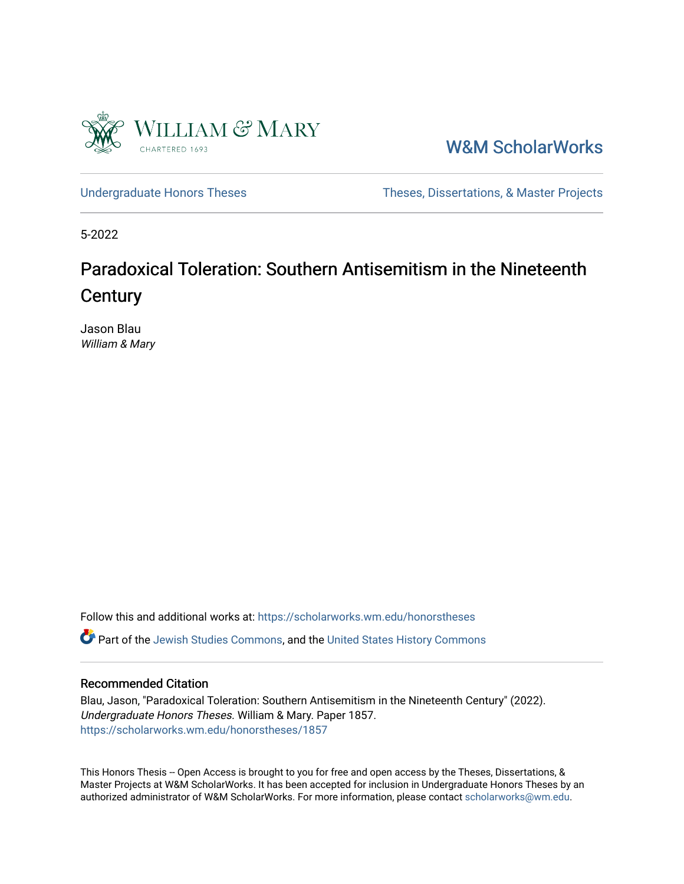

[W&M ScholarWorks](https://scholarworks.wm.edu/) 

[Undergraduate Honors Theses](https://scholarworks.wm.edu/honorstheses) Theses Theses, Dissertations, & Master Projects

5-2022

# Paradoxical Toleration: Southern Antisemitism in the Nineteenth **Century**

Jason Blau William & Mary

Follow this and additional works at: [https://scholarworks.wm.edu/honorstheses](https://scholarworks.wm.edu/honorstheses?utm_source=scholarworks.wm.edu%2Fhonorstheses%2F1857&utm_medium=PDF&utm_campaign=PDFCoverPages)  Part of the [Jewish Studies Commons,](https://network.bepress.com/hgg/discipline/479?utm_source=scholarworks.wm.edu%2Fhonorstheses%2F1857&utm_medium=PDF&utm_campaign=PDFCoverPages) and the [United States History Commons](https://network.bepress.com/hgg/discipline/495?utm_source=scholarworks.wm.edu%2Fhonorstheses%2F1857&utm_medium=PDF&utm_campaign=PDFCoverPages)

### Recommended Citation

Blau, Jason, "Paradoxical Toleration: Southern Antisemitism in the Nineteenth Century" (2022). Undergraduate Honors Theses. William & Mary. Paper 1857. [https://scholarworks.wm.edu/honorstheses/1857](https://scholarworks.wm.edu/honorstheses/1857?utm_source=scholarworks.wm.edu%2Fhonorstheses%2F1857&utm_medium=PDF&utm_campaign=PDFCoverPages)

This Honors Thesis -- Open Access is brought to you for free and open access by the Theses, Dissertations, & Master Projects at W&M ScholarWorks. It has been accepted for inclusion in Undergraduate Honors Theses by an authorized administrator of W&M ScholarWorks. For more information, please contact [scholarworks@wm.edu](mailto:scholarworks@wm.edu).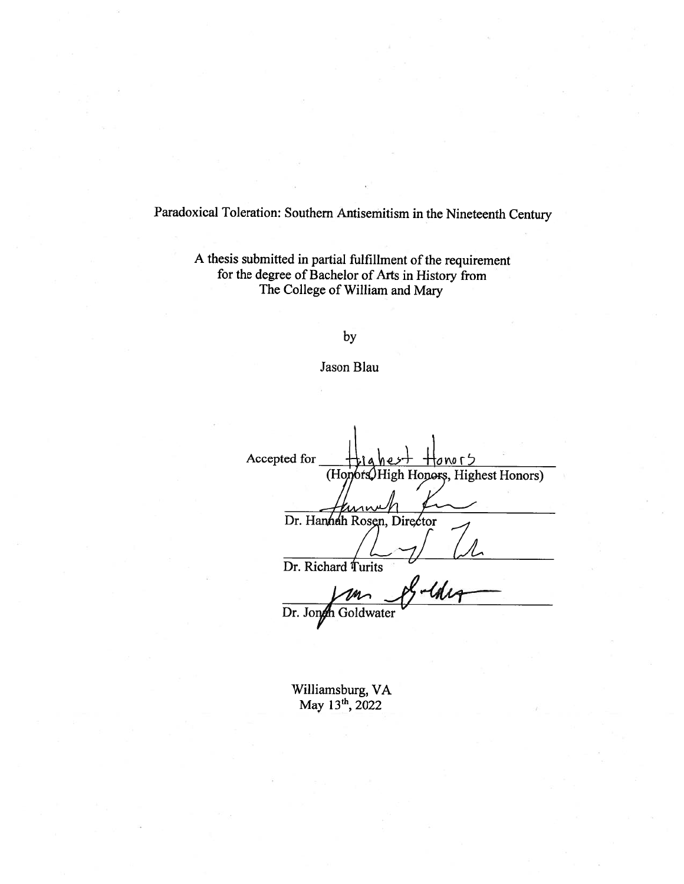Paradoxical Toleration: Southern Antisemitism in the Nineteenth Century

A thesis submitted in partial fulfillment of the requirement for the degree of Bachelor of Arts in History from The College of William and Mary

by

Jason Blau

Accepted for onorS (Honors) High Honors, Highest Honors) Dr. Hannah Rosen, Director Dr. Richard Turits S-tde Dr. Jongh Goldwater

Williamsburg, VA May 13th, 2022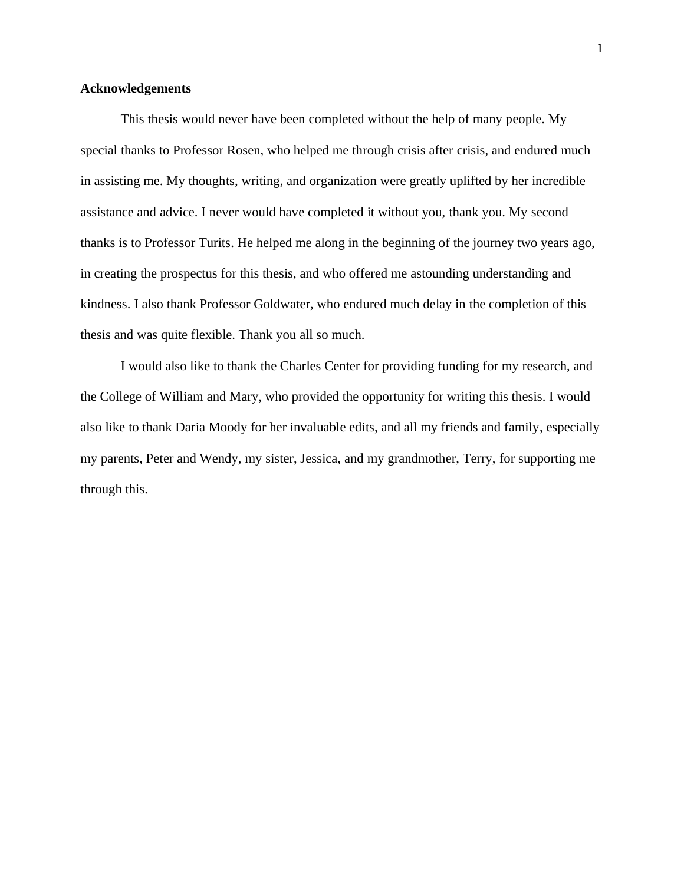## **Acknowledgements**

This thesis would never have been completed without the help of many people. My special thanks to Professor Rosen, who helped me through crisis after crisis, and endured much in assisting me. My thoughts, writing, and organization were greatly uplifted by her incredible assistance and advice. I never would have completed it without you, thank you. My second thanks is to Professor Turits. He helped me along in the beginning of the journey two years ago, in creating the prospectus for this thesis, and who offered me astounding understanding and kindness. I also thank Professor Goldwater, who endured much delay in the completion of this thesis and was quite flexible. Thank you all so much.

I would also like to thank the Charles Center for providing funding for my research, and the College of William and Mary, who provided the opportunity for writing this thesis. I would also like to thank Daria Moody for her invaluable edits, and all my friends and family, especially my parents, Peter and Wendy, my sister, Jessica, and my grandmother, Terry, for supporting me through this.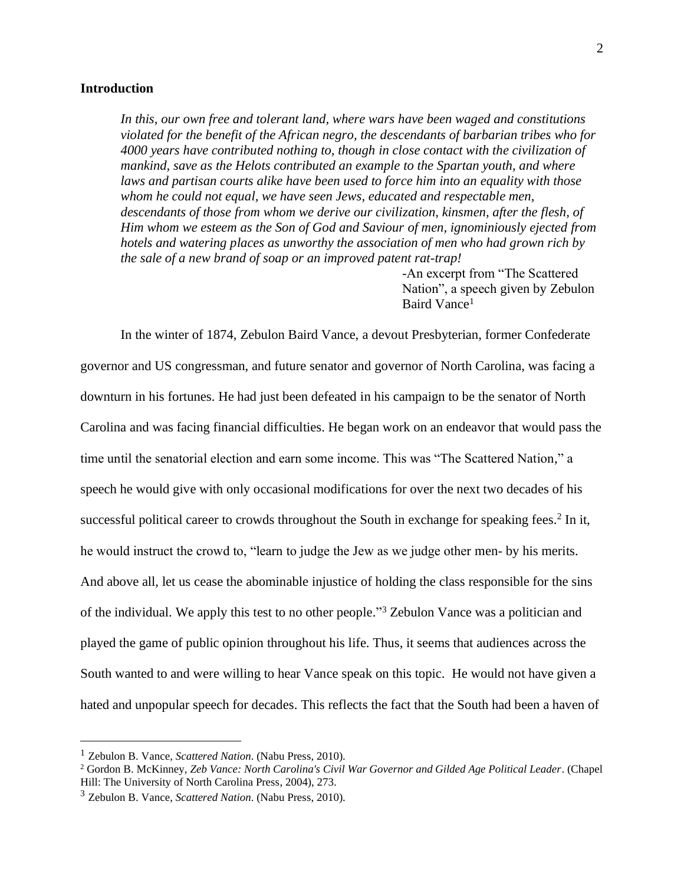#### **Introduction**

*In this, our own free and tolerant land, where wars have been waged and constitutions violated for the benefit of the African negro, the descendants of barbarian tribes who for 4000 years have contributed nothing to, though in close contact with the civilization of mankind, save as the Helots contributed an example to the Spartan youth, and where laws and partisan courts alike have been used to force him into an equality with those whom he could not equal, we have seen Jews, educated and respectable men, descendants of those from whom we derive our civilization, kinsmen, after the flesh, of Him whom we esteem as the Son of God and Saviour of men, ignominiously ejected from hotels and watering places as unworthy the association of men who had grown rich by the sale of a new brand of soap or an improved patent rat-trap!*

> -An excerpt from "The Scattered Nation", a speech given by Zebulon Baird Vance<sup>1</sup>

In the winter of 1874, Zebulon Baird Vance, a devout Presbyterian, former Confederate governor and US congressman, and future senator and governor of North Carolina, was facing a downturn in his fortunes. He had just been defeated in his campaign to be the senator of North Carolina and was facing financial difficulties. He began work on an endeavor that would pass the time until the senatorial election and earn some income. This was "The Scattered Nation," a speech he would give with only occasional modifications for over the next two decades of his successful political career to crowds throughout the South in exchange for speaking fees.<sup>2</sup> In it, he would instruct the crowd to, "learn to judge the Jew as we judge other men- by his merits. And above all, let us cease the abominable injustice of holding the class responsible for the sins of the individual. We apply this test to no other people." <sup>3</sup> Zebulon Vance was a politician and played the game of public opinion throughout his life. Thus, it seems that audiences across the South wanted to and were willing to hear Vance speak on this topic. He would not have given a hated and unpopular speech for decades. This reflects the fact that the South had been a haven of

<sup>1</sup> Zebulon B. Vance, *Scattered Nation*. (Nabu Press, 2010).

<sup>2</sup> Gordon B. McKinney, *Zeb Vance: North Carolina's Civil War Governor and Gilded Age Political Leader*. (Chapel Hill: The University of North Carolina Press, 2004), 273.

<sup>3</sup> Zebulon B. Vance, *Scattered Nation*. (Nabu Press, 2010).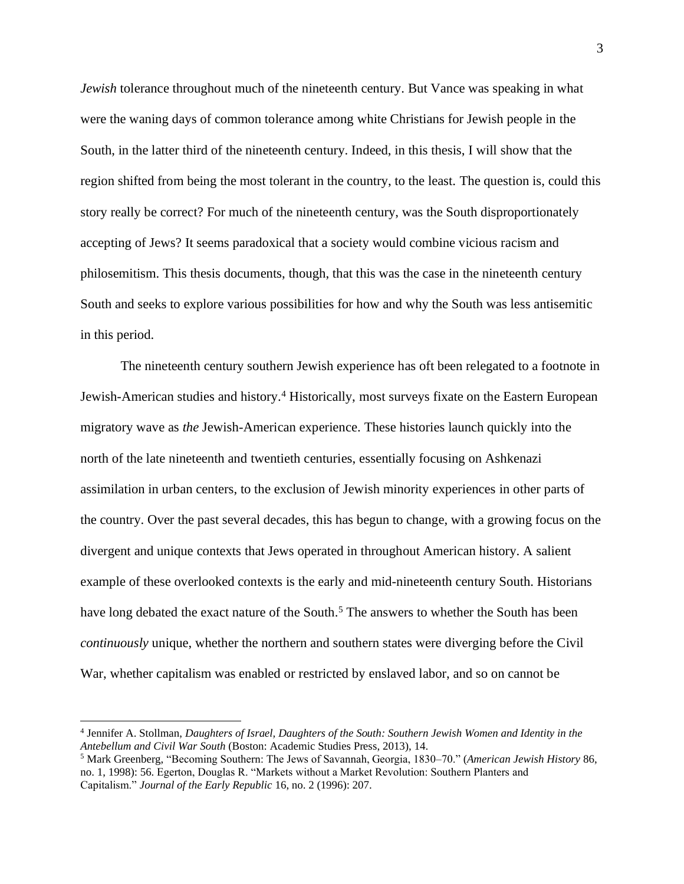*Jewish* tolerance throughout much of the nineteenth century. But Vance was speaking in what were the waning days of common tolerance among white Christians for Jewish people in the South, in the latter third of the nineteenth century. Indeed, in this thesis, I will show that the region shifted from being the most tolerant in the country, to the least. The question is, could this story really be correct? For much of the nineteenth century, was the South disproportionately accepting of Jews? It seems paradoxical that a society would combine vicious racism and philosemitism. This thesis documents, though, that this was the case in the nineteenth century South and seeks to explore various possibilities for how and why the South was less antisemitic in this period.

The nineteenth century southern Jewish experience has oft been relegated to a footnote in Jewish-American studies and history.<sup>4</sup> Historically, most surveys fixate on the Eastern European migratory wave as *the* Jewish-American experience. These histories launch quickly into the north of the late nineteenth and twentieth centuries, essentially focusing on Ashkenazi assimilation in urban centers, to the exclusion of Jewish minority experiences in other parts of the country. Over the past several decades, this has begun to change, with a growing focus on the divergent and unique contexts that Jews operated in throughout American history. A salient example of these overlooked contexts is the early and mid-nineteenth century South. Historians have long debated the exact nature of the South.<sup>5</sup> The answers to whether the South has been *continuously* unique, whether the northern and southern states were diverging before the Civil War, whether capitalism was enabled or restricted by enslaved labor, and so on cannot be

<sup>4</sup> Jennifer A. Stollman, *Daughters of Israel, Daughters of the South: Southern Jewish Women and Identity in the Antebellum and Civil War South* (Boston: Academic Studies Press, 2013), 14.

<sup>5</sup> Mark Greenberg, "Becoming Southern: The Jews of Savannah, Georgia, 1830–70." (*American Jewish History* 86, no. 1, 1998): 56. Egerton, Douglas R. "Markets without a Market Revolution: Southern Planters and Capitalism." *Journal of the Early Republic* 16, no. 2 (1996): 207.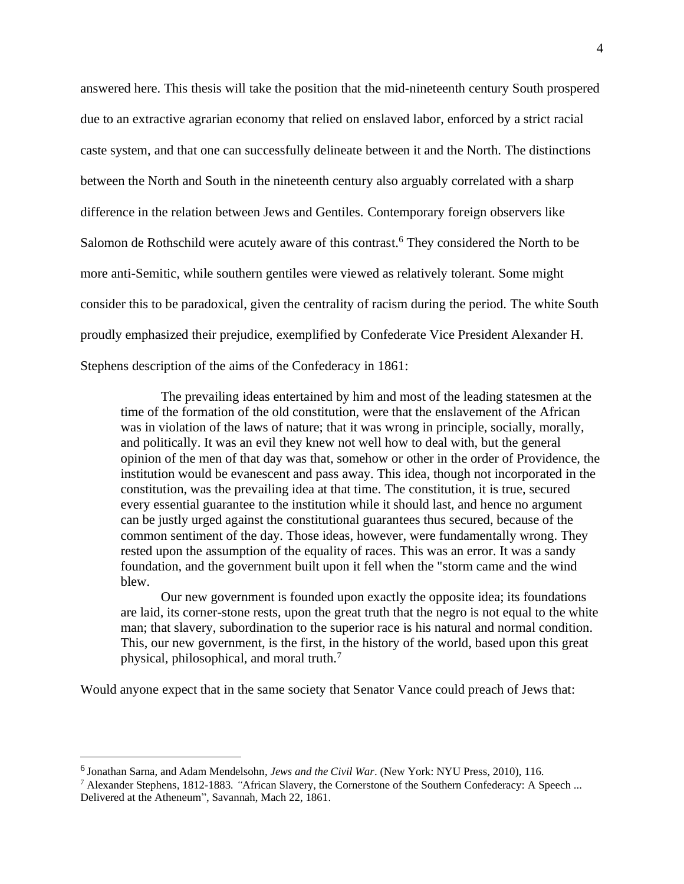answered here. This thesis will take the position that the mid-nineteenth century South prospered due to an extractive agrarian economy that relied on enslaved labor, enforced by a strict racial caste system, and that one can successfully delineate between it and the North. The distinctions between the North and South in the nineteenth century also arguably correlated with a sharp difference in the relation between Jews and Gentiles. Contemporary foreign observers like Salomon de Rothschild were acutely aware of this contrast.<sup>6</sup> They considered the North to be more anti-Semitic, while southern gentiles were viewed as relatively tolerant. Some might consider this to be paradoxical, given the centrality of racism during the period. The white South proudly emphasized their prejudice, exemplified by Confederate Vice President Alexander H. Stephens description of the aims of the Confederacy in 1861:

The prevailing ideas entertained by him and most of the leading statesmen at the time of the formation of the old constitution, were that the enslavement of the African was in violation of the laws of nature; that it was wrong in principle, socially, morally, and politically. It was an evil they knew not well how to deal with, but the general opinion of the men of that day was that, somehow or other in the order of Providence, the institution would be evanescent and pass away. This idea, though not incorporated in the constitution, was the prevailing idea at that time. The constitution, it is true, secured every essential guarantee to the institution while it should last, and hence no argument can be justly urged against the constitutional guarantees thus secured, because of the common sentiment of the day. Those ideas, however, were fundamentally wrong. They rested upon the assumption of the equality of races. This was an error. It was a sandy foundation, and the government built upon it fell when the "storm came and the wind blew.

Our new government is founded upon exactly the opposite idea; its foundations are laid, its corner-stone rests, upon the great truth that the negro is not equal to the white man; that slavery, subordination to the superior race is his natural and normal condition. This, our new government, is the first, in the history of the world, based upon this great physical, philosophical, and moral truth.<sup>7</sup>

Would anyone expect that in the same society that Senator Vance could preach of Jews that:

<sup>6</sup> Jonathan Sarna, and Adam Mendelsohn, *Jews and the Civil War*. (New York: NYU Press, 2010), 116.

<sup>7</sup> Alexander Stephens*,* 1812-1883*. "*African Slavery, the Cornerstone of the Southern Confederacy: A Speech ... Delivered at the Atheneum", Savannah, Mach 22, 1861.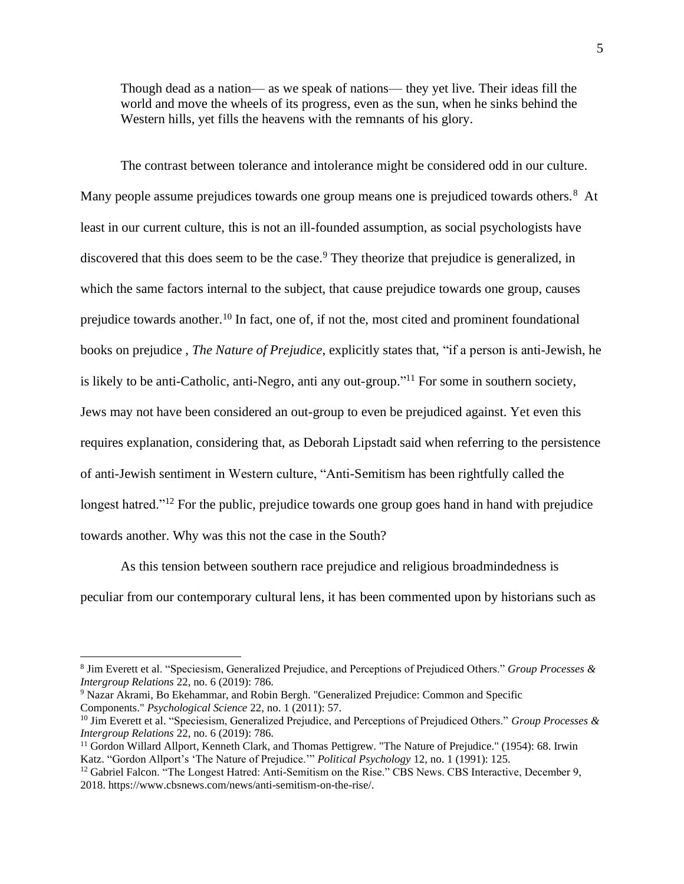Though dead as a nation— as we speak of nations— they yet live. Their ideas fill the world and move the wheels of its progress, even as the sun, when he sinks behind the Western hills, yet fills the heavens with the remnants of his glory.

The contrast between tolerance and intolerance might be considered odd in our culture. Many people assume prejudices towards one group means one is prejudiced towards others.<sup>8</sup> At least in our current culture, this is not an ill-founded assumption, as social psychologists have discovered that this does seem to be the case.<sup>9</sup> They theorize that prejudice is generalized, in which the same factors internal to the subject, that cause prejudice towards one group, causes prejudice towards another.<sup>10</sup> In fact, one of, if not the, most cited and prominent foundational books on prejudice , *The Nature of Prejudice*, explicitly states that, "if a person is anti-Jewish, he is likely to be anti-Catholic, anti-Negro, anti any out-group."<sup>11</sup> For some in southern society, Jews may not have been considered an out-group to even be prejudiced against. Yet even this requires explanation, considering that, as Deborah Lipstadt said when referring to the persistence of anti-Jewish sentiment in Western culture, "Anti-Semitism has been rightfully called the longest hatred."<sup>12</sup> For the public, prejudice towards one group goes hand in hand with prejudice towards another. Why was this not the case in the South?

As this tension between southern race prejudice and religious broadmindedness is peculiar from our contemporary cultural lens, it has been commented upon by historians such as

<sup>8</sup> Jim Everett et al. "Speciesism, Generalized Prejudice, and Perceptions of Prejudiced Others." *Group Processes & Intergroup Relations* 22, no. 6 (2019): 786.

<sup>9</sup> Nazar Akrami, Bo Ekehammar, and Robin Bergh. "Generalized Prejudice: Common and Specific Components." *Psychological Science* 22, no. 1 (2011): 57.

<sup>10</sup> Jim Everett et al. "Speciesism, Generalized Prejudice, and Perceptions of Prejudiced Others." *Group Processes & Intergroup Relations* 22, no. 6 (2019): 786.

<sup>&</sup>lt;sup>11</sup> Gordon Willard Allport, Kenneth Clark, and Thomas Pettigrew. "The Nature of Prejudice." (1954): 68. Irwin Katz. "Gordon Allport's 'The Nature of Prejudice.'" *Political Psychology* 12, no. 1 (1991): 125.

<sup>&</sup>lt;sup>12</sup> Gabriel Falcon. "The Longest Hatred: Anti-Semitism on the Rise." CBS News. CBS Interactive, December 9, 2018. https://www.cbsnews.com/news/anti-semitism-on-the-rise/.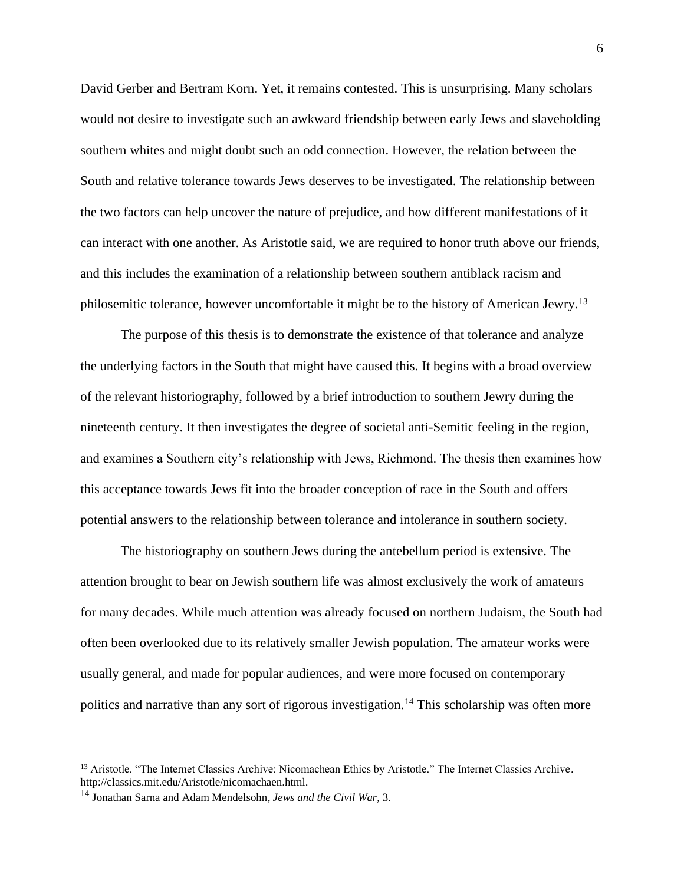David Gerber and Bertram Korn. Yet, it remains contested. This is unsurprising. Many scholars would not desire to investigate such an awkward friendship between early Jews and slaveholding southern whites and might doubt such an odd connection. However, the relation between the South and relative tolerance towards Jews deserves to be investigated. The relationship between the two factors can help uncover the nature of prejudice, and how different manifestations of it can interact with one another. As Aristotle said, we are required to honor truth above our friends, and this includes the examination of a relationship between southern antiblack racism and philosemitic tolerance, however uncomfortable it might be to the history of American Jewry.<sup>13</sup>

The purpose of this thesis is to demonstrate the existence of that tolerance and analyze the underlying factors in the South that might have caused this. It begins with a broad overview of the relevant historiography, followed by a brief introduction to southern Jewry during the nineteenth century. It then investigates the degree of societal anti-Semitic feeling in the region, and examines a Southern city's relationship with Jews, Richmond. The thesis then examines how this acceptance towards Jews fit into the broader conception of race in the South and offers potential answers to the relationship between tolerance and intolerance in southern society.

The historiography on southern Jews during the antebellum period is extensive. The attention brought to bear on Jewish southern life was almost exclusively the work of amateurs for many decades. While much attention was already focused on northern Judaism, the South had often been overlooked due to its relatively smaller Jewish population. The amateur works were usually general, and made for popular audiences, and were more focused on contemporary politics and narrative than any sort of rigorous investigation.<sup>14</sup> This scholarship was often more

<sup>&</sup>lt;sup>13</sup> Aristotle. "The Internet Classics Archive: Nicomachean Ethics by Aristotle." The Internet Classics Archive. http://classics.mit.edu/Aristotle/nicomachaen.html.

<sup>14</sup> Jonathan Sarna and Adam Mendelsohn, *Jews and the Civil War*, 3.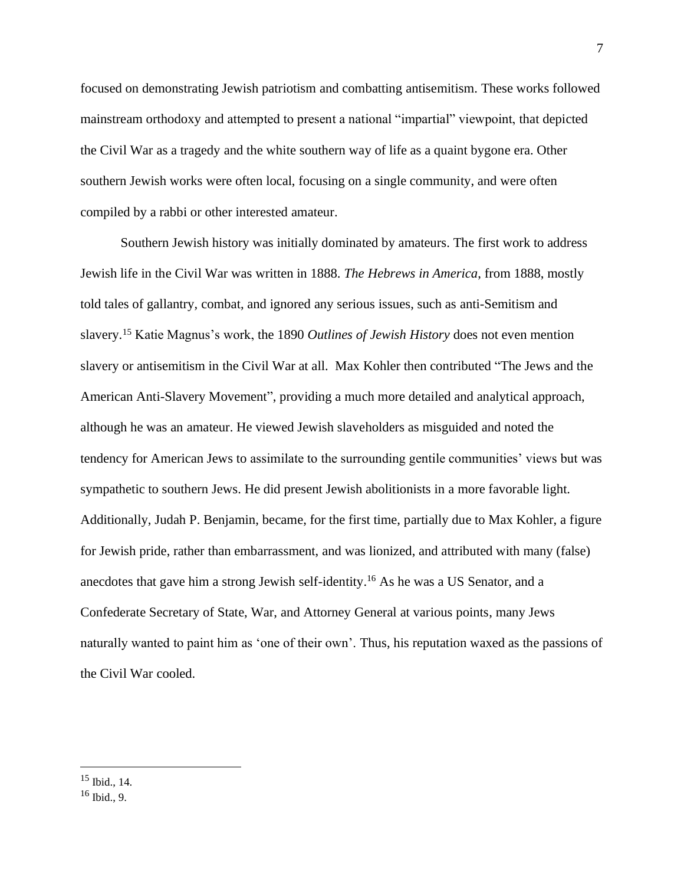focused on demonstrating Jewish patriotism and combatting antisemitism. These works followed mainstream orthodoxy and attempted to present a national "impartial" viewpoint, that depicted the Civil War as a tragedy and the white southern way of life as a quaint bygone era. Other southern Jewish works were often local, focusing on a single community, and were often compiled by a rabbi or other interested amateur.

Southern Jewish history was initially dominated by amateurs. The first work to address Jewish life in the Civil War was written in 1888. *The Hebrews in America*, from 1888, mostly told tales of gallantry, combat, and ignored any serious issues, such as anti-Semitism and slavery.<sup>15</sup> Katie Magnus's work, the 1890 *Outlines of Jewish History* does not even mention slavery or antisemitism in the Civil War at all. Max Kohler then contributed "The Jews and the American Anti-Slavery Movement", providing a much more detailed and analytical approach, although he was an amateur. He viewed Jewish slaveholders as misguided and noted the tendency for American Jews to assimilate to the surrounding gentile communities' views but was sympathetic to southern Jews. He did present Jewish abolitionists in a more favorable light. Additionally, Judah P. Benjamin, became, for the first time, partially due to Max Kohler, a figure for Jewish pride, rather than embarrassment, and was lionized, and attributed with many (false) anecdotes that gave him a strong Jewish self-identity. <sup>16</sup> As he was a US Senator, and a Confederate Secretary of State, War, and Attorney General at various points, many Jews naturally wanted to paint him as 'one of their own'. Thus, his reputation waxed as the passions of the Civil War cooled.

<sup>15</sup> Ibid., 14.

<sup>16</sup> Ibid., 9.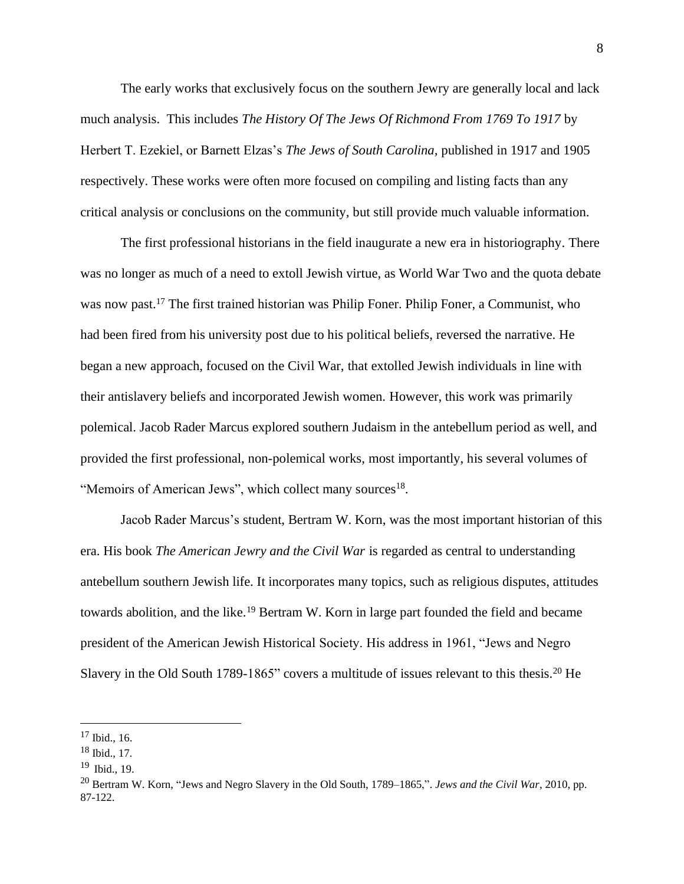The early works that exclusively focus on the southern Jewry are generally local and lack much analysis. This includes *The History Of The Jews Of Richmond From 1769 To 1917* by Herbert T. Ezekiel, or Barnett Elzas's *The Jews of South Carolina,* published in 1917 and 1905 respectively. These works were often more focused on compiling and listing facts than any critical analysis or conclusions on the community, but still provide much valuable information.

The first professional historians in the field inaugurate a new era in historiography. There was no longer as much of a need to extoll Jewish virtue, as World War Two and the quota debate was now past.<sup>17</sup> The first trained historian was Philip Foner. Philip Foner, a Communist, who had been fired from his university post due to his political beliefs, reversed the narrative. He began a new approach, focused on the Civil War, that extolled Jewish individuals in line with their antislavery beliefs and incorporated Jewish women. However, this work was primarily polemical. Jacob Rader Marcus explored southern Judaism in the antebellum period as well, and provided the first professional, non-polemical works, most importantly, his several volumes of "Memoirs of American Jews", which collect many sources<sup>18</sup>.

Jacob Rader Marcus's student, Bertram W. Korn, was the most important historian of this era. His book *The American Jewry and the Civil War* is regarded as central to understanding antebellum southern Jewish life. It incorporates many topics, such as religious disputes, attitudes towards abolition, and the like.<sup>19</sup> Bertram W. Korn in large part founded the field and became president of the American Jewish Historical Society. His address in 1961, "Jews and Negro Slavery in the Old South 1789-1865" covers a multitude of issues relevant to this thesis.<sup>20</sup> He

<sup>17</sup> Ibid., 16.

<sup>18</sup> Ibid., 17.

<sup>19</sup> Ibid., 19.

<sup>20</sup> Bertram W. Korn, "Jews and Negro Slavery in the Old South, 1789–1865,". *Jews and the Civil War*, 2010, pp. 87-122.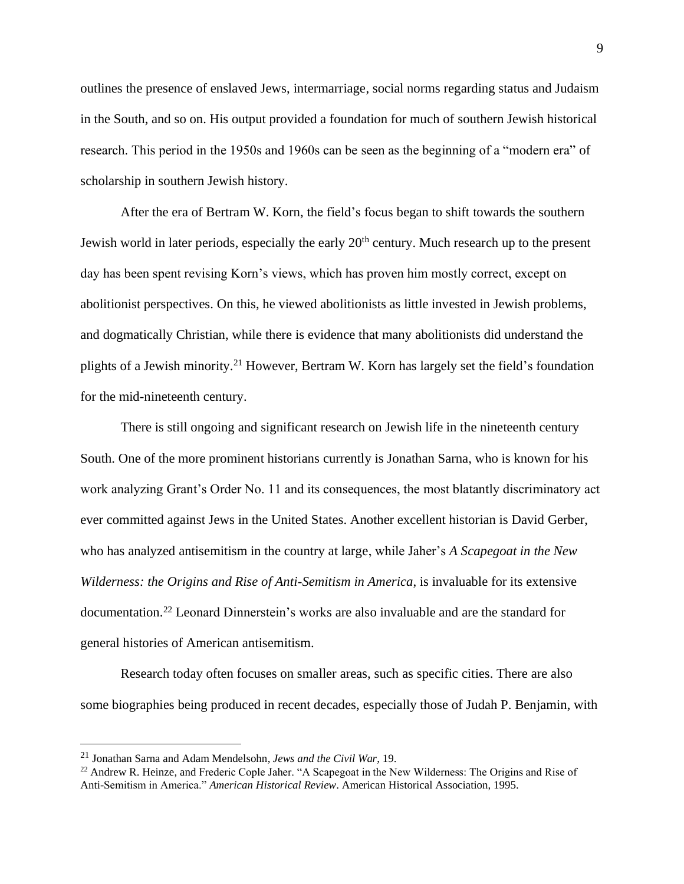outlines the presence of enslaved Jews, intermarriage, social norms regarding status and Judaism in the South, and so on. His output provided a foundation for much of southern Jewish historical research. This period in the 1950s and 1960s can be seen as the beginning of a "modern era" of scholarship in southern Jewish history.

After the era of Bertram W. Korn, the field's focus began to shift towards the southern Jewish world in later periods, especially the early 20<sup>th</sup> century. Much research up to the present day has been spent revising Korn's views, which has proven him mostly correct, except on abolitionist perspectives. On this, he viewed abolitionists as little invested in Jewish problems, and dogmatically Christian, while there is evidence that many abolitionists did understand the plights of a Jewish minority.<sup>21</sup> However, Bertram W. Korn has largely set the field's foundation for the mid-nineteenth century.

There is still ongoing and significant research on Jewish life in the nineteenth century South. One of the more prominent historians currently is Jonathan Sarna, who is known for his work analyzing Grant's Order No. 11 and its consequences, the most blatantly discriminatory act ever committed against Jews in the United States. Another excellent historian is David Gerber, who has analyzed antisemitism in the country at large, while Jaher's *A Scapegoat in the New Wilderness: the Origins and Rise of Anti-Semitism in America*, is invaluable for its extensive documentation.<sup>22</sup> Leonard Dinnerstein's works are also invaluable and are the standard for general histories of American antisemitism.

Research today often focuses on smaller areas, such as specific cities. There are also some biographies being produced in recent decades, especially those of Judah P. Benjamin, with

<sup>21</sup> Jonathan Sarna and Adam Mendelsohn, *Jews and the Civil War*, 19.

<sup>&</sup>lt;sup>22</sup> Andrew R. Heinze, and Frederic Cople Jaher. "A Scapegoat in the New Wilderness: The Origins and Rise of Anti-Semitism in America." *American Historical Review*. American Historical Association, 1995.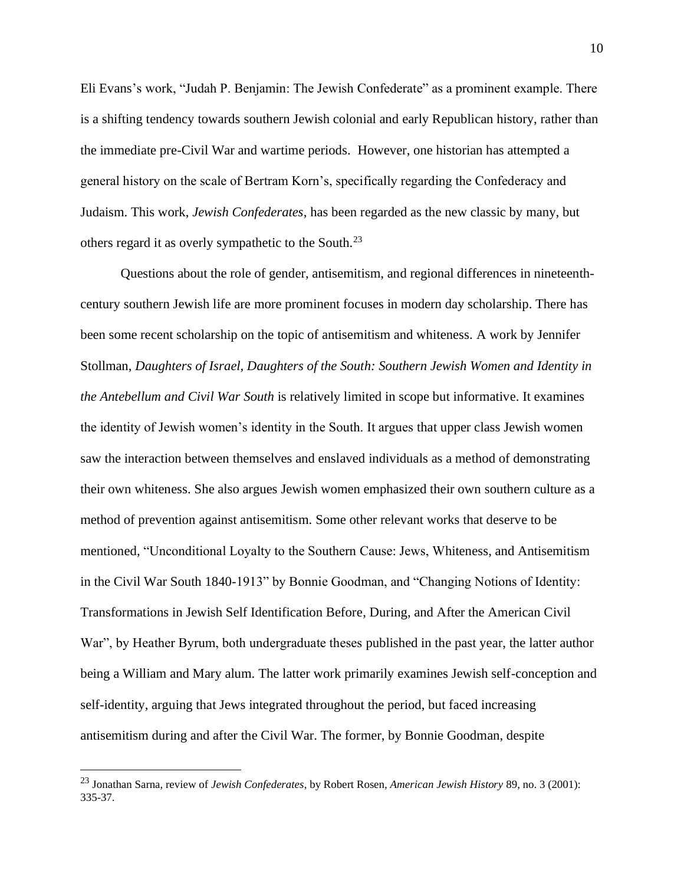Eli Evans's work, "Judah P. Benjamin: The Jewish Confederate" as a prominent example. There is a shifting tendency towards southern Jewish colonial and early Republican history, rather than the immediate pre-Civil War and wartime periods. However, one historian has attempted a general history on the scale of Bertram Korn's, specifically regarding the Confederacy and Judaism. This work, *Jewish Confederates*, has been regarded as the new classic by many, but others regard it as overly sympathetic to the South.<sup>23</sup>

Questions about the role of gender, antisemitism, and regional differences in nineteenthcentury southern Jewish life are more prominent focuses in modern day scholarship. There has been some recent scholarship on the topic of antisemitism and whiteness. A work by Jennifer Stollman, *Daughters of Israel, Daughters of the South: Southern Jewish Women and Identity in the Antebellum and Civil War South* is relatively limited in scope but informative. It examines the identity of Jewish women's identity in the South. It argues that upper class Jewish women saw the interaction between themselves and enslaved individuals as a method of demonstrating their own whiteness. She also argues Jewish women emphasized their own southern culture as a method of prevention against antisemitism. Some other relevant works that deserve to be mentioned, "Unconditional Loyalty to the Southern Cause: Jews, Whiteness, and Antisemitism in the Civil War South 1840-1913" by Bonnie Goodman, and "Changing Notions of Identity: Transformations in Jewish Self Identification Before, During, and After the American Civil War", by Heather Byrum, both undergraduate theses published in the past year, the latter author being a William and Mary alum. The latter work primarily examines Jewish self-conception and self-identity, arguing that Jews integrated throughout the period, but faced increasing antisemitism during and after the Civil War. The former, by Bonnie Goodman, despite

<sup>23</sup> Jonathan Sarna, review of *Jewish Confederates*, by Robert Rosen, *American Jewish History* 89, no. 3 (2001): 335-37.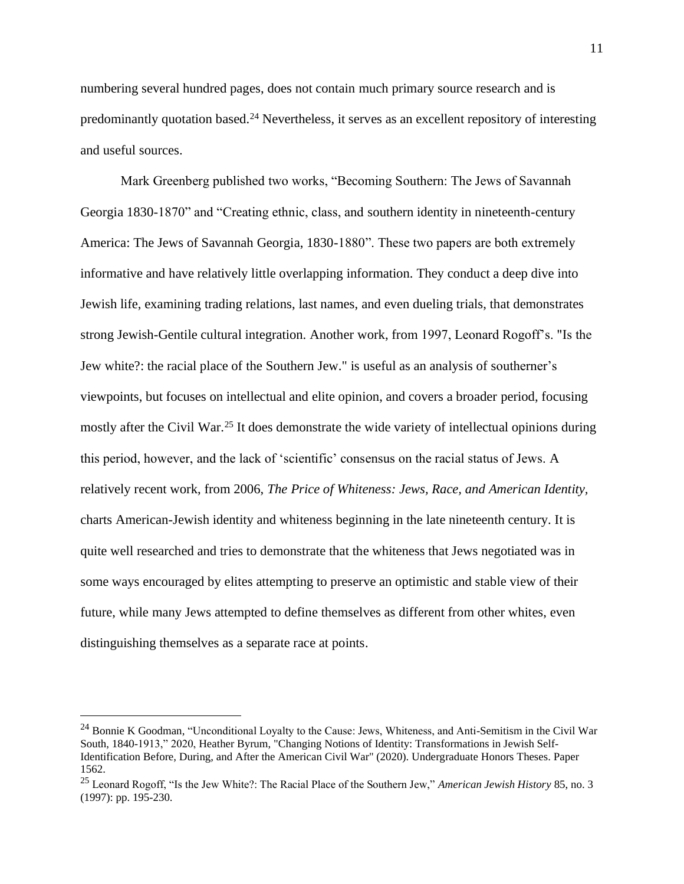numbering several hundred pages, does not contain much primary source research and is predominantly quotation based.<sup>24</sup> Nevertheless, it serves as an excellent repository of interesting and useful sources.

Mark Greenberg published two works, "Becoming Southern: The Jews of Savannah Georgia 1830-1870" and "Creating ethnic, class, and southern identity in nineteenth-century America: The Jews of Savannah Georgia, 1830-1880". These two papers are both extremely informative and have relatively little overlapping information. They conduct a deep dive into Jewish life, examining trading relations, last names, and even dueling trials, that demonstrates strong Jewish-Gentile cultural integration. Another work, from 1997, Leonard Rogoff's. "Is the Jew white?: the racial place of the Southern Jew." is useful as an analysis of southerner's viewpoints, but focuses on intellectual and elite opinion, and covers a broader period, focusing mostly after the Civil War.<sup>25</sup> It does demonstrate the wide variety of intellectual opinions during this period, however, and the lack of 'scientific' consensus on the racial status of Jews. A relatively recent work, from 2006, *The Price of Whiteness: Jews, Race, and American Identity,* charts American-Jewish identity and whiteness beginning in the late nineteenth century. It is quite well researched and tries to demonstrate that the whiteness that Jews negotiated was in some ways encouraged by elites attempting to preserve an optimistic and stable view of their future, while many Jews attempted to define themselves as different from other whites, even distinguishing themselves as a separate race at points.

<sup>24</sup> Bonnie K Goodman, "Unconditional Loyalty to the Cause: Jews, Whiteness, and Anti-Semitism in the Civil War South, 1840-1913," 2020, Heather Byrum, "Changing Notions of Identity: Transformations in Jewish Self-Identification Before, During, and After the American Civil War" (2020). Undergraduate Honors Theses. Paper 1562.

<sup>25</sup> Leonard Rogoff, "Is the Jew White?: The Racial Place of the Southern Jew," *American Jewish History* 85, no. 3 (1997): pp. 195-230.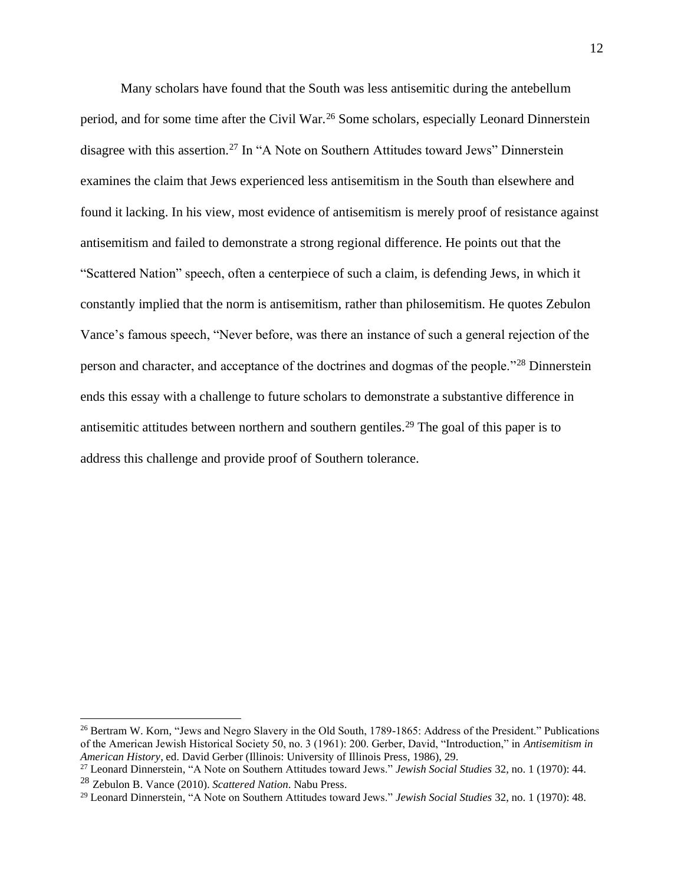Many scholars have found that the South was less antisemitic during the antebellum period, and for some time after the Civil War.<sup>26</sup> Some scholars, especially Leonard Dinnerstein disagree with this assertion.<sup>27</sup> In "A Note on Southern Attitudes toward Jews" Dinnerstein examines the claim that Jews experienced less antisemitism in the South than elsewhere and found it lacking. In his view, most evidence of antisemitism is merely proof of resistance against antisemitism and failed to demonstrate a strong regional difference. He points out that the "Scattered Nation" speech, often a centerpiece of such a claim, is defending Jews, in which it constantly implied that the norm is antisemitism, rather than philosemitism. He quotes Zebulon Vance's famous speech, "Never before, was there an instance of such a general rejection of the person and character, and acceptance of the doctrines and dogmas of the people."<sup>28</sup> Dinnerstein ends this essay with a challenge to future scholars to demonstrate a substantive difference in antisemitic attitudes between northern and southern gentiles.<sup>29</sup> The goal of this paper is to address this challenge and provide proof of Southern tolerance.

<sup>&</sup>lt;sup>26</sup> Bertram W. Korn, "Jews and Negro Slavery in the Old South, 1789-1865: Address of the President." Publications of the American Jewish Historical Society 50, no. 3 (1961): 200. Gerber, David, "Introduction," in *Antisemitism in American History*, ed. David Gerber (Illinois: University of Illinois Press, 1986), 29.

<sup>27</sup> Leonard Dinnerstein, "A Note on Southern Attitudes toward Jews." *Jewish Social Studies* 32, no. 1 (1970): 44. <sup>28</sup> Zebulon B. Vance (2010). *Scattered Nation*. Nabu Press.

<sup>29</sup> Leonard Dinnerstein, "A Note on Southern Attitudes toward Jews." *Jewish Social Studies* 32, no. 1 (1970): 48.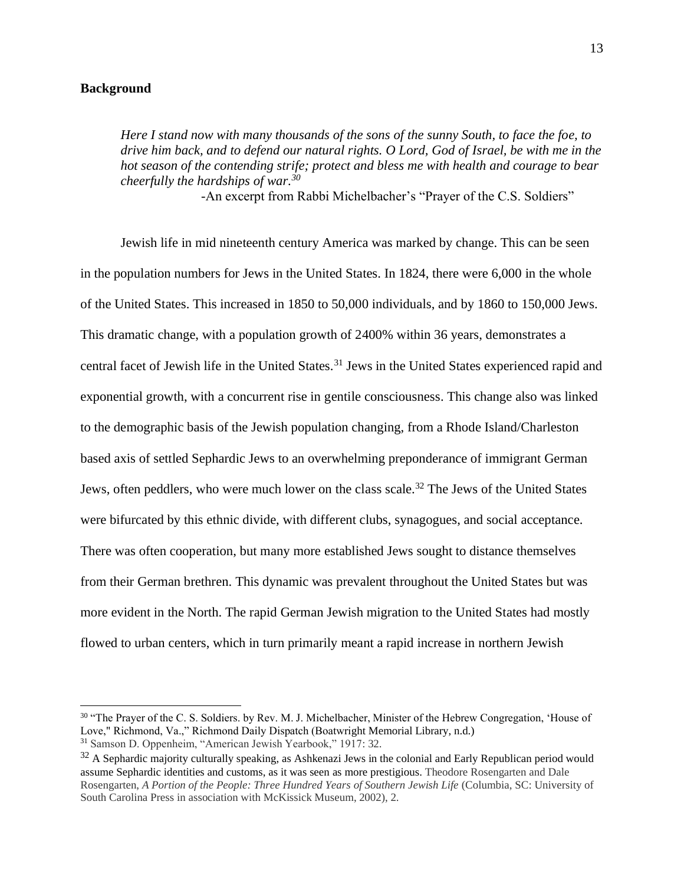#### **Background**

*Here I stand now with many thousands of the sons of the sunny South, to face the foe, to drive him back, and to defend our natural rights. O Lord, God of Israel, be with me in the hot season of the contending strife; protect and bless me with health and courage to bear cheerfully the hardships of war.<sup>30</sup>*

-An excerpt from Rabbi Michelbacher's "Prayer of the C.S. Soldiers"

Jewish life in mid nineteenth century America was marked by change. This can be seen in the population numbers for Jews in the United States. In 1824, there were 6,000 in the whole of the United States. This increased in 1850 to 50,000 individuals, and by 1860 to 150,000 Jews. This dramatic change, with a population growth of 2400% within 36 years, demonstrates a central facet of Jewish life in the United States.<sup>31</sup> Jews in the United States experienced rapid and exponential growth, with a concurrent rise in gentile consciousness. This change also was linked to the demographic basis of the Jewish population changing, from a Rhode Island/Charleston based axis of settled Sephardic Jews to an overwhelming preponderance of immigrant German Jews, often peddlers, who were much lower on the class scale.<sup>32</sup> The Jews of the United States were bifurcated by this ethnic divide, with different clubs, synagogues, and social acceptance. There was often cooperation, but many more established Jews sought to distance themselves from their German brethren. This dynamic was prevalent throughout the United States but was more evident in the North. The rapid German Jewish migration to the United States had mostly flowed to urban centers, which in turn primarily meant a rapid increase in northern Jewish

<sup>&</sup>lt;sup>30</sup> "The Prayer of the C. S. Soldiers. by Rev. M. J. Michelbacher, Minister of the Hebrew Congregation, 'House of Love," Richmond, Va.," Richmond Daily Dispatch (Boatwright Memorial Library, n.d.)

<sup>31</sup> Samson D. Oppenheim, "American Jewish Yearbook," 1917: 32.

 $32$  A Sephardic majority culturally speaking, as Ashkenazi Jews in the colonial and Early Republican period would assume Sephardic identities and customs, as it was seen as more prestigious. Theodore Rosengarten and Dale Rosengarten, *A Portion of the People: Three Hundred Years of Southern Jewish Life* (Columbia, SC: University of South Carolina Press in association with McKissick Museum, 2002), 2.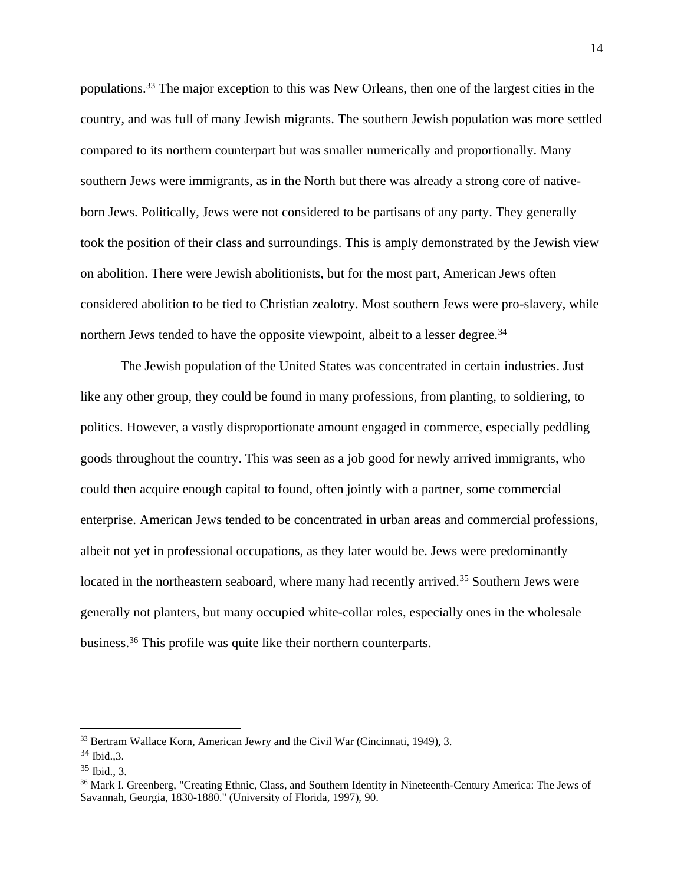populations.<sup>33</sup> The major exception to this was New Orleans, then one of the largest cities in the country, and was full of many Jewish migrants. The southern Jewish population was more settled compared to its northern counterpart but was smaller numerically and proportionally. Many southern Jews were immigrants, as in the North but there was already a strong core of nativeborn Jews. Politically, Jews were not considered to be partisans of any party. They generally took the position of their class and surroundings. This is amply demonstrated by the Jewish view on abolition. There were Jewish abolitionists, but for the most part, American Jews often considered abolition to be tied to Christian zealotry. Most southern Jews were pro-slavery, while northern Jews tended to have the opposite viewpoint, albeit to a lesser degree.<sup>34</sup>

The Jewish population of the United States was concentrated in certain industries. Just like any other group, they could be found in many professions, from planting, to soldiering, to politics. However, a vastly disproportionate amount engaged in commerce, especially peddling goods throughout the country. This was seen as a job good for newly arrived immigrants, who could then acquire enough capital to found, often jointly with a partner, some commercial enterprise. American Jews tended to be concentrated in urban areas and commercial professions, albeit not yet in professional occupations, as they later would be. Jews were predominantly located in the northeastern seaboard, where many had recently arrived.<sup>35</sup> Southern Jews were generally not planters, but many occupied white-collar roles, especially ones in the wholesale business.<sup>36</sup> This profile was quite like their northern counterparts.

<sup>&</sup>lt;sup>33</sup> Bertram Wallace Korn, American Jewry and the Civil War (Cincinnati, 1949), 3.

<sup>34</sup> Ibid.,3.

 $35$  Ibid., 3.

<sup>&</sup>lt;sup>36</sup> Mark I. Greenberg, "Creating Ethnic, Class, and Southern Identity in Nineteenth-Century America: The Jews of Savannah, Georgia, 1830-1880." (University of Florida, 1997), 90.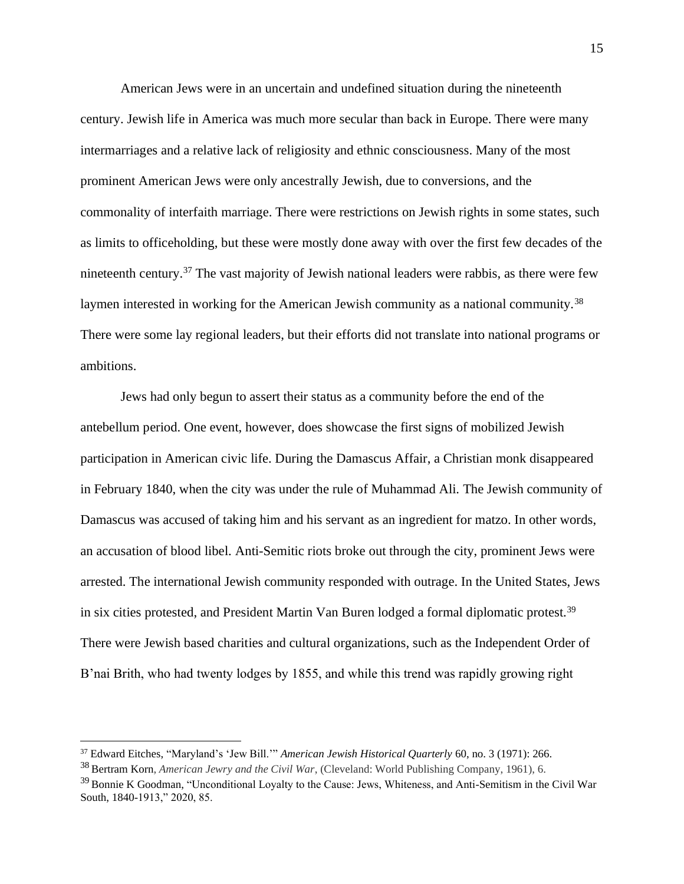American Jews were in an uncertain and undefined situation during the nineteenth century. Jewish life in America was much more secular than back in Europe. There were many intermarriages and a relative lack of religiosity and ethnic consciousness. Many of the most prominent American Jews were only ancestrally Jewish, due to conversions, and the commonality of interfaith marriage. There were restrictions on Jewish rights in some states, such as limits to officeholding, but these were mostly done away with over the first few decades of the nineteenth century.<sup>37</sup> The vast majority of Jewish national leaders were rabbis, as there were few laymen interested in working for the American Jewish community as a national community.<sup>38</sup> There were some lay regional leaders, but their efforts did not translate into national programs or ambitions.

Jews had only begun to assert their status as a community before the end of the antebellum period. One event, however, does showcase the first signs of mobilized Jewish participation in American civic life. During the Damascus Affair, a Christian monk disappeared in February 1840, when the city was under the rule of Muhammad Ali. The Jewish community of Damascus was accused of taking him and his servant as an ingredient for matzo. In other words, an accusation of blood libel. Anti-Semitic riots broke out through the city, prominent Jews were arrested. The international Jewish community responded with outrage. In the United States, Jews in six cities protested, and President Martin Van Buren lodged a formal diplomatic protest.<sup>39</sup> There were Jewish based charities and cultural organizations, such as the Independent Order of B'nai Brith, who had twenty lodges by 1855, and while this trend was rapidly growing right

<sup>37</sup> Edward Eitches, "Maryland's 'Jew Bill.'" *American Jewish Historical Quarterly* 60, no. 3 (1971): 266.

<sup>38</sup> Bertram Korn, *American Jewry and the Civil War*, (Cleveland: World Publishing Company, 1961), 6.

<sup>&</sup>lt;sup>39</sup> Bonnie K Goodman, "Unconditional Loyalty to the Cause: Jews, Whiteness, and Anti-Semitism in the Civil War South, 1840-1913," 2020, 85.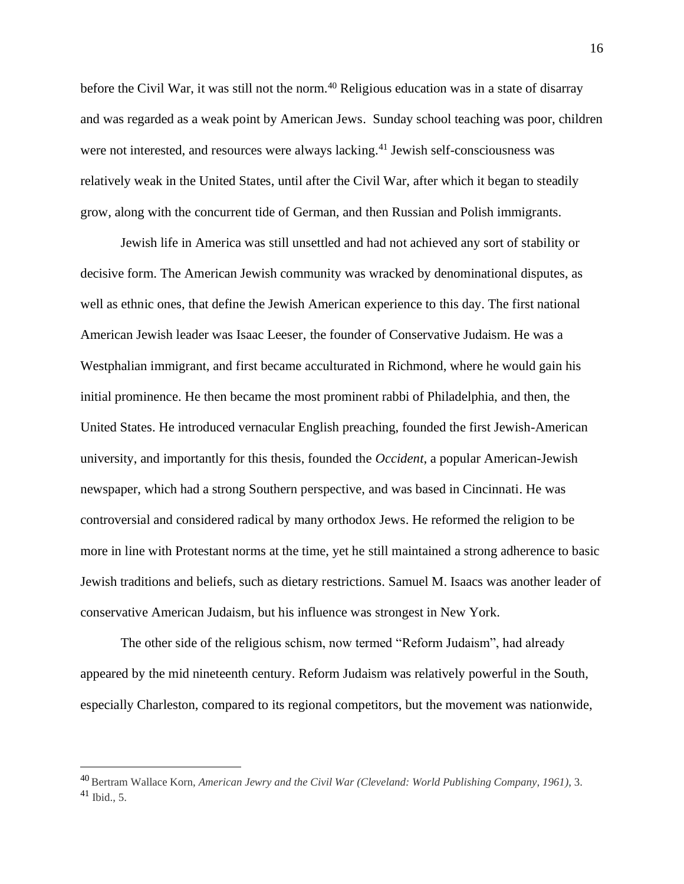before the Civil War, it was still not the norm.<sup>40</sup> Religious education was in a state of disarray and was regarded as a weak point by American Jews. Sunday school teaching was poor, children were not interested, and resources were always lacking.<sup>41</sup> Jewish self-consciousness was relatively weak in the United States, until after the Civil War, after which it began to steadily grow, along with the concurrent tide of German, and then Russian and Polish immigrants.

Jewish life in America was still unsettled and had not achieved any sort of stability or decisive form. The American Jewish community was wracked by denominational disputes, as well as ethnic ones, that define the Jewish American experience to this day. The first national American Jewish leader was Isaac Leeser, the founder of Conservative Judaism. He was a Westphalian immigrant, and first became acculturated in Richmond, where he would gain his initial prominence. He then became the most prominent rabbi of Philadelphia, and then, the United States. He introduced vernacular English preaching, founded the first Jewish-American university, and importantly for this thesis, founded the *Occident*, a popular American-Jewish newspaper, which had a strong Southern perspective, and was based in Cincinnati. He was controversial and considered radical by many orthodox Jews. He reformed the religion to be more in line with Protestant norms at the time, yet he still maintained a strong adherence to basic Jewish traditions and beliefs, such as dietary restrictions. Samuel M. Isaacs was another leader of conservative American Judaism, but his influence was strongest in New York.

The other side of the religious schism, now termed "Reform Judaism", had already appeared by the mid nineteenth century. Reform Judaism was relatively powerful in the South, especially Charleston, compared to its regional competitors, but the movement was nationwide,

<sup>40</sup> Bertram Wallace Korn, *American Jewry and the Civil War (Cleveland: World Publishing Company, 1961)*, 3. <sup>41</sup> Ibid., 5.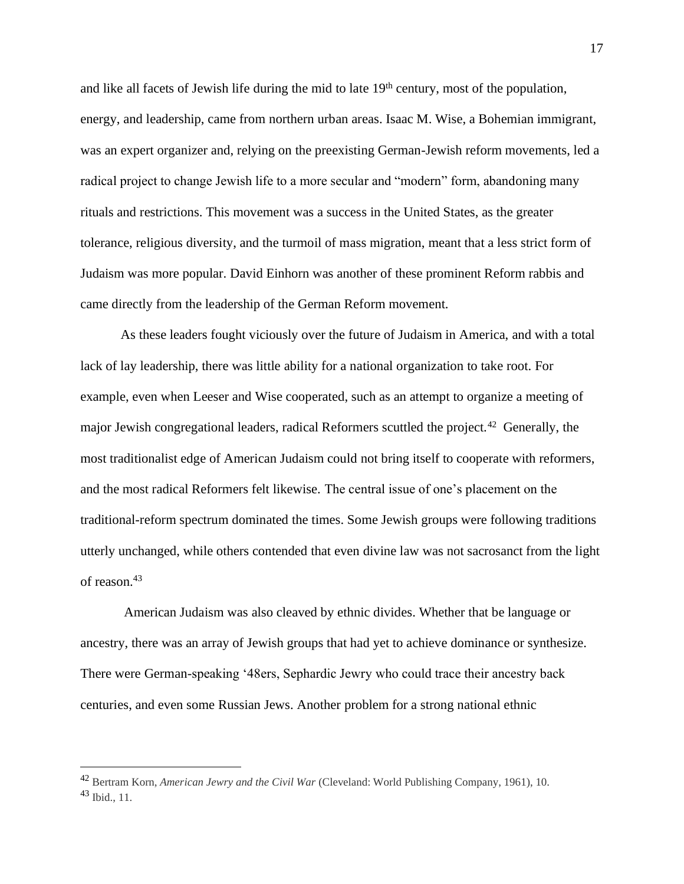and like all facets of Jewish life during the mid to late  $19<sup>th</sup>$  century, most of the population, energy, and leadership, came from northern urban areas. Isaac M. Wise, a Bohemian immigrant, was an expert organizer and, relying on the preexisting German-Jewish reform movements, led a radical project to change Jewish life to a more secular and "modern" form, abandoning many rituals and restrictions. This movement was a success in the United States, as the greater tolerance, religious diversity, and the turmoil of mass migration, meant that a less strict form of Judaism was more popular. David Einhorn was another of these prominent Reform rabbis and came directly from the leadership of the German Reform movement.

As these leaders fought viciously over the future of Judaism in America, and with a total lack of lay leadership, there was little ability for a national organization to take root. For example, even when Leeser and Wise cooperated, such as an attempt to organize a meeting of major Jewish congregational leaders, radical Reformers scuttled the project.<sup>42</sup> Generally, the most traditionalist edge of American Judaism could not bring itself to cooperate with reformers, and the most radical Reformers felt likewise. The central issue of one's placement on the traditional-reform spectrum dominated the times. Some Jewish groups were following traditions utterly unchanged, while others contended that even divine law was not sacrosanct from the light of reason.<sup>43</sup>

American Judaism was also cleaved by ethnic divides. Whether that be language or ancestry, there was an array of Jewish groups that had yet to achieve dominance or synthesize. There were German-speaking '48ers, Sephardic Jewry who could trace their ancestry back centuries, and even some Russian Jews. Another problem for a strong national ethnic

<sup>42</sup> Bertram Korn, *American Jewry and the Civil War* (Cleveland: World Publishing Company, 1961), 10. <sup>43</sup> Ibid., 11.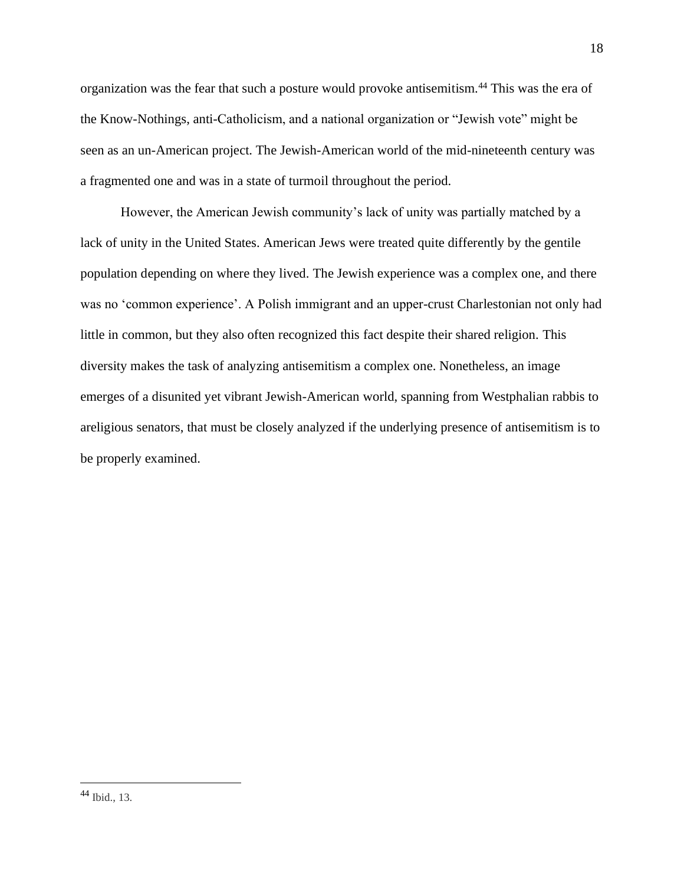organization was the fear that such a posture would provoke antisemitism.<sup>44</sup> This was the era of the Know-Nothings, anti-Catholicism, and a national organization or "Jewish vote" might be seen as an un-American project. The Jewish-American world of the mid-nineteenth century was a fragmented one and was in a state of turmoil throughout the period.

However, the American Jewish community's lack of unity was partially matched by a lack of unity in the United States. American Jews were treated quite differently by the gentile population depending on where they lived. The Jewish experience was a complex one, and there was no 'common experience'. A Polish immigrant and an upper-crust Charlestonian not only had little in common, but they also often recognized this fact despite their shared religion. This diversity makes the task of analyzing antisemitism a complex one. Nonetheless, an image emerges of a disunited yet vibrant Jewish-American world, spanning from Westphalian rabbis to areligious senators, that must be closely analyzed if the underlying presence of antisemitism is to be properly examined.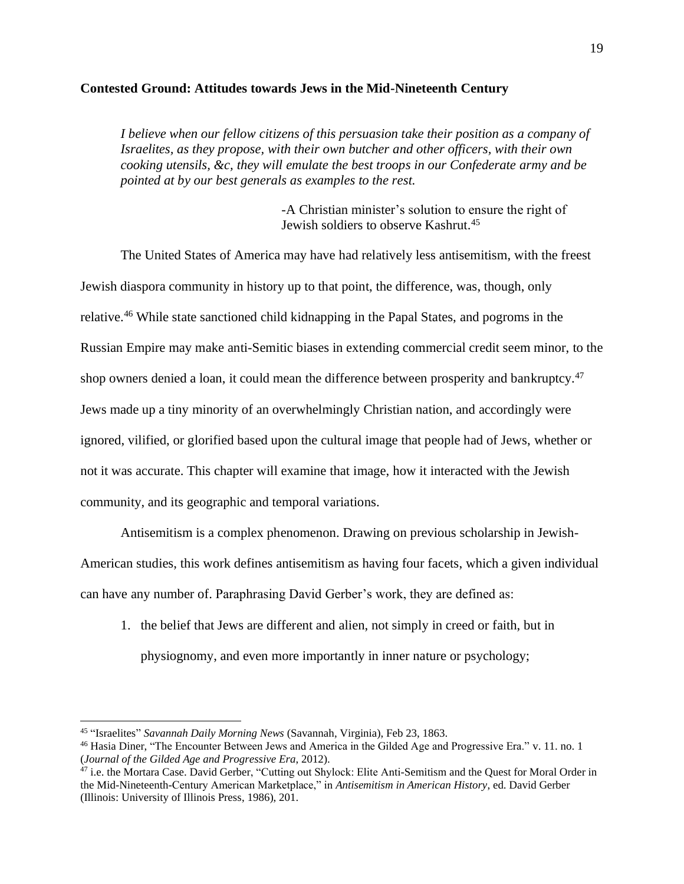#### **Contested Ground: Attitudes towards Jews in the Mid-Nineteenth Century**

*I believe when our fellow citizens of this persuasion take their position as a company of Israelites, as they propose, with their own butcher and other officers, with their own cooking utensils, &c, they will emulate the best troops in our Confederate army and be pointed at by our best generals as examples to the rest.*

> -A Christian minister's solution to ensure the right of Jewish soldiers to observe Kashrut. 45

The United States of America may have had relatively less antisemitism, with the freest Jewish diaspora community in history up to that point, the difference, was, though, only relative.<sup>46</sup> While state sanctioned child kidnapping in the Papal States, and pogroms in the Russian Empire may make anti-Semitic biases in extending commercial credit seem minor, to the shop owners denied a loan, it could mean the difference between prosperity and bankruptcy.<sup>47</sup> Jews made up a tiny minority of an overwhelmingly Christian nation, and accordingly were ignored, vilified, or glorified based upon the cultural image that people had of Jews, whether or not it was accurate. This chapter will examine that image, how it interacted with the Jewish community, and its geographic and temporal variations.

Antisemitism is a complex phenomenon. Drawing on previous scholarship in Jewish-

American studies, this work defines antisemitism as having four facets, which a given individual can have any number of. Paraphrasing David Gerber's work, they are defined as:

1. the belief that Jews are different and alien, not simply in creed or faith, but in physiognomy, and even more importantly in inner nature or psychology;

<sup>45</sup> "Israelites" *Savannah Daily Morning News* (Savannah, Virginia), Feb 23, 1863.

<sup>46</sup> Hasia Diner, "The Encounter Between Jews and America in the Gilded Age and Progressive Era." v. 11. no. 1 (*Journal of the Gilded Age and Progressive Era*, 2012).

<sup>&</sup>lt;sup>47</sup> i.e. the Mortara Case. David Gerber, "Cutting out Shylock: Elite Anti-Semitism and the Quest for Moral Order in the Mid-Nineteenth-Century American Marketplace," in *Antisemitism in American History*, ed. David Gerber (Illinois: University of Illinois Press, 1986), 201.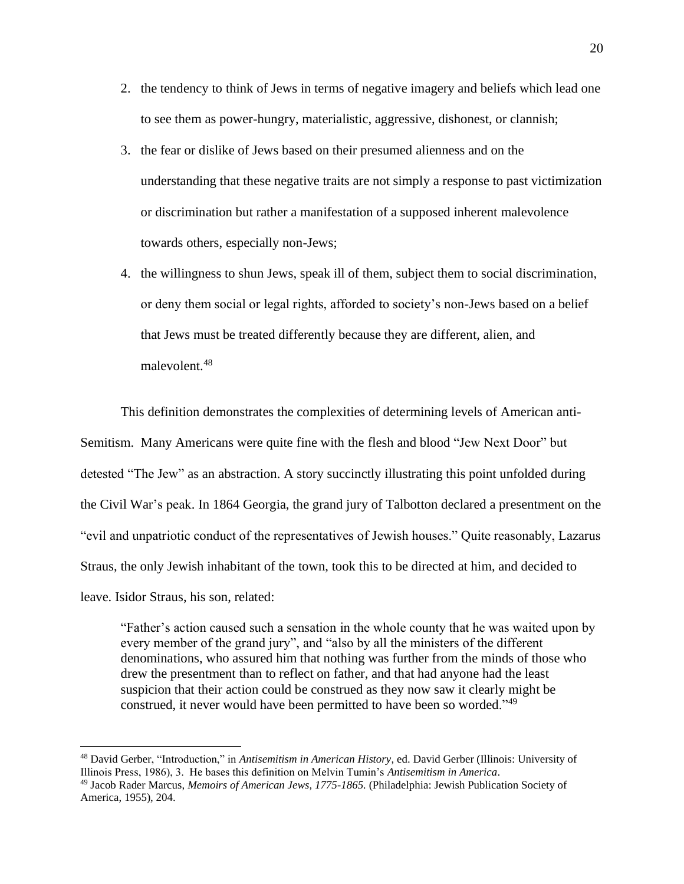- 2. the tendency to think of Jews in terms of negative imagery and beliefs which lead one to see them as power-hungry, materialistic, aggressive, dishonest, or clannish;
- 3. the fear or dislike of Jews based on their presumed alienness and on the understanding that these negative traits are not simply a response to past victimization or discrimination but rather a manifestation of a supposed inherent malevolence towards others, especially non-Jews;
- 4. the willingness to shun Jews, speak ill of them, subject them to social discrimination, or deny them social or legal rights, afforded to society's non-Jews based on a belief that Jews must be treated differently because they are different, alien, and malevolent.<sup>48</sup>

This definition demonstrates the complexities of determining levels of American anti-Semitism. Many Americans were quite fine with the flesh and blood "Jew Next Door" but detested "The Jew" as an abstraction. A story succinctly illustrating this point unfolded during the Civil War's peak. In 1864 Georgia, the grand jury of Talbotton declared a presentment on the "evil and unpatriotic conduct of the representatives of Jewish houses." Quite reasonably, Lazarus Straus, the only Jewish inhabitant of the town, took this to be directed at him, and decided to leave. Isidor Straus, his son, related:

"Father's action caused such a sensation in the whole county that he was waited upon by every member of the grand jury", and "also by all the ministers of the different denominations, who assured him that nothing was further from the minds of those who drew the presentment than to reflect on father, and that had anyone had the least suspicion that their action could be construed as they now saw it clearly might be construed, it never would have been permitted to have been so worded."<sup>49</sup>

<sup>48</sup> David Gerber, "Introduction," in *Antisemitism in American History*, ed. David Gerber (Illinois: University of Illinois Press, 1986), 3. He bases this definition on Melvin Tumin's *Antisemitism in America*.

<sup>49</sup> Jacob Rader Marcus, *Memoirs of American Jews, 1775-1865.* (Philadelphia: Jewish Publication Society of America, 1955), 204.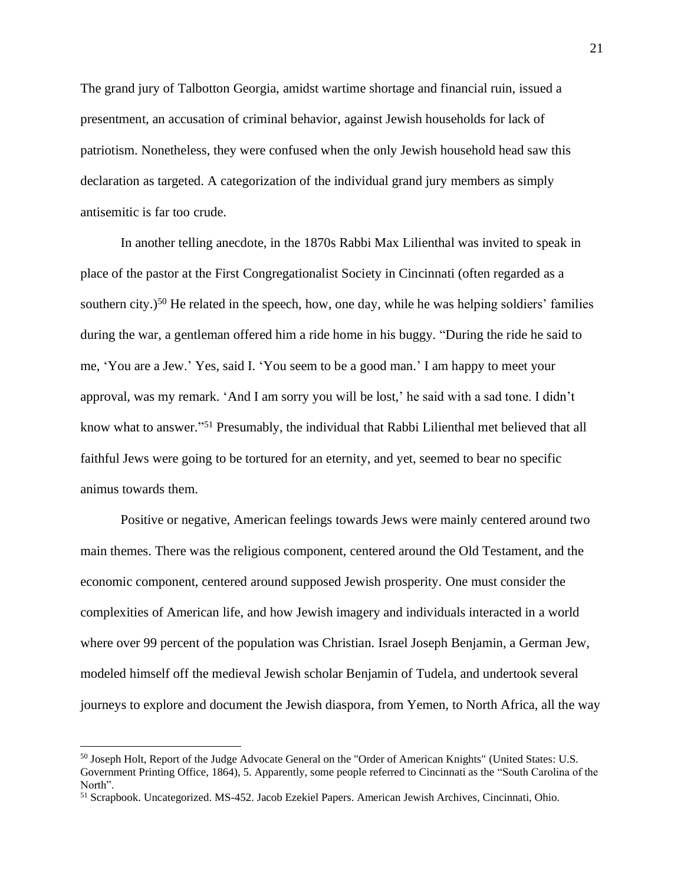The grand jury of Talbotton Georgia, amidst wartime shortage and financial ruin, issued a presentment, an accusation of criminal behavior, against Jewish households for lack of patriotism. Nonetheless, they were confused when the only Jewish household head saw this declaration as targeted. A categorization of the individual grand jury members as simply antisemitic is far too crude.

In another telling anecdote, in the 1870s Rabbi Max Lilienthal was invited to speak in place of the pastor at the First Congregationalist Society in Cincinnati (often regarded as a southern city.)<sup>50</sup> He related in the speech, how, one day, while he was helping soldiers' families during the war, a gentleman offered him a ride home in his buggy. "During the ride he said to me, 'You are a Jew.' Yes, said I. 'You seem to be a good man.' I am happy to meet your approval, was my remark. 'And I am sorry you will be lost,' he said with a sad tone. I didn't know what to answer."<sup>51</sup> Presumably, the individual that Rabbi Lilienthal met believed that all faithful Jews were going to be tortured for an eternity, and yet, seemed to bear no specific animus towards them.

Positive or negative, American feelings towards Jews were mainly centered around two main themes. There was the religious component, centered around the Old Testament, and the economic component, centered around supposed Jewish prosperity. One must consider the complexities of American life, and how Jewish imagery and individuals interacted in a world where over 99 percent of the population was Christian. Israel Joseph Benjamin, a German Jew, modeled himself off the medieval Jewish scholar Benjamin of Tudela, and undertook several journeys to explore and document the Jewish diaspora, from Yemen, to North Africa, all the way

<sup>&</sup>lt;sup>50</sup> Joseph Holt, Report of the Judge Advocate General on the "Order of American Knights" (United States: U.S. Government Printing Office, 1864), 5. Apparently, some people referred to Cincinnati as the "South Carolina of the North".

<sup>51</sup> Scrapbook. Uncategorized. MS-452. Jacob Ezekiel Papers. American Jewish Archives, Cincinnati, Ohio.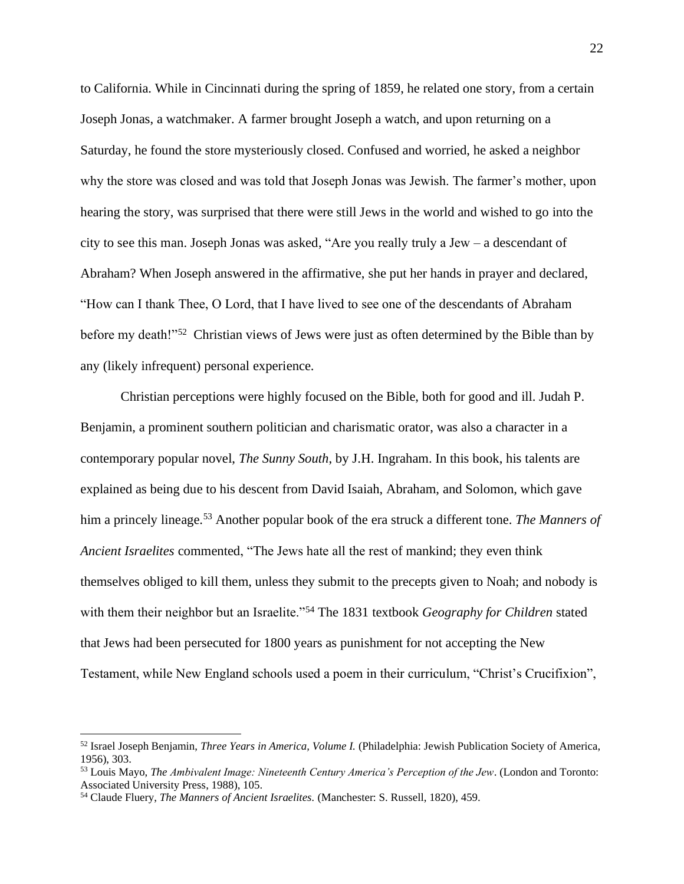to California. While in Cincinnati during the spring of 1859, he related one story, from a certain Joseph Jonas, a watchmaker. A farmer brought Joseph a watch, and upon returning on a Saturday, he found the store mysteriously closed. Confused and worried, he asked a neighbor why the store was closed and was told that Joseph Jonas was Jewish. The farmer's mother, upon hearing the story, was surprised that there were still Jews in the world and wished to go into the city to see this man. Joseph Jonas was asked, "Are you really truly a Jew – a descendant of Abraham? When Joseph answered in the affirmative, she put her hands in prayer and declared, "How can I thank Thee, O Lord, that I have lived to see one of the descendants of Abraham before my death!"<sup>52</sup> Christian views of Jews were just as often determined by the Bible than by any (likely infrequent) personal experience.

Christian perceptions were highly focused on the Bible, both for good and ill. Judah P. Benjamin, a prominent southern politician and charismatic orator, was also a character in a contemporary popular novel, *The Sunny South*, by J.H. Ingraham. In this book, his talents are explained as being due to his descent from David Isaiah, Abraham, and Solomon, which gave him a princely lineage.<sup>53</sup> Another popular book of the era struck a different tone. *The Manners of Ancient Israelites* commented, "The Jews hate all the rest of mankind; they even think themselves obliged to kill them, unless they submit to the precepts given to Noah; and nobody is with them their neighbor but an Israelite."<sup>54</sup> The 1831 textbook *Geography for Children* stated that Jews had been persecuted for 1800 years as punishment for not accepting the New Testament, while New England schools used a poem in their curriculum, "Christ's Crucifixion",

<sup>52</sup> Israel Joseph Benjamin, *Three Years in America, Volume I.* (Philadelphia: Jewish Publication Society of America, 1956), 303.

<sup>53</sup> Louis Mayo, *The Ambivalent Image: Nineteenth Century America's Perception of the Jew*. (London and Toronto: Associated University Press, 1988), 105.

<sup>54</sup> Claude Fluery, *The Manners of Ancient Israelites.* (Manchester: S. Russell, 1820), 459.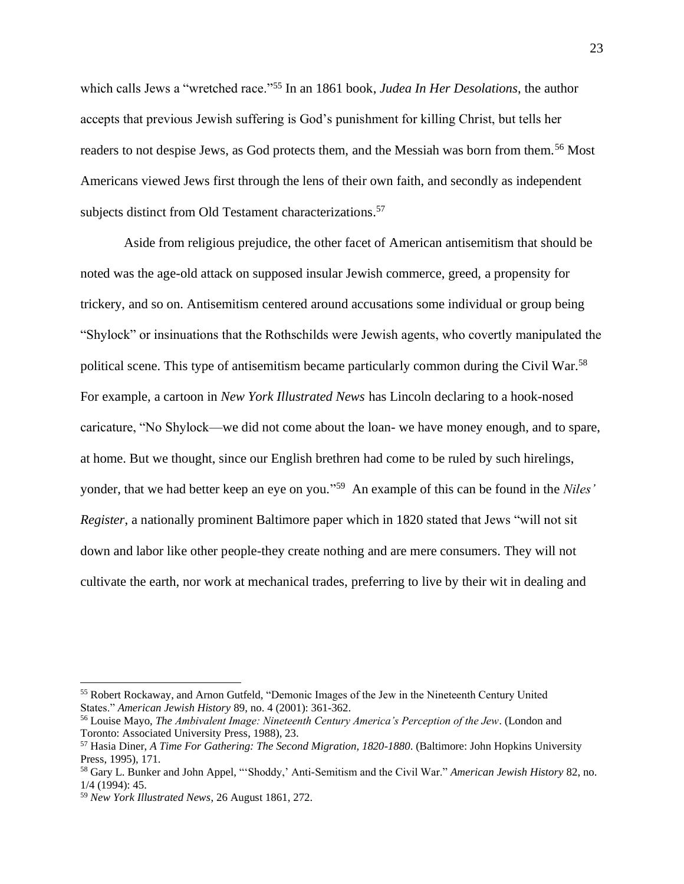which calls Jews a "wretched race."<sup>55</sup> In an 1861 book, *Judea In Her Desolations*, the author accepts that previous Jewish suffering is God's punishment for killing Christ, but tells her readers to not despise Jews, as God protects them, and the Messiah was born from them.<sup>56</sup> Most Americans viewed Jews first through the lens of their own faith, and secondly as independent subjects distinct from Old Testament characterizations.<sup>57</sup>

Aside from religious prejudice, the other facet of American antisemitism that should be noted was the age-old attack on supposed insular Jewish commerce, greed, a propensity for trickery, and so on. Antisemitism centered around accusations some individual or group being "Shylock" or insinuations that the Rothschilds were Jewish agents, who covertly manipulated the political scene. This type of antisemitism became particularly common during the Civil War.<sup>58</sup> For example, a cartoon in *New York Illustrated News* has Lincoln declaring to a hook-nosed caricature, "No Shylock—we did not come about the loan- we have money enough, and to spare, at home. But we thought, since our English brethren had come to be ruled by such hirelings, yonder, that we had better keep an eye on you." <sup>59</sup> An example of this can be found in the *Niles' Register*, a nationally prominent Baltimore paper which in 1820 stated that Jews "will not sit down and labor like other people-they create nothing and are mere consumers. They will not cultivate the earth, nor work at mechanical trades, preferring to live by their wit in dealing and

<sup>55</sup> Robert Rockaway, and Arnon Gutfeld, "Demonic Images of the Jew in the Nineteenth Century United States." *American Jewish History* 89, no. 4 (2001): 361-362.

<sup>56</sup> Louise Mayo, *The Ambivalent Image: Nineteenth Century America's Perception of the Jew*. (London and Toronto: Associated University Press, 1988), 23.

<sup>57</sup> Hasia Diner, *A Time For Gathering: The Second Migration, 1820-1880*. (Baltimore: John Hopkins University Press, 1995), 171.

<sup>58</sup> Gary L. Bunker and John Appel, "'Shoddy,' Anti-Semitism and the Civil War." *American Jewish History* 82, no. 1/4 (1994): 45.

<sup>59</sup> *New York Illustrated News*, 26 August 1861, 272.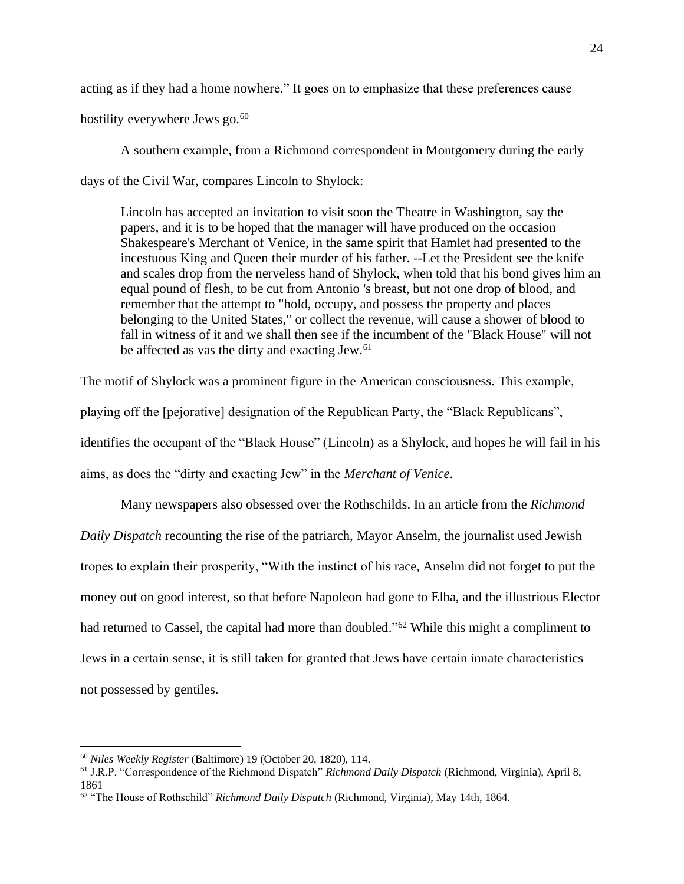acting as if they had a home nowhere." It goes on to emphasize that these preferences cause

hostility everywhere Jews go. $60$ 

A southern example, from a Richmond correspondent in Montgomery during the early days of the Civil War, compares Lincoln to Shylock:

Lincoln has accepted an invitation to visit soon the Theatre in Washington, say the papers, and it is to be hoped that the manager will have produced on the occasion Shakespeare's Merchant of Venice, in the same spirit that Hamlet had presented to the incestuous King and Queen their murder of his father. --Let the President see the knife and scales drop from the nerveless hand of Shylock, when told that his bond gives him an equal pound of flesh, to be cut from Antonio 's breast, but not one drop of blood, and remember that the attempt to "hold, occupy, and possess the property and places belonging to the United States," or collect the revenue, will cause a shower of blood to fall in witness of it and we shall then see if the incumbent of the "Black House" will not be affected as vas the dirty and exacting Jew.<sup>61</sup>

The motif of Shylock was a prominent figure in the American consciousness. This example, playing off the [pejorative] designation of the Republican Party, the "Black Republicans", identifies the occupant of the "Black House" (Lincoln) as a Shylock, and hopes he will fail in his aims, as does the "dirty and exacting Jew" in the *Merchant of Venice*.

Many newspapers also obsessed over the Rothschilds. In an article from the *Richmond Daily Dispatch* recounting the rise of the patriarch, Mayor Anselm, the journalist used Jewish tropes to explain their prosperity, "With the instinct of his race, Anselm did not forget to put the money out on good interest, so that before Napoleon had gone to Elba, and the illustrious Elector had returned to Cassel, the capital had more than doubled."<sup>62</sup> While this might a compliment to Jews in a certain sense, it is still taken for granted that Jews have certain innate characteristics not possessed by gentiles.

<sup>60</sup> *Niles Weekly Register* (Baltimore) 19 (October 20, 1820), 114.

<sup>61</sup> J.R.P. "Correspondence of the Richmond Dispatch" *Richmond Daily Dispatch* (Richmond, Virginia), April 8, 1861

<sup>62</sup> "The House of Rothschild" *Richmond Daily Dispatch* (Richmond, Virginia), May 14th, 1864.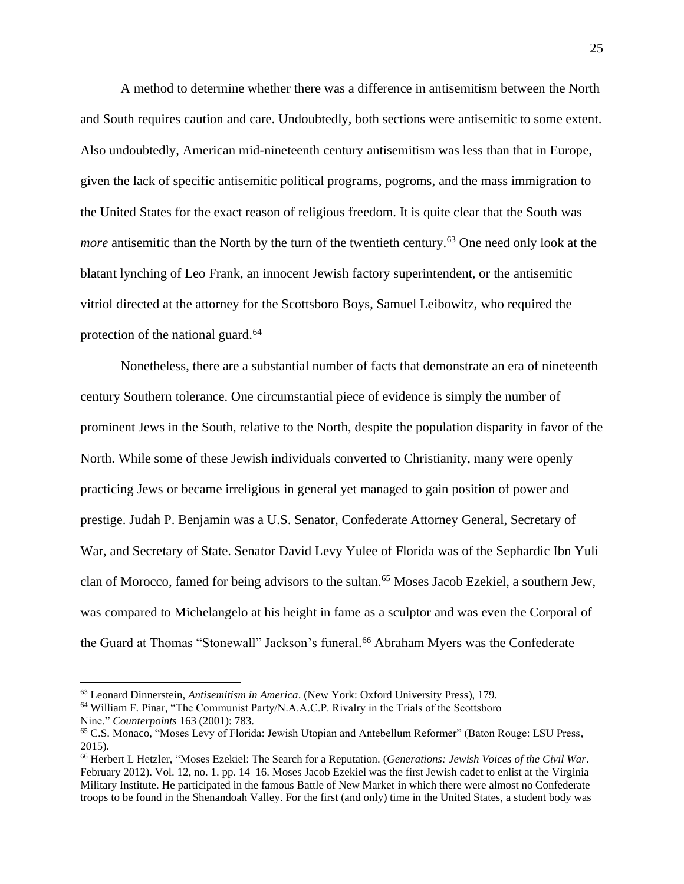A method to determine whether there was a difference in antisemitism between the North and South requires caution and care. Undoubtedly, both sections were antisemitic to some extent. Also undoubtedly, American mid-nineteenth century antisemitism was less than that in Europe, given the lack of specific antisemitic political programs, pogroms, and the mass immigration to the United States for the exact reason of religious freedom. It is quite clear that the South was *more* antisemitic than the North by the turn of the twentieth century.<sup>63</sup> One need only look at the blatant lynching of Leo Frank, an innocent Jewish factory superintendent, or the antisemitic vitriol directed at the attorney for the Scottsboro Boys, Samuel Leibowitz, who required the protection of the national guard.<sup>64</sup>

Nonetheless, there are a substantial number of facts that demonstrate an era of nineteenth century Southern tolerance. One circumstantial piece of evidence is simply the number of prominent Jews in the South, relative to the North, despite the population disparity in favor of the North. While some of these Jewish individuals converted to Christianity, many were openly practicing Jews or became irreligious in general yet managed to gain position of power and prestige. Judah P. Benjamin was a U.S. Senator, Confederate Attorney General, Secretary of War, and Secretary of State. Senator David Levy Yulee of Florida was of the Sephardic Ibn Yuli clan of Morocco, famed for being advisors to the sultan.<sup>65</sup> Moses Jacob Ezekiel, a southern Jew, was compared to Michelangelo at his height in fame as a sculptor and was even the Corporal of the Guard at Thomas "Stonewall" Jackson's funeral. <sup>66</sup> Abraham Myers was the Confederate

<sup>63</sup> Leonard Dinnerstein, *Antisemitism in America*. (New York: Oxford University Press), 179.

<sup>64</sup> William F. Pinar, "The Communist Party/N.A.A.C.P. Rivalry in the Trials of the Scottsboro Nine." *Counterpoints* 163 (2001): 783.

<sup>65</sup> C.S. Monaco, "Moses Levy of Florida: Jewish Utopian and Antebellum Reformer" (Baton Rouge: LSU Press, 2015).

<sup>66</sup> Herbert L Hetzler, "Moses Ezekiel: The Search for a Reputation. (*Generations: Jewish Voices of the Civil War*. February 2012). Vol. 12, no. 1. pp. 14–16. Moses Jacob Ezekiel was the first Jewish cadet to enlist at the Virginia Military Institute. He participated in the famous Battle of New Market in which there were almost no Confederate troops to be found in the Shenandoah Valley. For the first (and only) time in the United States, a student body was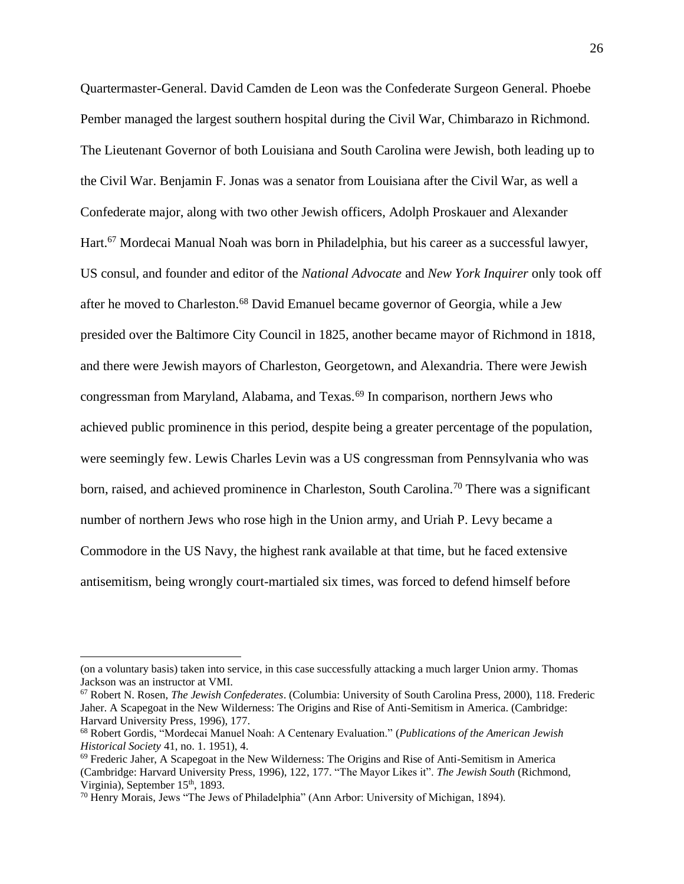Quartermaster-General. David Camden de Leon was the Confederate Surgeon General. Phoebe Pember managed the largest southern hospital during the Civil War, Chimbarazo in Richmond. The Lieutenant Governor of both Louisiana and South Carolina were Jewish, both leading up to the Civil War. Benjamin F. Jonas was a senator from Louisiana after the Civil War, as well a Confederate major, along with two other Jewish officers, Adolph Proskauer and Alexander Hart.<sup>67</sup> Mordecai Manual Noah was born in Philadelphia, but his career as a successful lawyer, US consul, and founder and editor of the *National Advocate* and *New York Inquirer* only took off after he moved to Charleston.<sup>68</sup> David Emanuel became governor of Georgia, while a Jew presided over the Baltimore City Council in 1825, another became mayor of Richmond in 1818, and there were Jewish mayors of Charleston, Georgetown, and Alexandria. There were Jewish congressman from Maryland, Alabama, and Texas.<sup>69</sup> In comparison, northern Jews who achieved public prominence in this period, despite being a greater percentage of the population, were seemingly few. Lewis Charles Levin was a US congressman from Pennsylvania who was born, raised, and achieved prominence in Charleston, South Carolina.<sup>70</sup> There was a significant number of northern Jews who rose high in the Union army, and Uriah P. Levy became a Commodore in the US Navy, the highest rank available at that time, but he faced extensive antisemitism, being wrongly court-martialed six times, was forced to defend himself before

<sup>(</sup>on a voluntary basis) taken into service, in this case successfully attacking a much larger Union army. Thomas Jackson was an instructor at VMI.

<sup>67</sup> Robert N. Rosen, *The Jewish Confederates*. (Columbia: University of South Carolina Press, 2000), 118. Frederic Jaher. A Scapegoat in the New Wilderness: The Origins and Rise of Anti-Semitism in America. (Cambridge: Harvard University Press, 1996), 177.

<sup>68</sup> Robert Gordis, "Mordecai Manuel Noah: A Centenary Evaluation." (*Publications of the American Jewish Historical Society* 41, no. 1. 1951), 4.

 $69$  Frederic Jaher, A Scapegoat in the New Wilderness: The Origins and Rise of Anti-Semitism in America (Cambridge: Harvard University Press, 1996), 122, 177. "The Mayor Likes it". *The Jewish South* (Richmond, Virginia), September 15<sup>th</sup>, 1893.

<sup>70</sup> Henry Morais, Jews "The Jews of Philadelphia" (Ann Arbor: University of Michigan, 1894).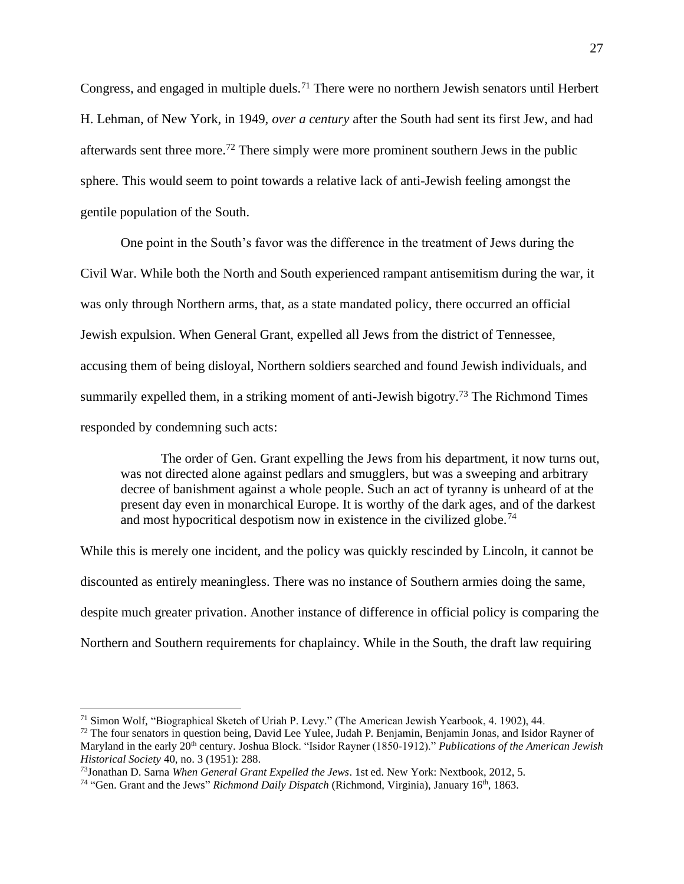Congress, and engaged in multiple duels.<sup>71</sup> There were no northern Jewish senators until Herbert H. Lehman, of New York, in 1949, *over a century* after the South had sent its first Jew, and had afterwards sent three more.<sup>72</sup> There simply were more prominent southern Jews in the public sphere. This would seem to point towards a relative lack of anti-Jewish feeling amongst the gentile population of the South.

One point in the South's favor was the difference in the treatment of Jews during the Civil War. While both the North and South experienced rampant antisemitism during the war, it was only through Northern arms, that, as a state mandated policy, there occurred an official Jewish expulsion. When General Grant, expelled all Jews from the district of Tennessee, accusing them of being disloyal, Northern soldiers searched and found Jewish individuals, and summarily expelled them, in a striking moment of anti-Jewish bigotry.<sup>73</sup> The Richmond Times responded by condemning such acts:

The order of Gen. Grant expelling the Jews from his department, it now turns out, was not directed alone against pedlars and smugglers, but was a sweeping and arbitrary decree of banishment against a whole people. Such an act of tyranny is unheard of at the present day even in monarchical Europe. It is worthy of the dark ages, and of the darkest and most hypocritical despotism now in existence in the civilized globe.<sup>74</sup>

While this is merely one incident, and the policy was quickly rescinded by Lincoln, it cannot be discounted as entirely meaningless. There was no instance of Southern armies doing the same, despite much greater privation. Another instance of difference in official policy is comparing the Northern and Southern requirements for chaplaincy. While in the South, the draft law requiring

<sup>71</sup> Simon Wolf, "Biographical Sketch of Uriah P. Levy." (The American Jewish Yearbook, 4. 1902), 44.

 $72$  The four senators in question being, David Lee Yulee, Judah P. Benjamin, Benjamin Jonas, and Isidor Rayner of Maryland in the early 20th century. Joshua Block. "Isidor Rayner (1850-1912)." *Publications of the American Jewish Historical Society* 40, no. 3 (1951): 288.

<sup>73</sup>Jonathan D. Sarna *When General Grant Expelled the Jews*. 1st ed. New York: Nextbook, 2012, 5.

<sup>&</sup>lt;sup>74</sup> "Gen. Grant and the Jews" Richmond Daily Dispatch (Richmond, Virginia), January 16<sup>th</sup>, 1863.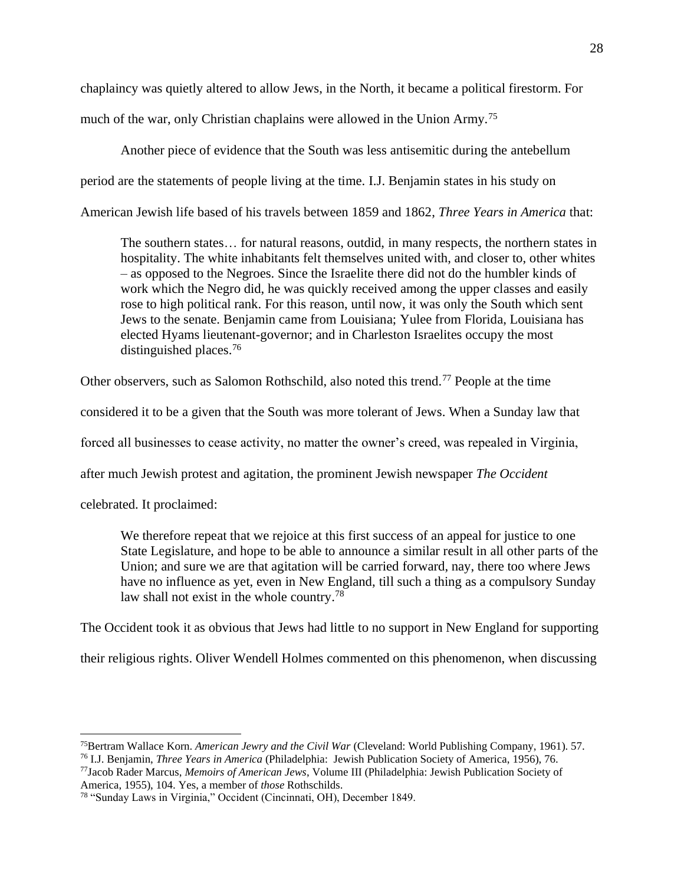chaplaincy was quietly altered to allow Jews, in the North, it became a political firestorm. For

much of the war, only Christian chaplains were allowed in the Union Army.<sup>75</sup>

Another piece of evidence that the South was less antisemitic during the antebellum period are the statements of people living at the time. I.J. Benjamin states in his study on American Jewish life based of his travels between 1859 and 1862, *Three Years in America* that:

The southern states… for natural reasons, outdid, in many respects, the northern states in hospitality. The white inhabitants felt themselves united with, and closer to, other whites – as opposed to the Negroes. Since the Israelite there did not do the humbler kinds of work which the Negro did, he was quickly received among the upper classes and easily rose to high political rank. For this reason, until now, it was only the South which sent Jews to the senate. Benjamin came from Louisiana; Yulee from Florida, Louisiana has elected Hyams lieutenant-governor; and in Charleston Israelites occupy the most distinguished places.<sup>76</sup>

Other observers, such as Salomon Rothschild, also noted this trend.<sup>77</sup> People at the time

considered it to be a given that the South was more tolerant of Jews. When a Sunday law that

forced all businesses to cease activity, no matter the owner's creed, was repealed in Virginia,

after much Jewish protest and agitation, the prominent Jewish newspaper *The Occident*

celebrated. It proclaimed:

We therefore repeat that we rejoice at this first success of an appeal for justice to one State Legislature, and hope to be able to announce a similar result in all other parts of the Union; and sure we are that agitation will be carried forward, nay, there too where Jews have no influence as yet, even in New England, till such a thing as a compulsory Sunday law shall not exist in the whole country.<sup>78</sup>

The Occident took it as obvious that Jews had little to no support in New England for supporting

their religious rights. Oliver Wendell Holmes commented on this phenomenon, when discussing

<sup>75</sup>Bertram Wallace Korn. *American Jewry and the Civil War* (Cleveland: World Publishing Company, 1961). 57. <sup>76</sup> I.J. Benjamin, *Three Years in America* (Philadelphia: Jewish Publication Society of America, 1956), 76.

<sup>77</sup>Jacob Rader Marcus, *Memoirs of American Jews*, Volume III (Philadelphia: Jewish Publication Society of America, 1955), 104. Yes, a member of *those* Rothschilds.

<sup>78</sup> "Sunday Laws in Virginia," Occident (Cincinnati, OH), December 1849.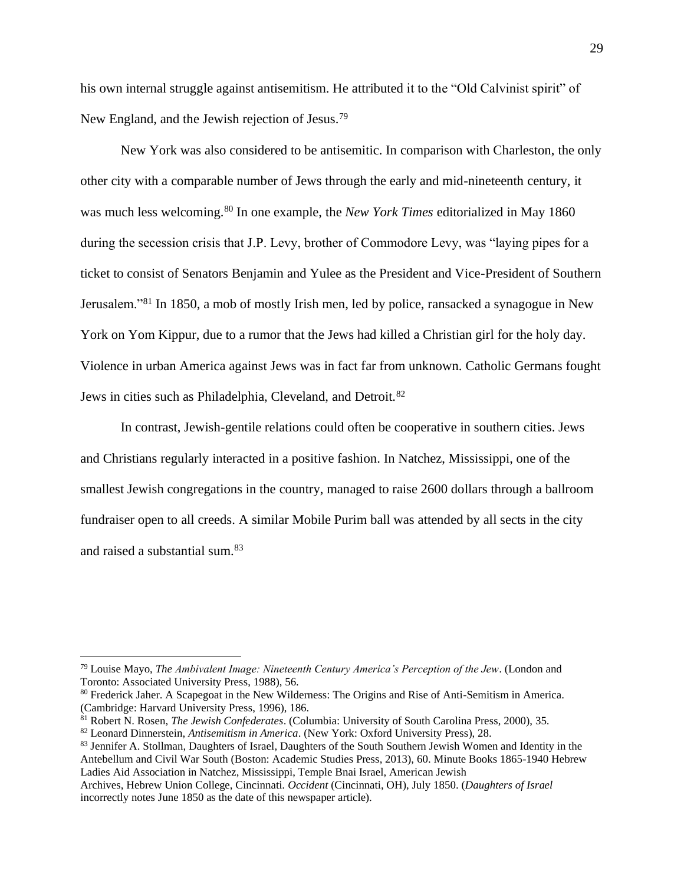his own internal struggle against antisemitism. He attributed it to the "Old Calvinist spirit" of New England, and the Jewish rejection of Jesus.<sup>79</sup>

New York was also considered to be antisemitic. In comparison with Charleston, the only other city with a comparable number of Jews through the early and mid-nineteenth century, it was much less welcoming.<sup>80</sup> In one example, the *New York Times* editorialized in May 1860 during the secession crisis that J.P. Levy, brother of Commodore Levy, was "laying pipes for a ticket to consist of Senators Benjamin and Yulee as the President and Vice-President of Southern Jerusalem."<sup>81</sup> In 1850, a mob of mostly Irish men, led by police, ransacked a synagogue in New York on Yom Kippur, due to a rumor that the Jews had killed a Christian girl for the holy day. Violence in urban America against Jews was in fact far from unknown. Catholic Germans fought Jews in cities such as Philadelphia, Cleveland, and Detroit.<sup>82</sup>

In contrast, Jewish-gentile relations could often be cooperative in southern cities. Jews and Christians regularly interacted in a positive fashion. In Natchez, Mississippi, one of the smallest Jewish congregations in the country, managed to raise 2600 dollars through a ballroom fundraiser open to all creeds. A similar Mobile Purim ball was attended by all sects in the city and raised a substantial sum.<sup>83</sup>

<sup>79</sup> Louise Mayo, *The Ambivalent Image: Nineteenth Century America's Perception of the Jew*. (London and Toronto: Associated University Press, 1988), 56.

<sup>&</sup>lt;sup>80</sup> Frederick Jaher. A Scapegoat in the New Wilderness: The Origins and Rise of Anti-Semitism in America. (Cambridge: Harvard University Press, 1996), 186.

<sup>81</sup> Robert N. Rosen, *The Jewish Confederates*. (Columbia: University of South Carolina Press, 2000), 35.

<sup>82</sup> Leonard Dinnerstein, *Antisemitism in America*. (New York: Oxford University Press), 28.

<sup>83</sup> Jennifer A. Stollman, Daughters of Israel, Daughters of the South Southern Jewish Women and Identity in the Antebellum and Civil War South (Boston: Academic Studies Press, 2013), 60. Minute Books 1865-1940 Hebrew Ladies Aid Association in Natchez, Mississippi, Temple Bnai Israel, American Jewish

Archives, Hebrew Union College, Cincinnati. *Occident* (Cincinnati, OH), July 1850. (*Daughters of Israel* incorrectly notes June 1850 as the date of this newspaper article).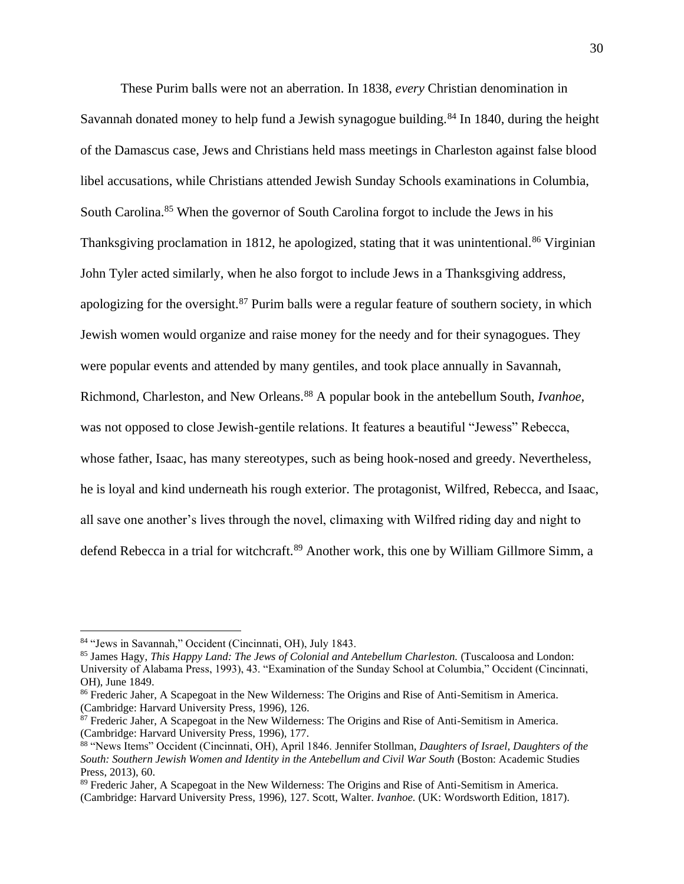These Purim balls were not an aberration. In 1838, *every* Christian denomination in Savannah donated money to help fund a Jewish synagogue building.<sup>84</sup> In 1840, during the height of the Damascus case, Jews and Christians held mass meetings in Charleston against false blood libel accusations, while Christians attended Jewish Sunday Schools examinations in Columbia, South Carolina.<sup>85</sup> When the governor of South Carolina forgot to include the Jews in his Thanksgiving proclamation in 1812, he apologized, stating that it was unintentional.<sup>86</sup> Virginian John Tyler acted similarly, when he also forgot to include Jews in a Thanksgiving address, apologizing for the oversight.<sup>87</sup> Purim balls were a regular feature of southern society, in which Jewish women would organize and raise money for the needy and for their synagogues. They were popular events and attended by many gentiles, and took place annually in Savannah, Richmond, Charleston, and New Orleans.<sup>88</sup> A popular book in the antebellum South, *Ivanhoe,* was not opposed to close Jewish-gentile relations. It features a beautiful "Jewess" Rebecca, whose father, Isaac, has many stereotypes, such as being hook-nosed and greedy. Nevertheless, he is loyal and kind underneath his rough exterior. The protagonist, Wilfred, Rebecca, and Isaac, all save one another's lives through the novel, climaxing with Wilfred riding day and night to defend Rebecca in a trial for witchcraft.<sup>89</sup> Another work, this one by William Gillmore Simm, a

<sup>84</sup> "Jews in Savannah," Occident (Cincinnati, OH), July 1843.

<sup>85</sup> James Hagy, *This Happy Land: The Jews of Colonial and Antebellum Charleston.* (Tuscaloosa and London: University of Alabama Press, 1993), 43. "Examination of the Sunday School at Columbia," Occident (Cincinnati, OH), June 1849.

<sup>86</sup> Frederic Jaher, A Scapegoat in the New Wilderness: The Origins and Rise of Anti-Semitism in America. (Cambridge: Harvard University Press, 1996), 126.

<sup>87</sup> Frederic Jaher, A Scapegoat in the New Wilderness: The Origins and Rise of Anti-Semitism in America. (Cambridge: Harvard University Press, 1996), 177.

<sup>88</sup> "News Items" Occident (Cincinnati, OH), April 1846. Jennifer Stollman, *Daughters of Israel, Daughters of the South: Southern Jewish Women and Identity in the Antebellum and Civil War South* (Boston: Academic Studies Press, 2013), 60.

<sup>89</sup> Frederic Jaher, A Scapegoat in the New Wilderness: The Origins and Rise of Anti-Semitism in America. (Cambridge: Harvard University Press, 1996), 127. Scott, Walter. *Ivanhoe.* (UK: Wordsworth Edition, 1817).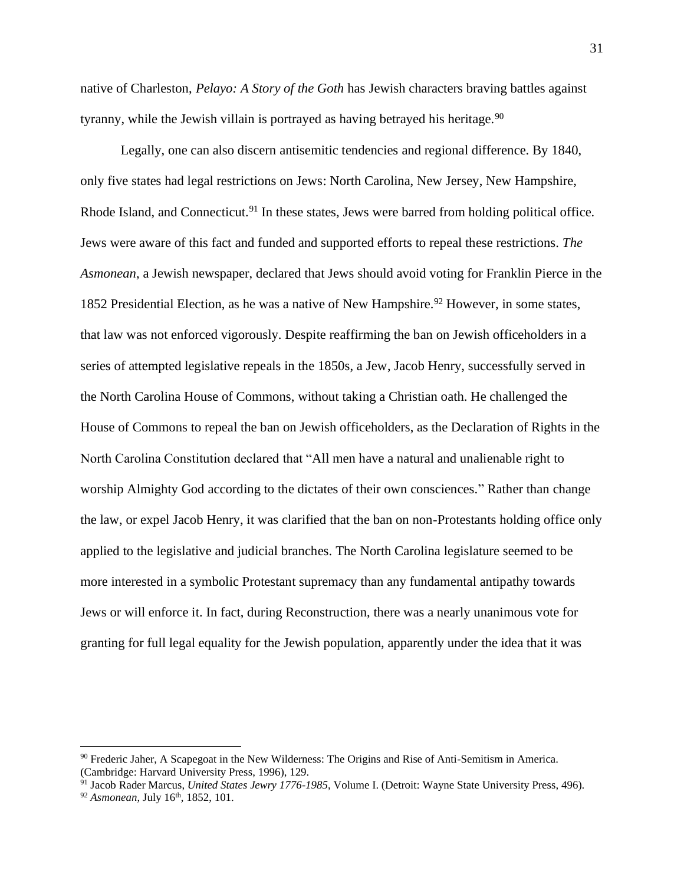native of Charleston, *Pelayo: A Story of the Goth* has Jewish characters braving battles against tyranny, while the Jewish villain is portrayed as having betrayed his heritage.<sup>90</sup>

Legally, one can also discern antisemitic tendencies and regional difference. By 1840, only five states had legal restrictions on Jews: North Carolina, New Jersey, New Hampshire, Rhode Island, and Connecticut.<sup>91</sup> In these states, Jews were barred from holding political office. Jews were aware of this fact and funded and supported efforts to repeal these restrictions. *The Asmonean*, a Jewish newspaper, declared that Jews should avoid voting for Franklin Pierce in the 1852 Presidential Election, as he was a native of New Hampshire.<sup>92</sup> However, in some states, that law was not enforced vigorously. Despite reaffirming the ban on Jewish officeholders in a series of attempted legislative repeals in the 1850s, a Jew, Jacob Henry, successfully served in the North Carolina House of Commons, without taking a Christian oath. He challenged the House of Commons to repeal the ban on Jewish officeholders, as the Declaration of Rights in the North Carolina Constitution declared that "All men have a natural and unalienable right to worship Almighty God according to the dictates of their own consciences." Rather than change the law, or expel Jacob Henry, it was clarified that the ban on non-Protestants holding office only applied to the legislative and judicial branches. The North Carolina legislature seemed to be more interested in a symbolic Protestant supremacy than any fundamental antipathy towards Jews or will enforce it. In fact, during Reconstruction, there was a nearly unanimous vote for granting for full legal equality for the Jewish population, apparently under the idea that it was

<sup>&</sup>lt;sup>90</sup> Frederic Jaher, A Scapegoat in the New Wilderness: The Origins and Rise of Anti-Semitism in America. (Cambridge: Harvard University Press, 1996), 129.

<sup>91</sup> Jacob Rader Marcus, *United States Jewry 1776-1985*, Volume I. (Detroit: Wayne State University Press, 496). <sup>92</sup> *Asmonean*, July 16<sup>th</sup>, 1852, 101.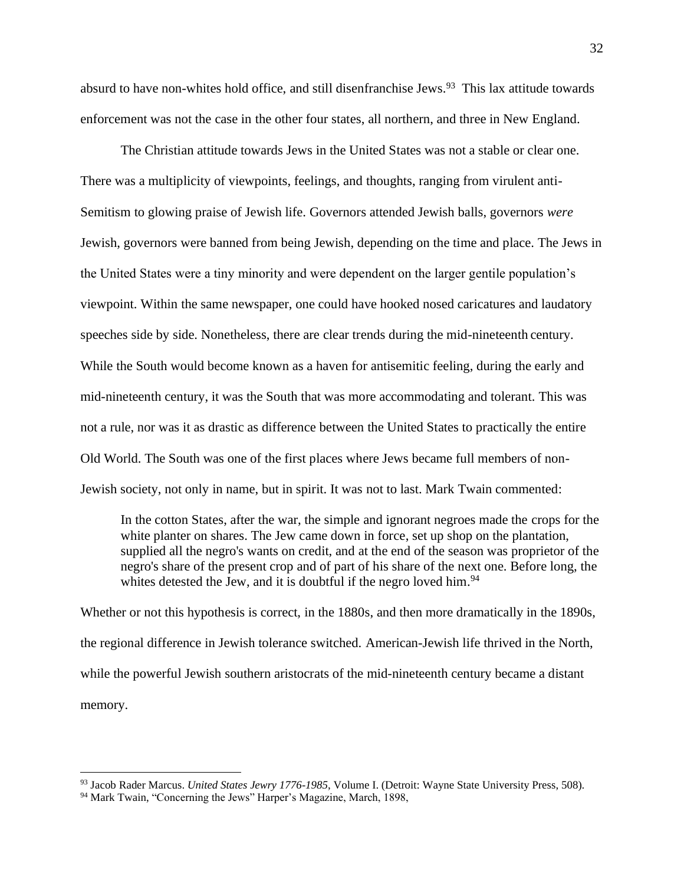absurd to have non-whites hold office, and still disenfranchise Jews.<sup>93</sup> This lax attitude towards enforcement was not the case in the other four states, all northern, and three in New England.

The Christian attitude towards Jews in the United States was not a stable or clear one. There was a multiplicity of viewpoints, feelings, and thoughts, ranging from virulent anti-Semitism to glowing praise of Jewish life. Governors attended Jewish balls, governors *were* Jewish, governors were banned from being Jewish, depending on the time and place. The Jews in the United States were a tiny minority and were dependent on the larger gentile population's viewpoint. Within the same newspaper, one could have hooked nosed caricatures and laudatory speeches side by side. Nonetheless, there are clear trends during the mid-nineteenth century. While the South would become known as a haven for antisemitic feeling, during the early and mid-nineteenth century, it was the South that was more accommodating and tolerant. This was not a rule, nor was it as drastic as difference between the United States to practically the entire Old World. The South was one of the first places where Jews became full members of non-Jewish society, not only in name, but in spirit. It was not to last. Mark Twain commented:

In the cotton States, after the war, the simple and ignorant negroes made the crops for the white planter on shares. The Jew came down in force, set up shop on the plantation, supplied all the negro's wants on credit, and at the end of the season was proprietor of the negro's share of the present crop and of part of his share of the next one. Before long, the whites detested the Jew, and it is doubtful if the negro loved him.<sup>94</sup>

Whether or not this hypothesis is correct, in the 1880s, and then more dramatically in the 1890s, the regional difference in Jewish tolerance switched. American-Jewish life thrived in the North, while the powerful Jewish southern aristocrats of the mid-nineteenth century became a distant memory.

<sup>93</sup> Jacob Rader Marcus. *United States Jewry 1776-1985*, Volume I. (Detroit: Wayne State University Press, 508).

<sup>&</sup>lt;sup>94</sup> Mark Twain, "Concerning the Jews" Harper's Magazine, March, 1898,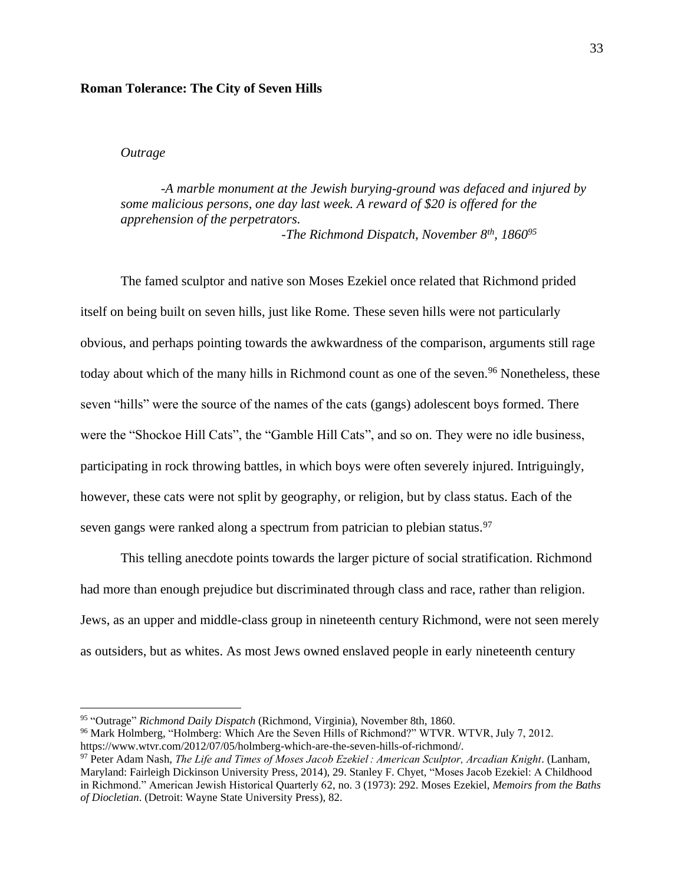### **Roman Tolerance: The City of Seven Hills**

## *Outrage*

*-A marble monument at the Jewish burying-ground was defaced and injured by some malicious persons, one day last week. A reward of \$20 is offered for the apprehension of the perpetrators. -The Richmond Dispatch, November 8th, 1860<sup>95</sup>*

The famed sculptor and native son Moses Ezekiel once related that Richmond prided itself on being built on seven hills, just like Rome. These seven hills were not particularly obvious, and perhaps pointing towards the awkwardness of the comparison, arguments still rage today about which of the many hills in Richmond count as one of the seven.<sup>96</sup> Nonetheless, these seven "hills" were the source of the names of the cats (gangs) adolescent boys formed. There were the "Shockoe Hill Cats", the "Gamble Hill Cats", and so on. They were no idle business, participating in rock throwing battles, in which boys were often severely injured. Intriguingly, however, these cats were not split by geography, or religion, but by class status. Each of the seven gangs were ranked along a spectrum from patrician to plebian status.<sup>97</sup>

This telling anecdote points towards the larger picture of social stratification. Richmond had more than enough prejudice but discriminated through class and race, rather than religion. Jews, as an upper and middle-class group in nineteenth century Richmond, were not seen merely as outsiders, but as whites. As most Jews owned enslaved people in early nineteenth century

<sup>95</sup> "Outrage" *Richmond Daily Dispatch* (Richmond, Virginia), November 8th, 1860.

<sup>96</sup> Mark Holmberg, "Holmberg: Which Are the Seven Hills of Richmond?" WTVR. WTVR, July 7, 2012. https://www.wtvr.com/2012/07/05/holmberg-which-are-the-seven-hills-of-richmond/.

<sup>97</sup> Peter Adam Nash, *The Life and Times of Moses Jacob Ezekiel : American Sculptor, Arcadian Knight*. (Lanham, Maryland: Fairleigh Dickinson University Press, 2014), 29. Stanley F. Chyet, "Moses Jacob Ezekiel: A Childhood in Richmond." American Jewish Historical Quarterly 62, no. 3 (1973): 292. Moses Ezekiel, *Memoirs from the Baths of Diocletian*. (Detroit: Wayne State University Press), 82.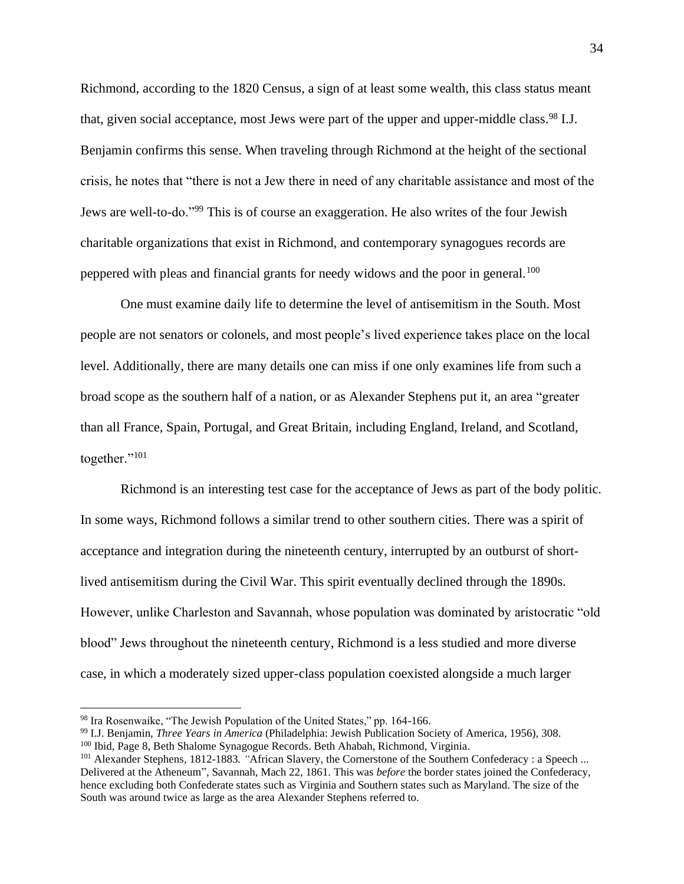Richmond, according to the 1820 Census, a sign of at least some wealth, this class status meant that, given social acceptance, most Jews were part of the upper and upper-middle class.<sup>98</sup> I.J. Benjamin confirms this sense. When traveling through Richmond at the height of the sectional crisis, he notes that "there is not a Jew there in need of any charitable assistance and most of the Jews are well-to-do."<sup>99</sup> This is of course an exaggeration. He also writes of the four Jewish charitable organizations that exist in Richmond, and contemporary synagogues records are peppered with pleas and financial grants for needy widows and the poor in general.<sup>100</sup>

One must examine daily life to determine the level of antisemitism in the South. Most people are not senators or colonels, and most people's lived experience takes place on the local level. Additionally, there are many details one can miss if one only examines life from such a broad scope as the southern half of a nation, or as Alexander Stephens put it, an area "greater than all France, Spain, Portugal, and Great Britain, including England, Ireland, and Scotland, together."<sup>101</sup>

Richmond is an interesting test case for the acceptance of Jews as part of the body politic. In some ways, Richmond follows a similar trend to other southern cities. There was a spirit of acceptance and integration during the nineteenth century, interrupted by an outburst of shortlived antisemitism during the Civil War. This spirit eventually declined through the 1890s. However, unlike Charleston and Savannah, whose population was dominated by aristocratic "old blood" Jews throughout the nineteenth century, Richmond is a less studied and more diverse case, in which a moderately sized upper-class population coexisted alongside a much larger

<sup>98</sup> Ira Rosenwaike, "The Jewish Population of the United States," pp. 164-166.

<sup>99</sup> I.J. Benjamin, *Three Years in America* (Philadelphia: Jewish Publication Society of America, 1956), 308. <sup>100</sup> Ibid, Page 8, Beth Shalome Synagogue Records. Beth Ahabah, Richmond, Virginia.

<sup>101</sup> Alexander Stephens*,* 1812-1883*. "*African Slavery, the Cornerstone of the Southern Confederacy : a Speech ... Delivered at the Atheneum", Savannah, Mach 22, 1861. This was *before* the border states joined the Confederacy, hence excluding both Confederate states such as Virginia and Southern states such as Maryland. The size of the South was around twice as large as the area Alexander Stephens referred to.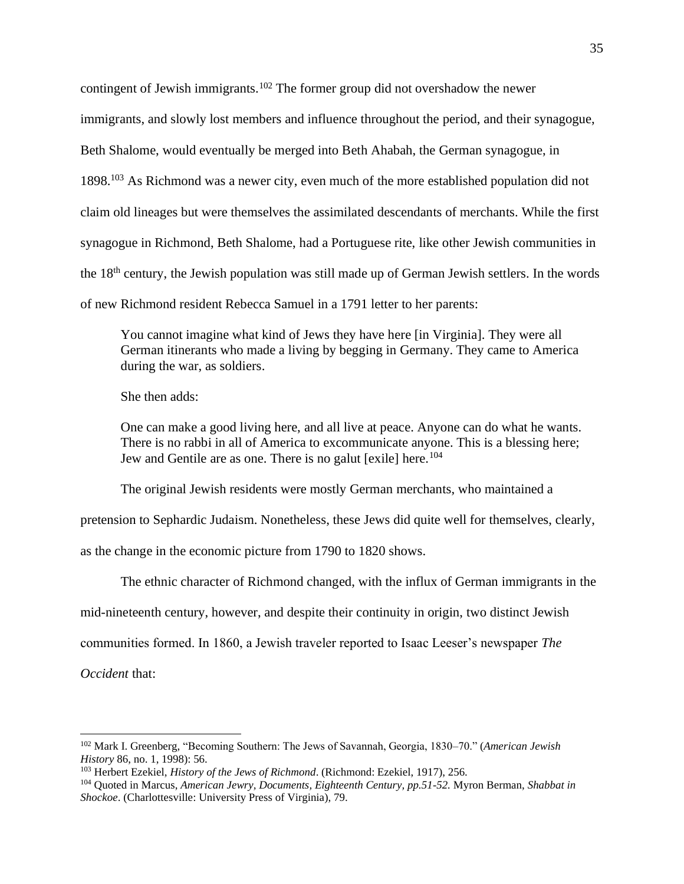contingent of Jewish immigrants.<sup>102</sup> The former group did not overshadow the newer immigrants, and slowly lost members and influence throughout the period, and their synagogue, Beth Shalome, would eventually be merged into Beth Ahabah, the German synagogue, in 1898.<sup>103</sup> As Richmond was a newer city, even much of the more established population did not claim old lineages but were themselves the assimilated descendants of merchants. While the first synagogue in Richmond, Beth Shalome, had a Portuguese rite, like other Jewish communities in the 18th century, the Jewish population was still made up of German Jewish settlers. In the words of new Richmond resident Rebecca Samuel in a 1791 letter to her parents:

You cannot imagine what kind of Jews they have here [in Virginia]. They were all German itinerants who made a living by begging in Germany. They came to America during the war, as soldiers.

She then adds:

One can make a good living here, and all live at peace. Anyone can do what he wants. There is no rabbi in all of America to excommunicate anyone. This is a blessing here; Jew and Gentile are as one. There is no galut [exile] here.<sup>104</sup>

The original Jewish residents were mostly German merchants, who maintained a

pretension to Sephardic Judaism. Nonetheless, these Jews did quite well for themselves, clearly,

as the change in the economic picture from 1790 to 1820 shows.

The ethnic character of Richmond changed, with the influx of German immigrants in the

mid-nineteenth century, however, and despite their continuity in origin, two distinct Jewish

communities formed. In 1860, a Jewish traveler reported to Isaac Leeser's newspaper *The* 

*Occident* that:

<sup>102</sup> Mark I. Greenberg, "Becoming Southern: The Jews of Savannah, Georgia, 1830–70." (*American Jewish History* 86, no. 1, 1998): 56.

<sup>103</sup> Herbert Ezekiel, *History of the Jews of Richmond*. (Richmond: Ezekiel, 1917), 256.

<sup>104</sup> Quoted in Marcus, *American Jewry, Documents, Eighteenth Century, pp.51-52.* Myron Berman, *Shabbat in Shockoe*. (Charlottesville: University Press of Virginia), 79.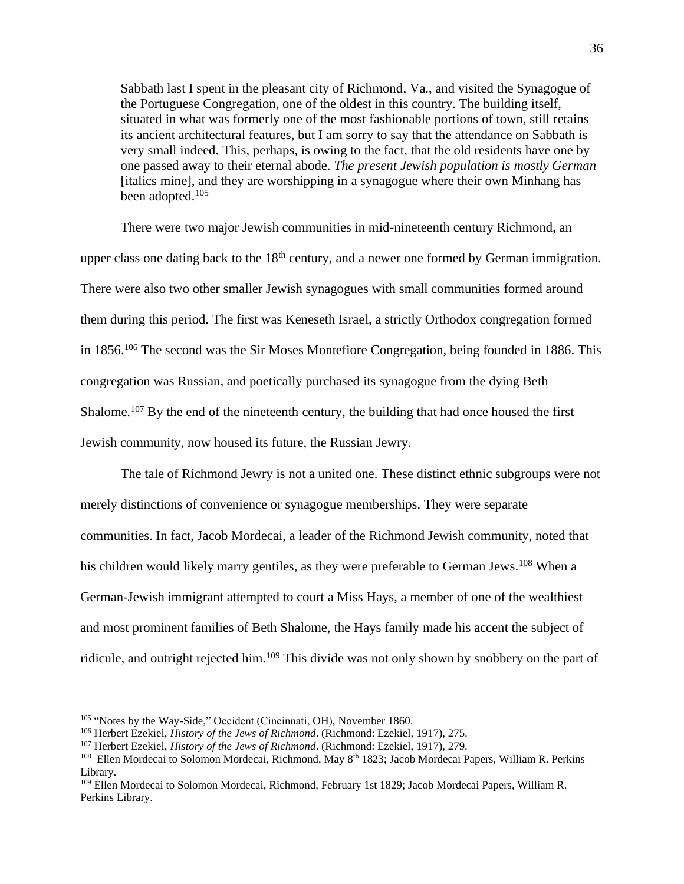Sabbath last I spent in the pleasant city of Richmond, Va., and visited the Synagogue of the Portuguese Congregation, one of the oldest in this country. The building itself, situated in what was formerly one of the most fashionable portions of town, still retains its ancient architectural features, but I am sorry to say that the attendance on Sabbath is very small indeed. This, perhaps, is owing to the fact, that the old residents have one by one passed away to their eternal abode. *The present Jewish population is mostly German*  [italics mine], and they are worshipping in a synagogue where their own Minhang has been adopted.<sup>105</sup>

There were two major Jewish communities in mid-nineteenth century Richmond, an upper class one dating back to the  $18<sup>th</sup>$  century, and a newer one formed by German immigration. There were also two other smaller Jewish synagogues with small communities formed around them during this period. The first was Keneseth Israel, a strictly Orthodox congregation formed in 1856.<sup>106</sup> The second was the Sir Moses Montefiore Congregation, being founded in 1886. This congregation was Russian, and poetically purchased its synagogue from the dying Beth Shalome.<sup>107</sup> By the end of the nineteenth century, the building that had once housed the first Jewish community, now housed its future, the Russian Jewry.

The tale of Richmond Jewry is not a united one. These distinct ethnic subgroups were not merely distinctions of convenience or synagogue memberships. They were separate communities. In fact, Jacob Mordecai, a leader of the Richmond Jewish community, noted that his children would likely marry gentiles, as they were preferable to German Jews.<sup>108</sup> When a German-Jewish immigrant attempted to court a Miss Hays, a member of one of the wealthiest and most prominent families of Beth Shalome, the Hays family made his accent the subject of ridicule, and outright rejected him.<sup>109</sup> This divide was not only shown by snobbery on the part of

<sup>&</sup>lt;sup>105</sup> "Notes by the Way-Side," Occident (Cincinnati, OH), November 1860.

<sup>106</sup> Herbert Ezekiel, *History of the Jews of Richmond*. (Richmond: Ezekiel, 1917), 275.

<sup>107</sup> Herbert Ezekiel, *History of the Jews of Richmond*. (Richmond: Ezekiel, 1917), 279.

<sup>&</sup>lt;sup>108</sup> Ellen Mordecai to Solomon Mordecai, Richmond, May 8<sup>th</sup> 1823; Jacob Mordecai Papers, William R. Perkins Library.

<sup>109</sup> Ellen Mordecai to Solomon Mordecai, Richmond, February 1st 1829; Jacob Mordecai Papers, William R. Perkins Library.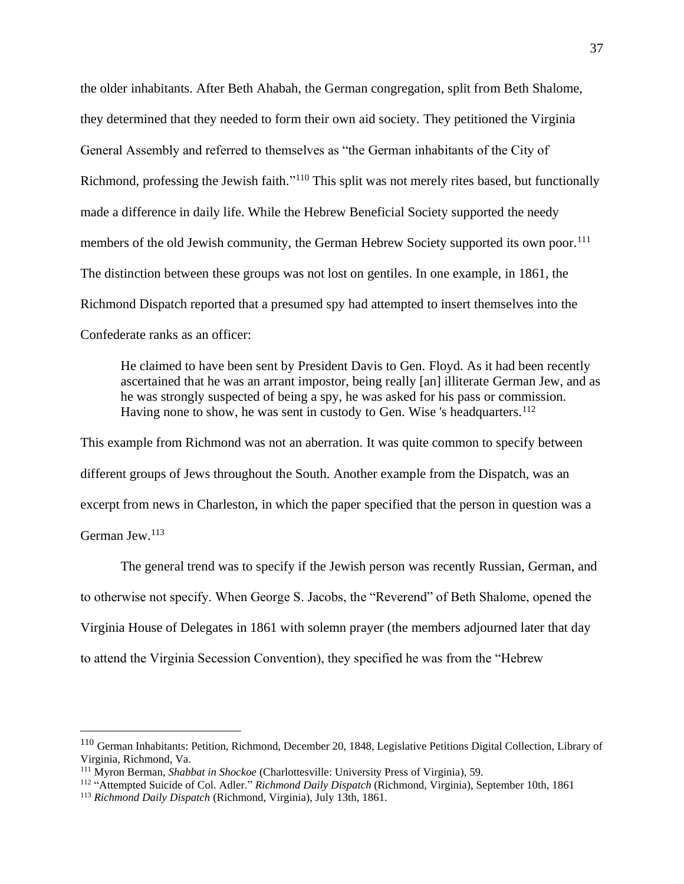the older inhabitants. After Beth Ahabah, the German congregation, split from Beth Shalome, they determined that they needed to form their own aid society. They petitioned the Virginia General Assembly and referred to themselves as "the German inhabitants of the City of Richmond, professing the Jewish faith."<sup>110</sup> This split was not merely rites based, but functionally made a difference in daily life. While the Hebrew Beneficial Society supported the needy members of the old Jewish community, the German Hebrew Society supported its own poor.<sup>111</sup> The distinction between these groups was not lost on gentiles. In one example, in 1861, the Richmond Dispatch reported that a presumed spy had attempted to insert themselves into the Confederate ranks as an officer:

He claimed to have been sent by President Davis to Gen. Floyd. As it had been recently ascertained that he was an arrant impostor, being really [an] illiterate German Jew, and as he was strongly suspected of being a spy, he was asked for his pass or commission. Having none to show, he was sent in custody to Gen. Wise 's headquarters.<sup>112</sup>

This example from Richmond was not an aberration. It was quite common to specify between different groups of Jews throughout the South. Another example from the Dispatch, was an excerpt from news in Charleston, in which the paper specified that the person in question was a German Jew.<sup>113</sup>

The general trend was to specify if the Jewish person was recently Russian, German, and to otherwise not specify. When George S. Jacobs, the "Reverend" of Beth Shalome, opened the Virginia House of Delegates in 1861 with solemn prayer (the members adjourned later that day to attend the Virginia Secession Convention), they specified he was from the "Hebrew

<sup>110</sup> German Inhabitants: Petition, Richmond, December 20, 1848, Legislative Petitions Digital Collection, Library of Virginia, Richmond, Va.

<sup>111</sup> Myron Berman, *Shabbat in Shockoe* (Charlottesville: University Press of Virginia), 59.

<sup>112</sup> "Attempted Suicide of Col. Adler." *Richmond Daily Dispatch* (Richmond, Virginia), September 10th, 1861

<sup>113</sup> *Richmond Daily Dispatch* (Richmond, Virginia), July 13th, 1861.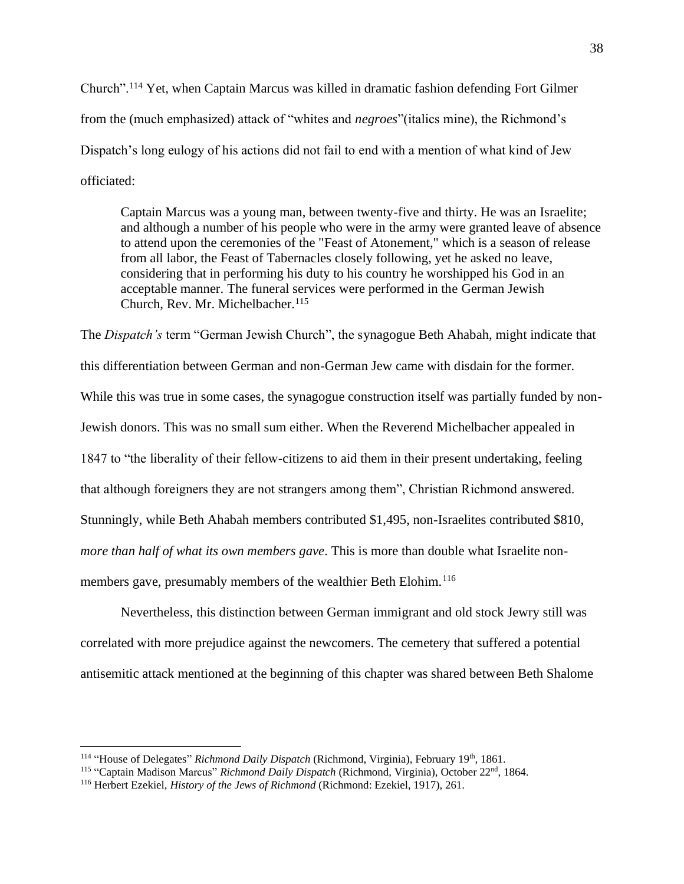Church".<sup>114</sup> Yet, when Captain Marcus was killed in dramatic fashion defending Fort Gilmer from the (much emphasized) attack of "whites and *negroes*"(italics mine), the Richmond's Dispatch's long eulogy of his actions did not fail to end with a mention of what kind of Jew officiated:

Captain Marcus was a young man, between twenty-five and thirty. He was an Israelite; and although a number of his people who were in the army were granted leave of absence to attend upon the ceremonies of the "Feast of Atonement," which is a season of release from all labor, the Feast of Tabernacles closely following, yet he asked no leave, considering that in performing his duty to his country he worshipped his God in an acceptable manner. The funeral services were performed in the German Jewish Church, Rev. Mr. Michelbacher.<sup>115</sup>

The *Dispatch's* term "German Jewish Church", the synagogue Beth Ahabah, might indicate that this differentiation between German and non-German Jew came with disdain for the former. While this was true in some cases, the synagogue construction itself was partially funded by non-Jewish donors. This was no small sum either. When the Reverend Michelbacher appealed in 1847 to "the liberality of their fellow-citizens to aid them in their present undertaking, feeling that although foreigners they are not strangers among them", Christian Richmond answered. Stunningly, while Beth Ahabah members contributed \$1,495, non-Israelites contributed \$810, *more than half of what its own members gave*. This is more than double what Israelite nonmembers gave, presumably members of the wealthier Beth Elohim.<sup>116</sup>

Nevertheless, this distinction between German immigrant and old stock Jewry still was correlated with more prejudice against the newcomers. The cemetery that suffered a potential antisemitic attack mentioned at the beginning of this chapter was shared between Beth Shalome

<sup>&</sup>lt;sup>114</sup> "House of Delegates" *Richmond Daily Dispatch* (Richmond, Virginia), February 19<sup>th</sup>, 1861.

<sup>&</sup>lt;sup>115</sup> "Captain Madison Marcus" Richmond Daily Dispatch (Richmond, Virginia), October 22<sup>nd</sup>, 1864.

<sup>116</sup> Herbert Ezekiel, *History of the Jews of Richmond* (Richmond: Ezekiel, 1917), 261.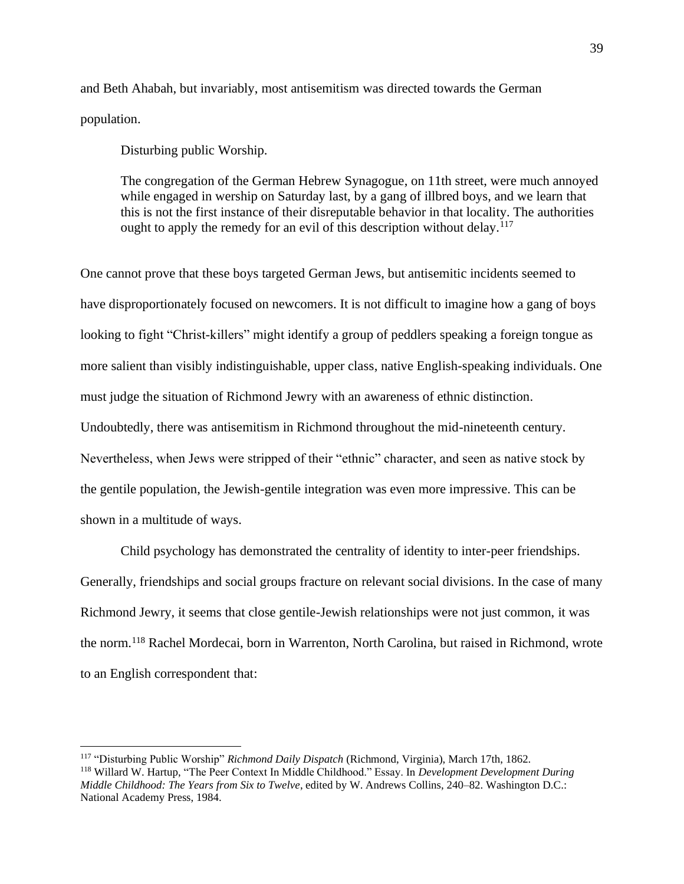and Beth Ahabah, but invariably, most antisemitism was directed towards the German population.

Disturbing public Worship.

The congregation of the German Hebrew Synagogue, on 11th street, were much annoyed while engaged in wership on Saturday last, by a gang of illbred boys, and we learn that this is not the first instance of their disreputable behavior in that locality. The authorities ought to apply the remedy for an evil of this description without delay.<sup>117</sup>

One cannot prove that these boys targeted German Jews, but antisemitic incidents seemed to have disproportionately focused on newcomers. It is not difficult to imagine how a gang of boys looking to fight "Christ-killers" might identify a group of peddlers speaking a foreign tongue as more salient than visibly indistinguishable, upper class, native English-speaking individuals. One must judge the situation of Richmond Jewry with an awareness of ethnic distinction. Undoubtedly, there was antisemitism in Richmond throughout the mid-nineteenth century. Nevertheless, when Jews were stripped of their "ethnic" character, and seen as native stock by the gentile population, the Jewish-gentile integration was even more impressive. This can be shown in a multitude of ways.

Child psychology has demonstrated the centrality of identity to inter-peer friendships. Generally, friendships and social groups fracture on relevant social divisions. In the case of many Richmond Jewry, it seems that close gentile-Jewish relationships were not just common, it was the norm.<sup>118</sup> Rachel Mordecai, born in Warrenton, North Carolina, but raised in Richmond, wrote to an English correspondent that:

<sup>117</sup> "Disturbing Public Worship" *Richmond Daily Dispatch* (Richmond, Virginia), March 17th, 1862. <sup>118</sup> Willard W. Hartup, "The Peer Context In Middle Childhood." Essay. In *Development Development During Middle Childhood: The Years from Six to Twelve*, edited by W. Andrews Collins, 240–82. Washington D.C.: National Academy Press, 1984.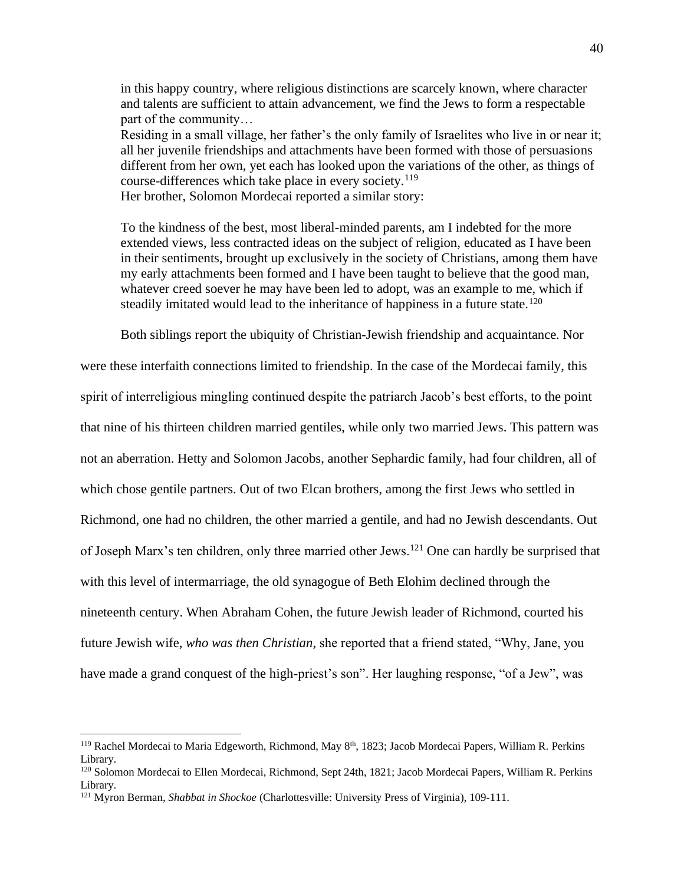in this happy country, where religious distinctions are scarcely known, where character and talents are sufficient to attain advancement, we find the Jews to form a respectable part of the community…

Residing in a small village, her father's the only family of Israelites who live in or near it; all her juvenile friendships and attachments have been formed with those of persuasions different from her own, yet each has looked upon the variations of the other, as things of course-differences which take place in every society.<sup>119</sup>

Her brother, Solomon Mordecai reported a similar story:

To the kindness of the best, most liberal-minded parents, am I indebted for the more extended views, less contracted ideas on the subject of religion, educated as I have been in their sentiments, brought up exclusively in the society of Christians, among them have my early attachments been formed and I have been taught to believe that the good man, whatever creed soever he may have been led to adopt, was an example to me, which if steadily imitated would lead to the inheritance of happiness in a future state.<sup>120</sup>

Both siblings report the ubiquity of Christian-Jewish friendship and acquaintance. Nor

were these interfaith connections limited to friendship. In the case of the Mordecai family, this spirit of interreligious mingling continued despite the patriarch Jacob's best efforts, to the point that nine of his thirteen children married gentiles, while only two married Jews. This pattern was not an aberration. Hetty and Solomon Jacobs, another Sephardic family, had four children, all of which chose gentile partners. Out of two Elcan brothers, among the first Jews who settled in Richmond, one had no children, the other married a gentile, and had no Jewish descendants. Out of Joseph Marx's ten children, only three married other Jews.<sup>121</sup> One can hardly be surprised that with this level of intermarriage, the old synagogue of Beth Elohim declined through the nineteenth century. When Abraham Cohen, the future Jewish leader of Richmond, courted his future Jewish wife, *who was then Christian*, she reported that a friend stated, "Why, Jane, you have made a grand conquest of the high-priest's son". Her laughing response, "of a Jew", was

<sup>&</sup>lt;sup>119</sup> Rachel Mordecai to Maria Edgeworth, Richmond, May 8<sup>th</sup>, 1823; Jacob Mordecai Papers, William R. Perkins Library.

<sup>&</sup>lt;sup>120</sup> Solomon Mordecai to Ellen Mordecai, Richmond, Sept 24th, 1821; Jacob Mordecai Papers, William R. Perkins Library.

<sup>121</sup> Myron Berman, *Shabbat in Shockoe* (Charlottesville: University Press of Virginia), 109-111.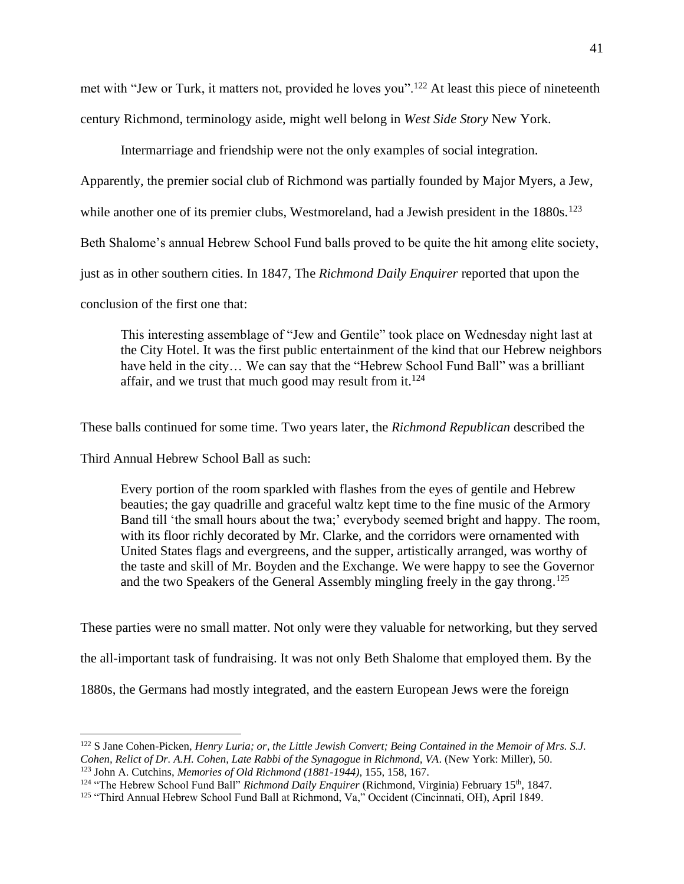met with "Jew or Turk, it matters not, provided he loves you".<sup>122</sup> At least this piece of nineteenth century Richmond, terminology aside, might well belong in *West Side Story* New York.

Intermarriage and friendship were not the only examples of social integration.

Apparently, the premier social club of Richmond was partially founded by Major Myers, a Jew,

while another one of its premier clubs, Westmoreland, had a Jewish president in the  $1880s$ .<sup>123</sup>

Beth Shalome's annual Hebrew School Fund balls proved to be quite the hit among elite society,

just as in other southern cities. In 1847, The *Richmond Daily Enquirer* reported that upon the

conclusion of the first one that:

This interesting assemblage of "Jew and Gentile" took place on Wednesday night last at the City Hotel. It was the first public entertainment of the kind that our Hebrew neighbors have held in the city… We can say that the "Hebrew School Fund Ball" was a brilliant affair, and we trust that much good may result from it.<sup>124</sup>

These balls continued for some time. Two years later, the *Richmond Republican* described the

Third Annual Hebrew School Ball as such:

Every portion of the room sparkled with flashes from the eyes of gentile and Hebrew beauties; the gay quadrille and graceful waltz kept time to the fine music of the Armory Band till 'the small hours about the twa;' everybody seemed bright and happy. The room, with its floor richly decorated by Mr. Clarke, and the corridors were ornamented with United States flags and evergreens, and the supper, artistically arranged, was worthy of the taste and skill of Mr. Boyden and the Exchange. We were happy to see the Governor and the two Speakers of the General Assembly mingling freely in the gay throng. 125

These parties were no small matter. Not only were they valuable for networking, but they served

the all-important task of fundraising. It was not only Beth Shalome that employed them. By the

1880s, the Germans had mostly integrated, and the eastern European Jews were the foreign

<sup>122</sup> S Jane Cohen-Picken, *Henry Luria; or, the Little Jewish Convert; Being Contained in the Memoir of Mrs. S.J. Cohen, Relict of Dr. A.H. Cohen, Late Rabbi of the Synagogue in Richmond, VA*. (New York: Miller), 50. <sup>123</sup> John A. Cutchins, *Memories of Old Richmond (1881-1944)*, 155, 158, 167.

<sup>&</sup>lt;sup>124</sup> "The Hebrew School Fund Ball" *Richmond Daily Enquirer* (Richmond, Virginia) February 15<sup>th</sup>, 1847.

<sup>125</sup> "Third Annual Hebrew School Fund Ball at Richmond, Va," Occident (Cincinnati, OH), April 1849.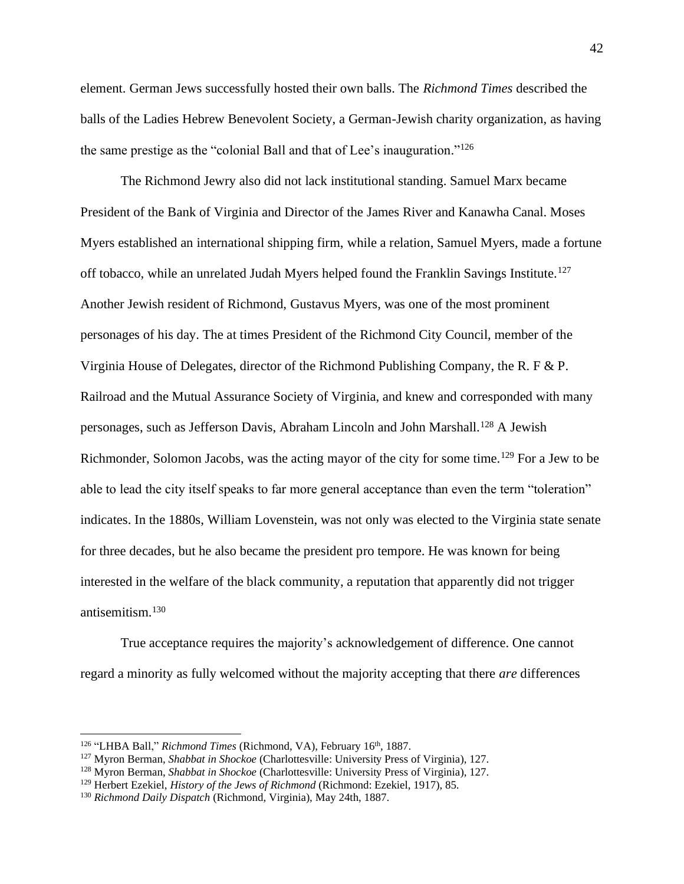element. German Jews successfully hosted their own balls. The *Richmond Times* described the balls of the Ladies Hebrew Benevolent Society, a German-Jewish charity organization, as having the same prestige as the "colonial Ball and that of Lee's inauguration." 126

The Richmond Jewry also did not lack institutional standing. Samuel Marx became President of the Bank of Virginia and Director of the James River and Kanawha Canal. Moses Myers established an international shipping firm, while a relation, Samuel Myers, made a fortune off tobacco, while an unrelated Judah Myers helped found the Franklin Savings Institute.<sup>127</sup> Another Jewish resident of Richmond, Gustavus Myers, was one of the most prominent personages of his day. The at times President of the Richmond City Council, member of the Virginia House of Delegates, director of the Richmond Publishing Company, the R. F & P. Railroad and the Mutual Assurance Society of Virginia, and knew and corresponded with many personages, such as Jefferson Davis, Abraham Lincoln and John Marshall.<sup>128</sup> A Jewish Richmonder, Solomon Jacobs, was the acting mayor of the city for some time.<sup>129</sup> For a Jew to be able to lead the city itself speaks to far more general acceptance than even the term "toleration" indicates. In the 1880s, William Lovenstein, was not only was elected to the Virginia state senate for three decades, but he also became the president pro tempore. He was known for being interested in the welfare of the black community, a reputation that apparently did not trigger antisemitism.<sup>130</sup>

True acceptance requires the majority's acknowledgement of difference. One cannot regard a minority as fully welcomed without the majority accepting that there *are* differences

<sup>&</sup>lt;sup>126</sup> "LHBA Ball," Richmond Times (Richmond, VA), February 16<sup>th</sup>, 1887.

<sup>127</sup> Myron Berman, *Shabbat in Shockoe* (Charlottesville: University Press of Virginia), 127.

<sup>128</sup> Myron Berman, *Shabbat in Shockoe* (Charlottesville: University Press of Virginia), 127.

<sup>129</sup> Herbert Ezekiel, *History of the Jews of Richmond* (Richmond: Ezekiel, 1917), 85.

<sup>130</sup> *Richmond Daily Dispatch* (Richmond, Virginia), May 24th, 1887.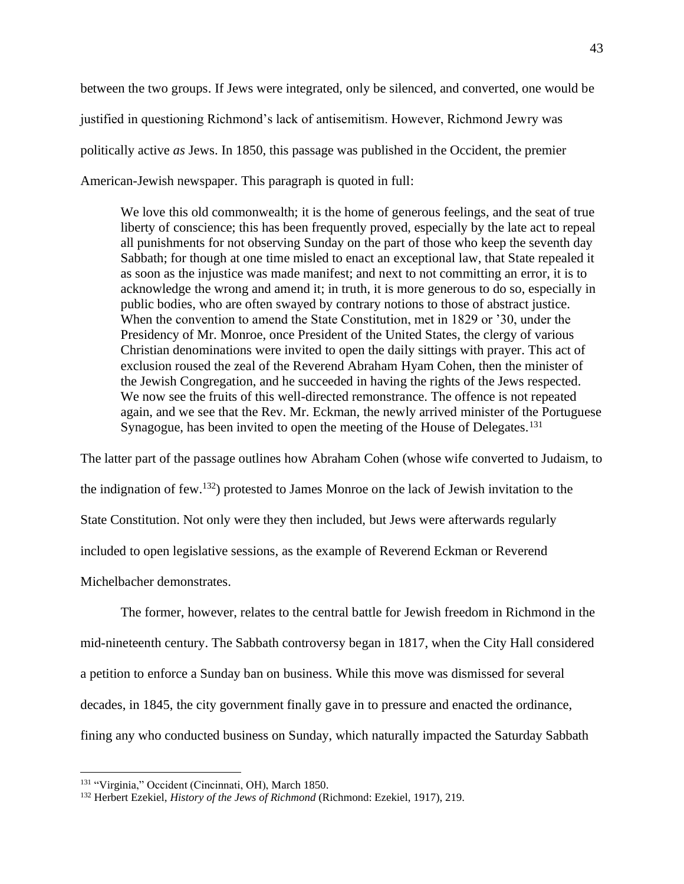between the two groups. If Jews were integrated, only be silenced, and converted, one would be justified in questioning Richmond's lack of antisemitism. However, Richmond Jewry was politically active *as* Jews. In 1850, this passage was published in the Occident, the premier American-Jewish newspaper. This paragraph is quoted in full:

We love this old commonwealth; it is the home of generous feelings, and the seat of true liberty of conscience; this has been frequently proved, especially by the late act to repeal all punishments for not observing Sunday on the part of those who keep the seventh day Sabbath; for though at one time misled to enact an exceptional law, that State repealed it as soon as the injustice was made manifest; and next to not committing an error, it is to acknowledge the wrong and amend it; in truth, it is more generous to do so, especially in public bodies, who are often swayed by contrary notions to those of abstract justice. When the convention to amend the State Constitution, met in 1829 or '30, under the Presidency of Mr. Monroe, once President of the United States, the clergy of various Christian denominations were invited to open the daily sittings with prayer. This act of exclusion roused the zeal of the Reverend Abraham Hyam Cohen, then the minister of the Jewish Congregation, and he succeeded in having the rights of the Jews respected. We now see the fruits of this well-directed remonstrance. The offence is not repeated again, and we see that the Rev. Mr. Eckman, the newly arrived minister of the Portuguese Synagogue, has been invited to open the meeting of the House of Delegates.<sup>131</sup>

The latter part of the passage outlines how Abraham Cohen (whose wife converted to Judaism, to the indignation of few.<sup>132</sup>) protested to James Monroe on the lack of Jewish invitation to the State Constitution. Not only were they then included, but Jews were afterwards regularly included to open legislative sessions, as the example of Reverend Eckman or Reverend Michelbacher demonstrates.

The former, however, relates to the central battle for Jewish freedom in Richmond in the mid-nineteenth century. The Sabbath controversy began in 1817, when the City Hall considered a petition to enforce a Sunday ban on business. While this move was dismissed for several decades, in 1845, the city government finally gave in to pressure and enacted the ordinance, fining any who conducted business on Sunday, which naturally impacted the Saturday Sabbath

<sup>131</sup> "Virginia," Occident (Cincinnati, OH), March 1850.

<sup>132</sup> Herbert Ezekiel, *History of the Jews of Richmond* (Richmond: Ezekiel, 1917), 219.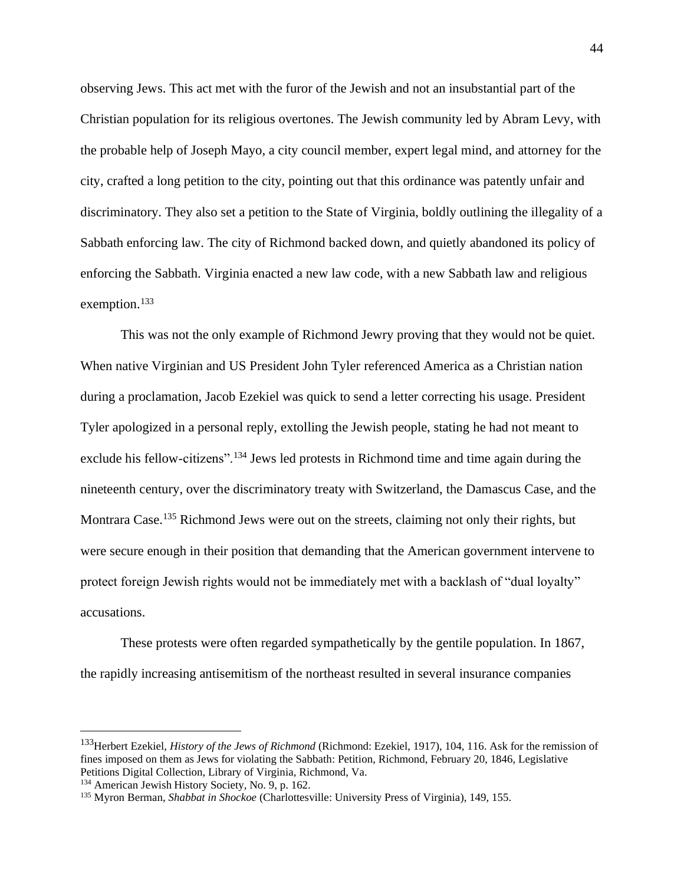observing Jews. This act met with the furor of the Jewish and not an insubstantial part of the Christian population for its religious overtones. The Jewish community led by Abram Levy, with the probable help of Joseph Mayo, a city council member, expert legal mind, and attorney for the city, crafted a long petition to the city, pointing out that this ordinance was patently unfair and discriminatory. They also set a petition to the State of Virginia, boldly outlining the illegality of a Sabbath enforcing law. The city of Richmond backed down, and quietly abandoned its policy of enforcing the Sabbath. Virginia enacted a new law code, with a new Sabbath law and religious exemption.<sup>133</sup>

This was not the only example of Richmond Jewry proving that they would not be quiet. When native Virginian and US President John Tyler referenced America as a Christian nation during a proclamation, Jacob Ezekiel was quick to send a letter correcting his usage. President Tyler apologized in a personal reply, extolling the Jewish people, stating he had not meant to exclude his fellow-citizens".<sup>134</sup> Jews led protests in Richmond time and time again during the nineteenth century, over the discriminatory treaty with Switzerland, the Damascus Case, and the Montrara Case.<sup>135</sup> Richmond Jews were out on the streets, claiming not only their rights, but were secure enough in their position that demanding that the American government intervene to protect foreign Jewish rights would not be immediately met with a backlash of "dual loyalty" accusations.

These protests were often regarded sympathetically by the gentile population. In 1867, the rapidly increasing antisemitism of the northeast resulted in several insurance companies

<sup>133</sup>Herbert Ezekiel, *History of the Jews of Richmond* (Richmond: Ezekiel, 1917), 104, 116. Ask for the remission of fines imposed on them as Jews for violating the Sabbath: Petition, Richmond, February 20, 1846, Legislative Petitions Digital Collection, Library of Virginia, Richmond, Va.

<sup>134</sup> American Jewish History Society, No. 9, p. 162.

<sup>135</sup> Myron Berman, *Shabbat in Shockoe* (Charlottesville: University Press of Virginia), 149, 155.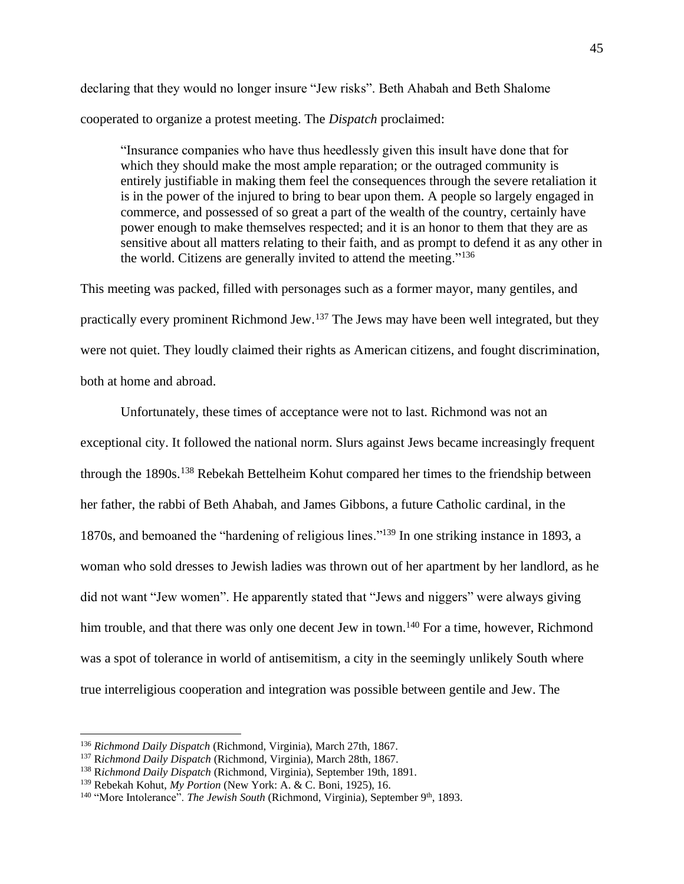declaring that they would no longer insure "Jew risks". Beth Ahabah and Beth Shalome cooperated to organize a protest meeting. The *Dispatch* proclaimed:

"Insurance companies who have thus heedlessly given this insult have done that for which they should make the most ample reparation; or the outraged community is entirely justifiable in making them feel the consequences through the severe retaliation it is in the power of the injured to bring to bear upon them. A people so largely engaged in commerce, and possessed of so great a part of the wealth of the country, certainly have power enough to make themselves respected; and it is an honor to them that they are as sensitive about all matters relating to their faith, and as prompt to defend it as any other in the world. Citizens are generally invited to attend the meeting."<sup>136</sup>

This meeting was packed, filled with personages such as a former mayor, many gentiles, and practically every prominent Richmond Jew.<sup>137</sup> The Jews may have been well integrated, but they were not quiet. They loudly claimed their rights as American citizens, and fought discrimination, both at home and abroad.

Unfortunately, these times of acceptance were not to last. Richmond was not an exceptional city. It followed the national norm. Slurs against Jews became increasingly frequent through the 1890s.<sup>138</sup> Rebekah Bettelheim Kohut compared her times to the friendship between her father, the rabbi of Beth Ahabah, and James Gibbons, a future Catholic cardinal, in the 1870s, and bemoaned the "hardening of religious lines."<sup>139</sup> In one striking instance in 1893, a woman who sold dresses to Jewish ladies was thrown out of her apartment by her landlord, as he did not want "Jew women". He apparently stated that "Jews and niggers" were always giving him trouble, and that there was only one decent Jew in town.<sup>140</sup> For a time, however, Richmond was a spot of tolerance in world of antisemitism, a city in the seemingly unlikely South where true interreligious cooperation and integration was possible between gentile and Jew. The

<sup>136</sup> *Richmond Daily Dispatch* (Richmond, Virginia), March 27th, 1867.

<sup>137</sup> R*ichmond Daily Dispatch* (Richmond, Virginia), March 28th, 1867.

<sup>138</sup> R*ichmond Daily Dispatch* (Richmond, Virginia), September 19th, 1891.

<sup>139</sup> Rebekah Kohut, *My Portion* (New York: A. & C. Boni, 1925), 16.

<sup>&</sup>lt;sup>140</sup> "More Intolerance". *The Jewish South* (Richmond, Virginia), September 9<sup>th</sup>, 1893.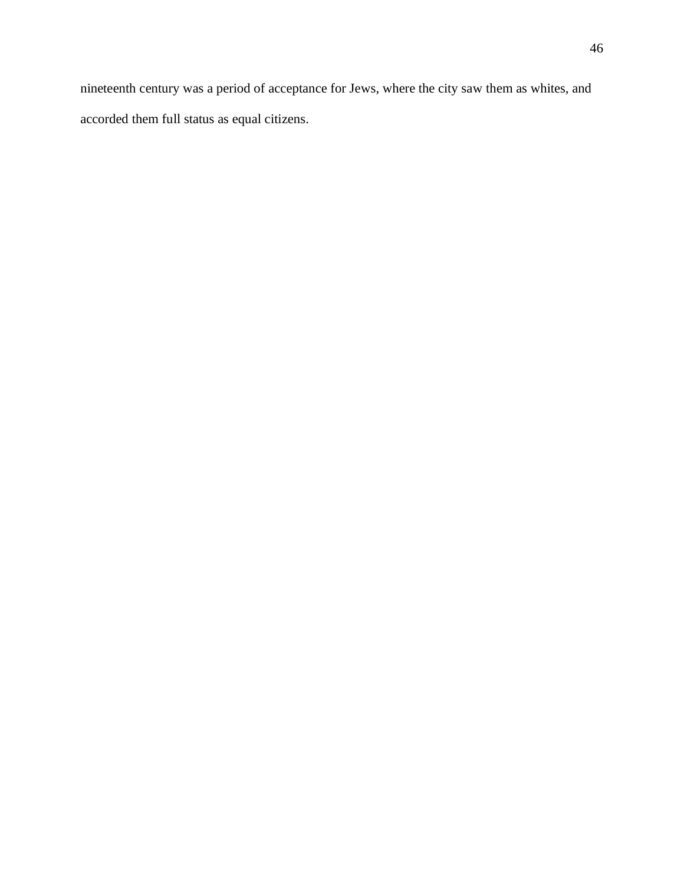nineteenth century was a period of acceptance for Jews, where the city saw them as whites, and accorded them full status as equal citizens.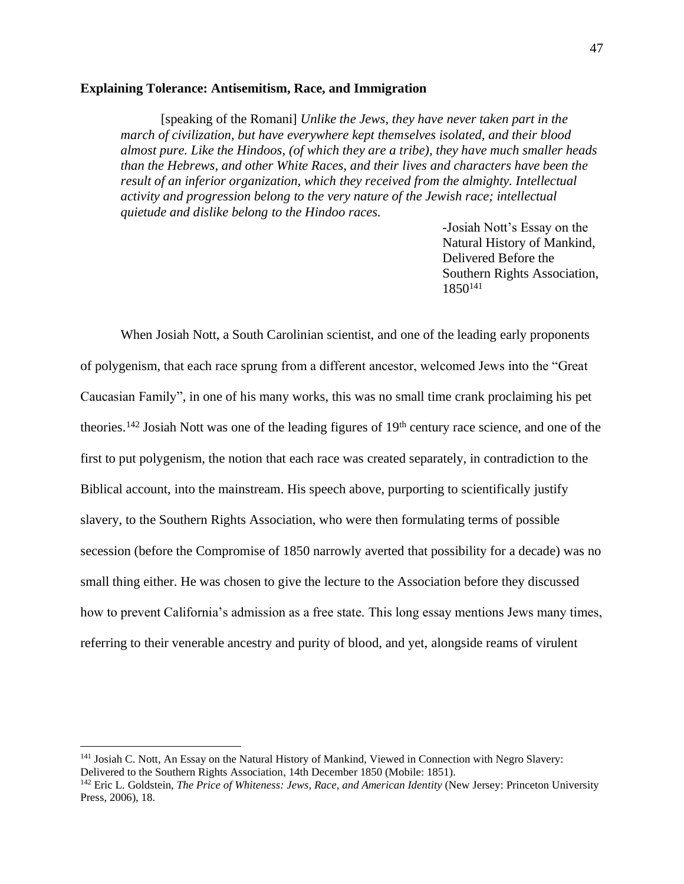## **Explaining Tolerance: Antisemitism, Race, and Immigration**

[speaking of the Romani] *Unlike the Jews, they have never taken part in the march of civilization, but have everywhere kept themselves isolated, and their blood almost pure. Like the Hindoos, (of which they are a tribe), they have much smaller heads than the Hebrews, and other White Races, and their lives and characters have been the result of an inferior organization, which they received from the almighty. Intellectual activity and progression belong to the very nature of the Jewish race; intellectual quietude and dislike belong to the Hindoo races.*

> -Josiah Nott's Essay on the Natural History of Mankind, Delivered Before the Southern Rights Association, 1850<sup>141</sup>

When Josiah Nott, a South Carolinian scientist, and one of the leading early proponents of polygenism, that each race sprung from a different ancestor, welcomed Jews into the "Great Caucasian Family", in one of his many works, this was no small time crank proclaiming his pet theories.<sup>142</sup> Josiah Nott was one of the leading figures of  $19<sup>th</sup>$  century race science, and one of the first to put polygenism, the notion that each race was created separately, in contradiction to the Biblical account, into the mainstream. His speech above, purporting to scientifically justify slavery, to the Southern Rights Association, who were then formulating terms of possible secession (before the Compromise of 1850 narrowly averted that possibility for a decade) was no small thing either. He was chosen to give the lecture to the Association before they discussed how to prevent California's admission as a free state. This long essay mentions Jews many times, referring to their venerable ancestry and purity of blood, and yet, alongside reams of virulent

<sup>&</sup>lt;sup>141</sup> Josiah C. Nott, An Essay on the Natural History of Mankind, Viewed in Connection with Negro Slavery: Delivered to the Southern Rights Association, 14th December 1850 (Mobile: 1851).

<sup>142</sup> Eric L. Goldstein, *The Price of Whiteness: Jews, Race, and American Identity* (New Jersey: Princeton University Press, 2006), 18.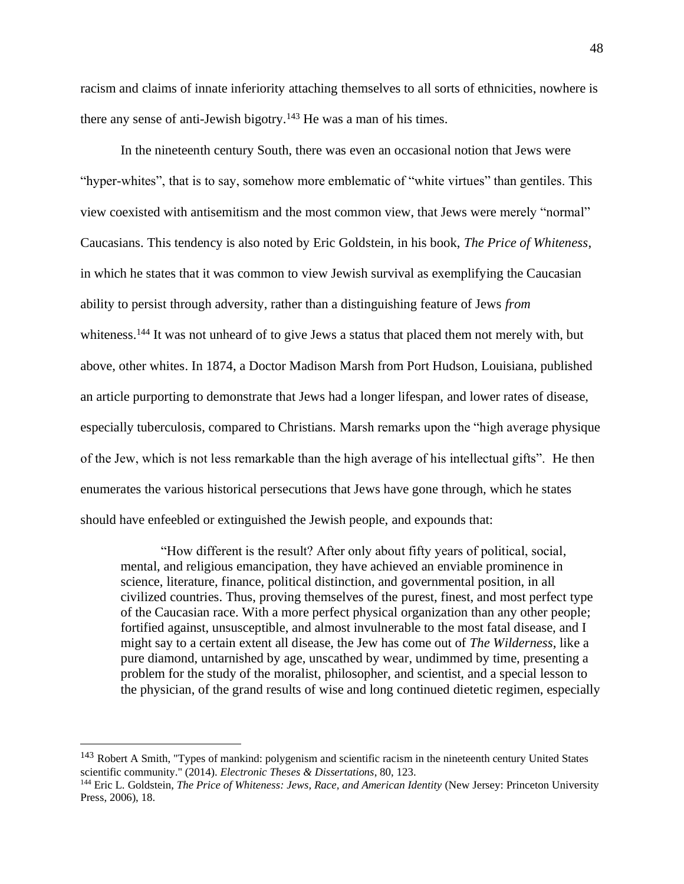racism and claims of innate inferiority attaching themselves to all sorts of ethnicities, nowhere is there any sense of anti-Jewish bigotry.<sup>143</sup> He was a man of his times.

In the nineteenth century South, there was even an occasional notion that Jews were "hyper-whites", that is to say, somehow more emblematic of "white virtues" than gentiles. This view coexisted with antisemitism and the most common view, that Jews were merely "normal" Caucasians. This tendency is also noted by Eric Goldstein, in his book, *The Price of Whiteness*, in which he states that it was common to view Jewish survival as exemplifying the Caucasian ability to persist through adversity, rather than a distinguishing feature of Jews *from*  whiteness.<sup>144</sup> It was not unheard of to give Jews a status that placed them not merely with, but above, other whites. In 1874, a Doctor Madison Marsh from Port Hudson, Louisiana, published an article purporting to demonstrate that Jews had a longer lifespan, and lower rates of disease, especially tuberculosis, compared to Christians. Marsh remarks upon the "high average physique of the Jew, which is not less remarkable than the high average of his intellectual gifts". He then enumerates the various historical persecutions that Jews have gone through, which he states should have enfeebled or extinguished the Jewish people, and expounds that:

"How different is the result? After only about fifty years of political, social, mental, and religious emancipation, they have achieved an enviable prominence in science, literature, finance, political distinction, and governmental position, in all civilized countries. Thus, proving themselves of the purest, finest, and most perfect type of the Caucasian race. With a more perfect physical organization than any other people; fortified against, unsusceptible, and almost invulnerable to the most fatal disease, and I might say to a certain extent all disease, the Jew has come out of *The Wilderness*, like a pure diamond, untarnished by age, unscathed by wear, undimmed by time, presenting a problem for the study of the moralist, philosopher, and scientist, and a special lesson to the physician, of the grand results of wise and long continued dietetic regimen, especially

<sup>&</sup>lt;sup>143</sup> Robert A Smith, "Types of mankind: polygenism and scientific racism in the nineteenth century United States scientific community." (2014). *Electronic Theses & Dissertations*, 80, 123.

<sup>144</sup> Eric L. Goldstein, *The Price of Whiteness: Jews, Race, and American Identity* (New Jersey: Princeton University Press, 2006), 18.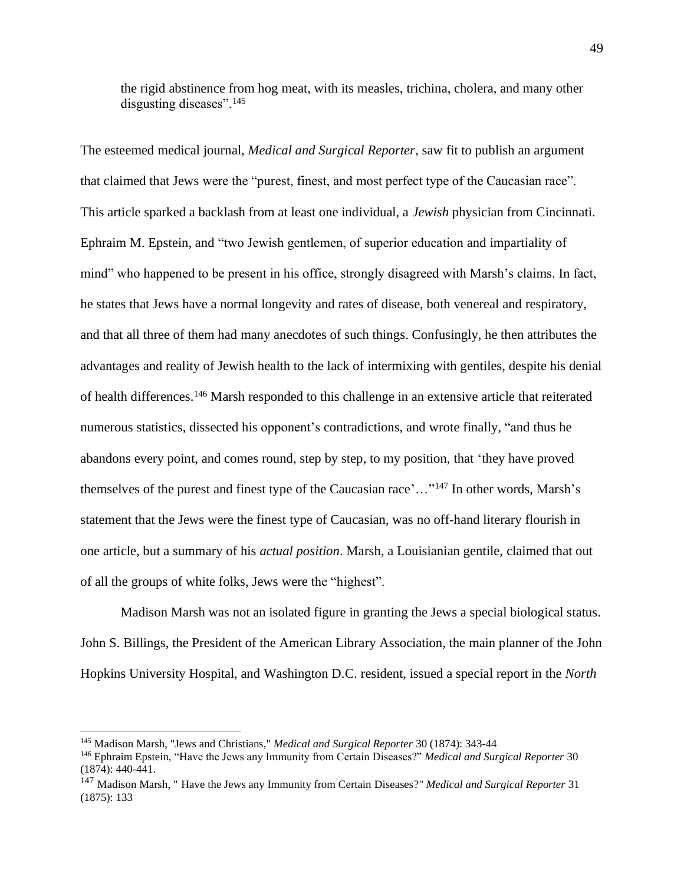the rigid abstinence from hog meat, with its measles, trichina, cholera, and many other disgusting diseases".<sup>145</sup>

The esteemed medical journal, *Medical and Surgical Reporter*, saw fit to publish an argument that claimed that Jews were the "purest, finest, and most perfect type of the Caucasian race". This article sparked a backlash from at least one individual, a *Jewish* physician from Cincinnati. Ephraim M. Epstein, and "two Jewish gentlemen, of superior education and impartiality of mind" who happened to be present in his office, strongly disagreed with Marsh's claims. In fact, he states that Jews have a normal longevity and rates of disease, both venereal and respiratory, and that all three of them had many anecdotes of such things. Confusingly, he then attributes the advantages and reality of Jewish health to the lack of intermixing with gentiles, despite his denial of health differences.<sup>146</sup> Marsh responded to this challenge in an extensive article that reiterated numerous statistics, dissected his opponent's contradictions, and wrote finally, "and thus he abandons every point, and comes round, step by step, to my position, that 'they have proved themselves of the purest and finest type of the Caucasian race'…"<sup>147</sup> In other words, Marsh's statement that the Jews were the finest type of Caucasian, was no off-hand literary flourish in one article, but a summary of his *actual position*. Marsh, a Louisianian gentile, claimed that out of all the groups of white folks, Jews were the "highest".

Madison Marsh was not an isolated figure in granting the Jews a special biological status. John S. Billings, the President of the American Library Association, the main planner of the John Hopkins University Hospital, and Washington D.C. resident, issued a special report in the *North* 

<sup>145</sup> Madison Marsh, "Jews and Christians," *Medical and Surgical Reporter* 30 (1874): 343-44

<sup>146</sup> Ephraim Epstein, "Have the Jews any Immunity from Certain Diseases?" *Medical and Surgical Reporter* 30 (1874): 440-441.

<sup>147</sup> Madison Marsh, " Have the Jews any Immunity from Certain Diseases?" *Medical and Surgical Reporter* 31 (1875): 133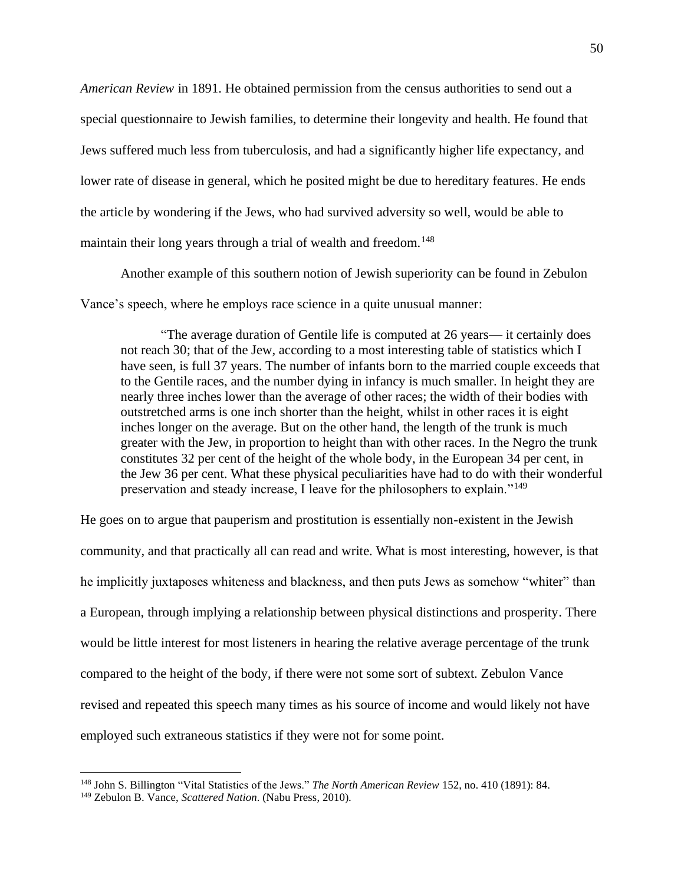*American Review* in 1891. He obtained permission from the census authorities to send out a special questionnaire to Jewish families, to determine their longevity and health. He found that Jews suffered much less from tuberculosis, and had a significantly higher life expectancy, and lower rate of disease in general, which he posited might be due to hereditary features. He ends the article by wondering if the Jews, who had survived adversity so well, would be able to maintain their long years through a trial of wealth and freedom.<sup>148</sup>

Another example of this southern notion of Jewish superiority can be found in Zebulon Vance's speech, where he employs race science in a quite unusual manner:

"The average duration of Gentile life is computed at 26 years— it certainly does not reach 30; that of the Jew, according to a most interesting table of statistics which I have seen, is full 37 years. The number of infants born to the married couple exceeds that to the Gentile races, and the number dying in infancy is much smaller. In height they are nearly three inches lower than the average of other races; the width of their bodies with outstretched arms is one inch shorter than the height, whilst in other races it is eight inches longer on the average. But on the other hand, the length of the trunk is much greater with the Jew, in proportion to height than with other races. In the Negro the trunk constitutes 32 per cent of the height of the whole body, in the European 34 per cent, in the Jew 36 per cent. What these physical peculiarities have had to do with their wonderful preservation and steady increase, I leave for the philosophers to explain."<sup>149</sup>

He goes on to argue that pauperism and prostitution is essentially non-existent in the Jewish community, and that practically all can read and write. What is most interesting, however, is that he implicitly juxtaposes whiteness and blackness, and then puts Jews as somehow "whiter" than a European, through implying a relationship between physical distinctions and prosperity. There would be little interest for most listeners in hearing the relative average percentage of the trunk compared to the height of the body, if there were not some sort of subtext. Zebulon Vance revised and repeated this speech many times as his source of income and would likely not have employed such extraneous statistics if they were not for some point.

<sup>148</sup> John S. Billington "Vital Statistics of the Jews." *The North American Review* 152, no. 410 (1891): 84.

<sup>149</sup> Zebulon B. Vance, *Scattered Nation*. (Nabu Press, 2010).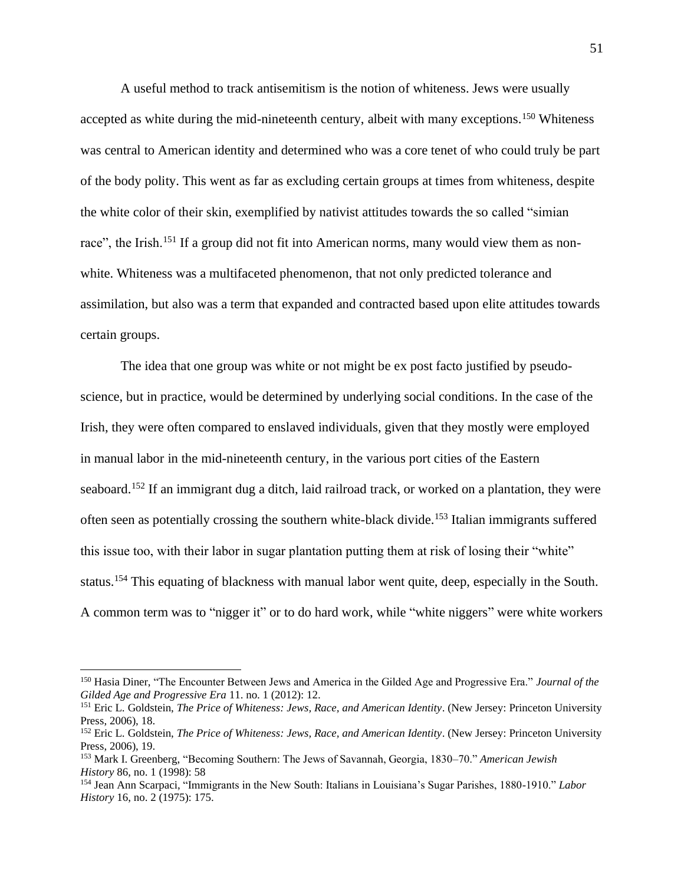A useful method to track antisemitism is the notion of whiteness. Jews were usually accepted as white during the mid-nineteenth century, albeit with many exceptions.<sup>150</sup> Whiteness was central to American identity and determined who was a core tenet of who could truly be part of the body polity. This went as far as excluding certain groups at times from whiteness, despite the white color of their skin, exemplified by nativist attitudes towards the so called "simian race", the Irish.<sup>151</sup> If a group did not fit into American norms, many would view them as nonwhite. Whiteness was a multifaceted phenomenon, that not only predicted tolerance and assimilation, but also was a term that expanded and contracted based upon elite attitudes towards certain groups.

The idea that one group was white or not might be ex post facto justified by pseudoscience, but in practice, would be determined by underlying social conditions. In the case of the Irish, they were often compared to enslaved individuals, given that they mostly were employed in manual labor in the mid-nineteenth century, in the various port cities of the Eastern seaboard.<sup>152</sup> If an immigrant dug a ditch, laid railroad track, or worked on a plantation, they were often seen as potentially crossing the southern white-black divide.<sup>153</sup> Italian immigrants suffered this issue too, with their labor in sugar plantation putting them at risk of losing their "white" status.<sup>154</sup> This equating of blackness with manual labor went quite, deep, especially in the South. A common term was to "nigger it" or to do hard work, while "white niggers" were white workers

<sup>150</sup> Hasia Diner, "The Encounter Between Jews and America in the Gilded Age and Progressive Era." *Journal of the Gilded Age and Progressive Era* 11. no. 1 (2012): 12.

<sup>151</sup> Eric L. Goldstein, *The Price of Whiteness: Jews, Race, and American Identity*. (New Jersey: Princeton University Press, 2006), 18.

<sup>152</sup> Eric L. Goldstein, *The Price of Whiteness: Jews, Race, and American Identity*. (New Jersey: Princeton University Press, 2006), 19.

<sup>153</sup> Mark I. Greenberg, "Becoming Southern: The Jews of Savannah, Georgia, 1830–70." *American Jewish History* 86, no. 1 (1998): 58

<sup>154</sup> Jean Ann Scarpaci, "Immigrants in the New South: Italians in Louisiana's Sugar Parishes, 1880-1910." *Labor History* 16, no. 2 (1975): 175.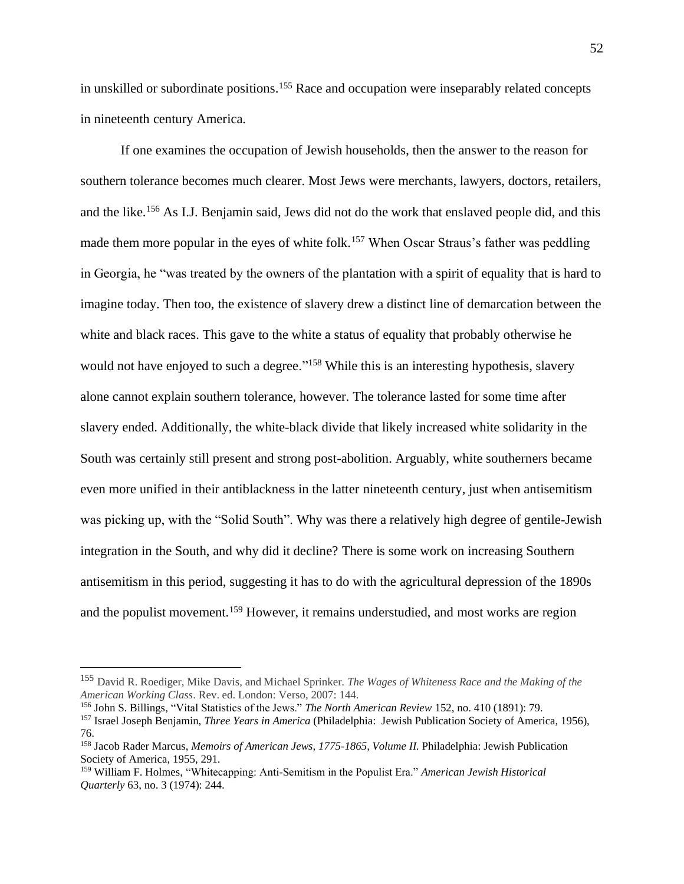in unskilled or subordinate positions.<sup>155</sup> Race and occupation were inseparably related concepts in nineteenth century America.

If one examines the occupation of Jewish households, then the answer to the reason for southern tolerance becomes much clearer. Most Jews were merchants, lawyers, doctors, retailers, and the like.<sup>156</sup> As I.J. Benjamin said, Jews did not do the work that enslaved people did, and this made them more popular in the eyes of white folk.<sup>157</sup> When Oscar Straus's father was peddling in Georgia, he "was treated by the owners of the plantation with a spirit of equality that is hard to imagine today. Then too, the existence of slavery drew a distinct line of demarcation between the white and black races. This gave to the white a status of equality that probably otherwise he would not have enjoyed to such a degree."<sup>158</sup> While this is an interesting hypothesis, slavery alone cannot explain southern tolerance, however. The tolerance lasted for some time after slavery ended. Additionally, the white-black divide that likely increased white solidarity in the South was certainly still present and strong post-abolition. Arguably, white southerners became even more unified in their antiblackness in the latter nineteenth century, just when antisemitism was picking up, with the "Solid South". Why was there a relatively high degree of gentile-Jewish integration in the South, and why did it decline? There is some work on increasing Southern antisemitism in this period, suggesting it has to do with the agricultural depression of the 1890s and the populist movement.<sup>159</sup> However, it remains understudied, and most works are region

<sup>155</sup> David R. Roediger, Mike Davis, and Michael Sprinker. *The Wages of Whiteness Race and the Making of the American Working Class*. Rev. ed. London: Verso, 2007: 144.

<sup>156</sup> John S. Billings, "Vital Statistics of the Jews." *The North American Review* 152, no. 410 (1891): 79.

<sup>157</sup> Israel Joseph Benjamin, *Three Years in America* (Philadelphia: Jewish Publication Society of America, 1956), 76.

<sup>158</sup> Jacob Rader Marcus, *Memoirs of American Jews, 1775-1865, Volume II.* Philadelphia: Jewish Publication Society of America, 1955, 291.

<sup>159</sup> William F. Holmes, "Whitecapping: Anti-Semitism in the Populist Era." *American Jewish Historical Quarterly* 63, no. 3 (1974): 244.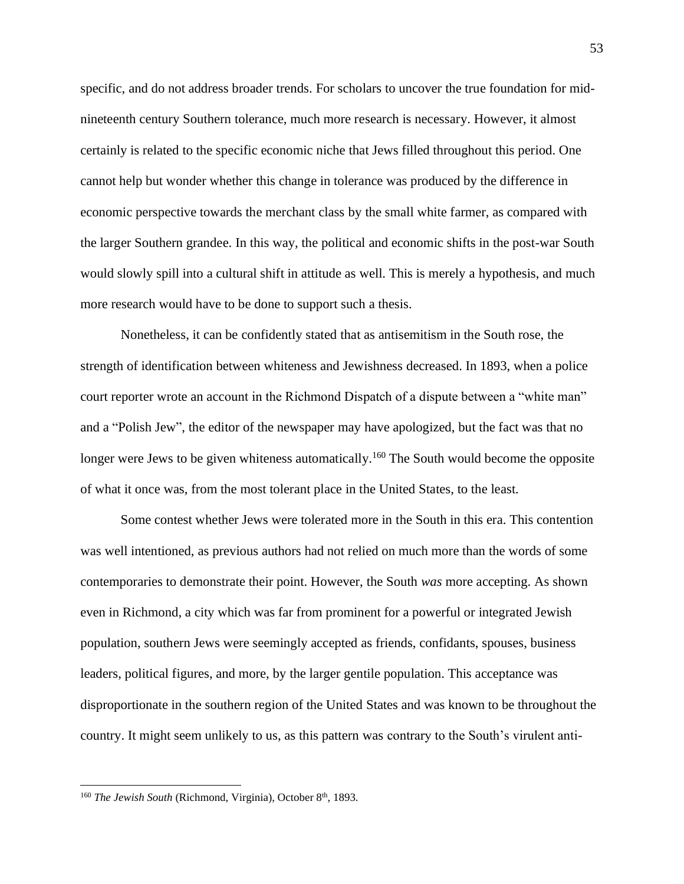specific, and do not address broader trends. For scholars to uncover the true foundation for midnineteenth century Southern tolerance, much more research is necessary. However, it almost certainly is related to the specific economic niche that Jews filled throughout this period. One cannot help but wonder whether this change in tolerance was produced by the difference in economic perspective towards the merchant class by the small white farmer, as compared with the larger Southern grandee. In this way, the political and economic shifts in the post-war South would slowly spill into a cultural shift in attitude as well. This is merely a hypothesis, and much more research would have to be done to support such a thesis.

Nonetheless, it can be confidently stated that as antisemitism in the South rose, the strength of identification between whiteness and Jewishness decreased. In 1893, when a police court reporter wrote an account in the Richmond Dispatch of a dispute between a "white man" and a "Polish Jew", the editor of the newspaper may have apologized, but the fact was that no longer were Jews to be given whiteness automatically.<sup>160</sup> The South would become the opposite of what it once was, from the most tolerant place in the United States, to the least.

Some contest whether Jews were tolerated more in the South in this era. This contention was well intentioned, as previous authors had not relied on much more than the words of some contemporaries to demonstrate their point. However, the South *was* more accepting. As shown even in Richmond, a city which was far from prominent for a powerful or integrated Jewish population, southern Jews were seemingly accepted as friends, confidants, spouses, business leaders, political figures, and more, by the larger gentile population. This acceptance was disproportionate in the southern region of the United States and was known to be throughout the country. It might seem unlikely to us, as this pattern was contrary to the South's virulent anti-

<sup>&</sup>lt;sup>160</sup> *The Jewish South* (Richmond, Virginia), October 8<sup>th</sup>, 1893.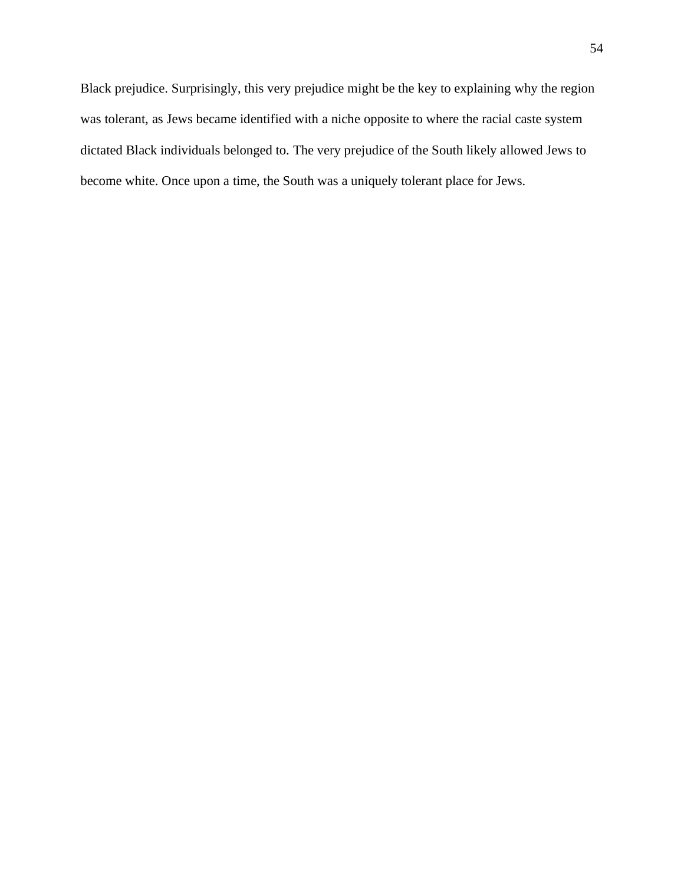Black prejudice. Surprisingly, this very prejudice might be the key to explaining why the region was tolerant, as Jews became identified with a niche opposite to where the racial caste system dictated Black individuals belonged to. The very prejudice of the South likely allowed Jews to become white. Once upon a time, the South was a uniquely tolerant place for Jews.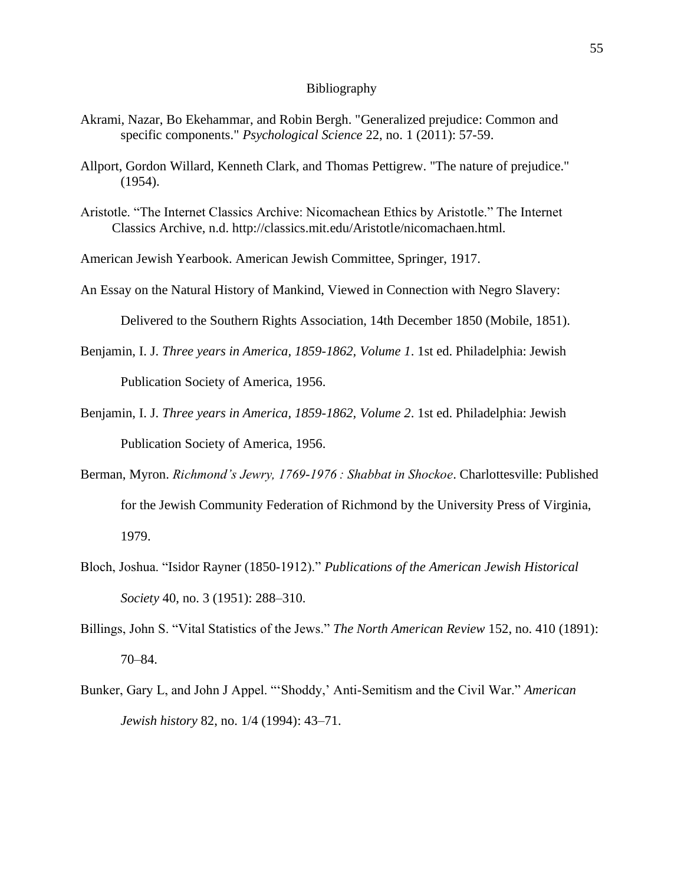#### Bibliography

- Akrami, Nazar, Bo Ekehammar, and Robin Bergh. "Generalized prejudice: Common and specific components." *Psychological Science* 22, no. 1 (2011): 57-59.
- Allport, Gordon Willard, Kenneth Clark, and Thomas Pettigrew. "The nature of prejudice." (1954).
- Aristotle. "The Internet Classics Archive: Nicomachean Ethics by Aristotle." The Internet Classics Archive, n.d. http://classics.mit.edu/Aristotle/nicomachaen.html.

American Jewish Yearbook. American Jewish Committee, Springer, 1917.

An Essay on the Natural History of Mankind, Viewed in Connection with Negro Slavery:

Delivered to the Southern Rights Association, 14th December 1850 (Mobile, 1851).

- Benjamin, I. J. *Three years in America, 1859-1862, Volume 1*. 1st ed. Philadelphia: Jewish Publication Society of America, 1956.
- Benjamin, I. J. *Three years in America, 1859-1862, Volume 2*. 1st ed. Philadelphia: Jewish Publication Society of America, 1956.
- Berman, Myron. *Richmond's Jewry, 1769-1976 : Shabbat in Shockoe*. Charlottesville: Published for the Jewish Community Federation of Richmond by the University Press of Virginia, 1979.
- Bloch, Joshua. "Isidor Rayner (1850-1912)." *Publications of the American Jewish Historical Society* 40, no. 3 (1951): 288–310.
- Billings, John S. "Vital Statistics of the Jews." *The North American Review* 152, no. 410 (1891): 70–84.
- Bunker, Gary L, and John J Appel. "'Shoddy,' Anti-Semitism and the Civil War." *American Jewish history* 82, no. 1/4 (1994): 43–71.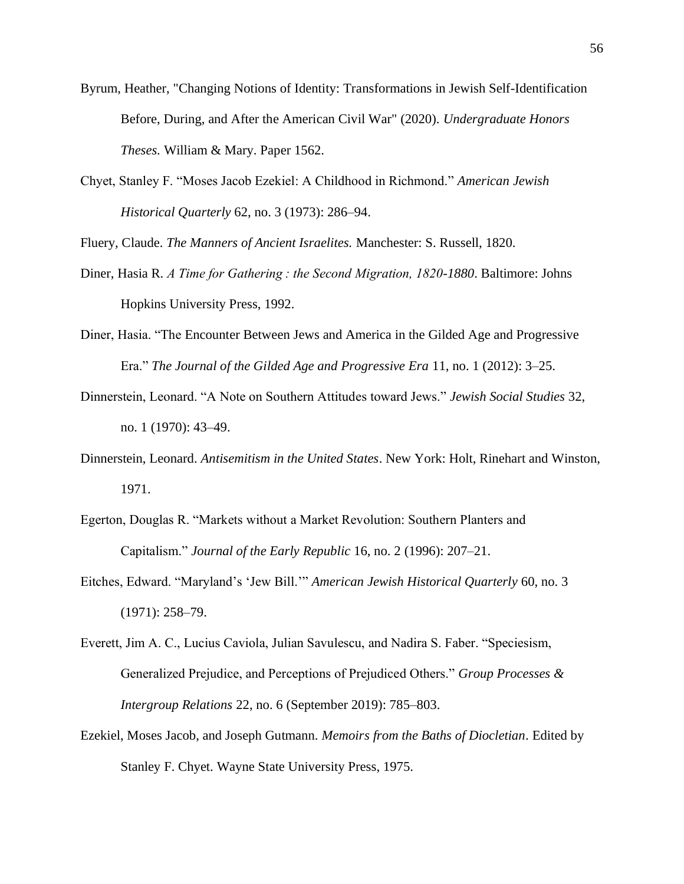- Byrum, Heather, "Changing Notions of Identity: Transformations in Jewish Self-Identification Before, During, and After the American Civil War" (2020). *Undergraduate Honors Theses.* William & Mary. Paper 1562.
- Chyet, Stanley F. "Moses Jacob Ezekiel: A Childhood in Richmond." *American Jewish Historical Quarterly* 62, no. 3 (1973): 286–94.

Fluery, Claude. *The Manners of Ancient Israelites.* Manchester: S. Russell, 1820.

- Diner, Hasia R. *A Time for Gathering : the Second Migration, 1820-1880*. Baltimore: Johns Hopkins University Press, 1992.
- Diner, Hasia. "The Encounter Between Jews and America in the Gilded Age and Progressive Era." *The Journal of the Gilded Age and Progressive Era* 11, no. 1 (2012): 3–25.
- Dinnerstein, Leonard. "A Note on Southern Attitudes toward Jews." *Jewish Social Studies* 32, no. 1 (1970): 43–49.
- Dinnerstein, Leonard. *Antisemitism in the United States*. New York: Holt, Rinehart and Winston, 1971.
- Egerton, Douglas R. "Markets without a Market Revolution: Southern Planters and Capitalism." *Journal of the Early Republic* 16, no. 2 (1996): 207–21.
- Eitches, Edward. "Maryland's 'Jew Bill.'" *American Jewish Historical Quarterly* 60, no. 3 (1971): 258–79.
- Everett, Jim A. C., Lucius Caviola, Julian Savulescu, and Nadira S. Faber. "Speciesism, Generalized Prejudice, and Perceptions of Prejudiced Others." *Group Processes & Intergroup Relations* 22, no. 6 (September 2019): 785–803.
- Ezekiel, Moses Jacob, and Joseph Gutmann. *Memoirs from the Baths of Diocletian*. Edited by Stanley F. Chyet. Wayne State University Press, 1975.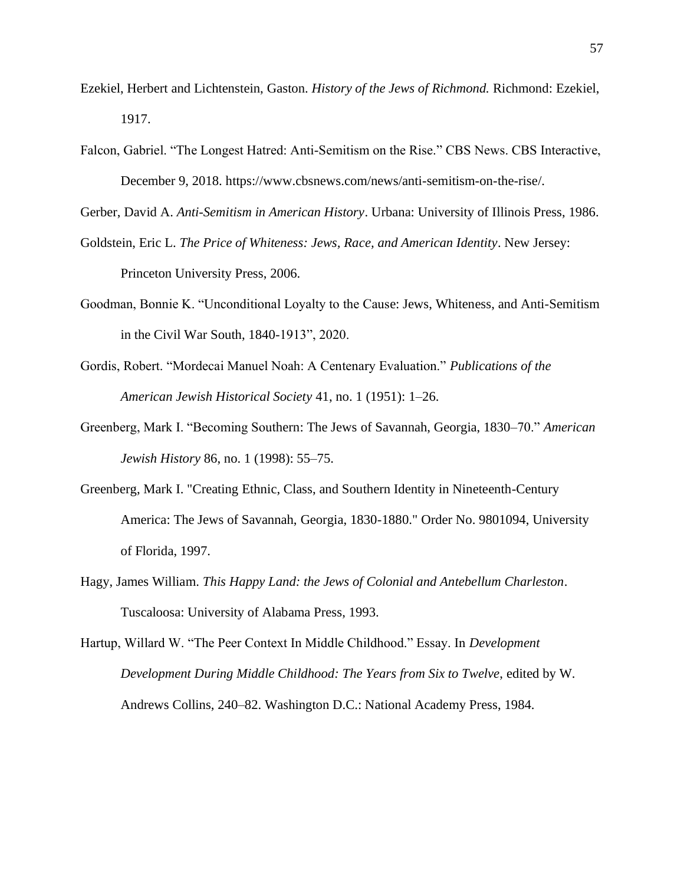- Ezekiel, Herbert and Lichtenstein, Gaston. *History of the Jews of Richmond.* Richmond: Ezekiel, 1917.
- Falcon, Gabriel. "The Longest Hatred: Anti-Semitism on the Rise." CBS News. CBS Interactive, December 9, 2018. https://www.cbsnews.com/news/anti-semitism-on-the-rise/.

Gerber, David A. *Anti-Semitism in American History*. Urbana: University of Illinois Press, 1986.

- Goldstein, Eric L. *The Price of Whiteness: Jews, Race, and American Identity*. New Jersey: Princeton University Press, 2006.
- Goodman, Bonnie K. "Unconditional Loyalty to the Cause: Jews, Whiteness, and Anti-Semitism in the Civil War South, 1840-1913", 2020.
- Gordis, Robert. "Mordecai Manuel Noah: A Centenary Evaluation." *Publications of the American Jewish Historical Society* 41, no. 1 (1951): 1–26.
- Greenberg, Mark I. "Becoming Southern: The Jews of Savannah, Georgia, 1830–70." *American Jewish History* 86, no. 1 (1998): 55–75.
- Greenberg, Mark I. "Creating Ethnic, Class, and Southern Identity in Nineteenth-Century America: The Jews of Savannah, Georgia, 1830-1880." Order No. 9801094, University of Florida, 1997.
- Hagy, James William. *This Happy Land: the Jews of Colonial and Antebellum Charleston*. Tuscaloosa: University of Alabama Press, 1993.
- Hartup, Willard W. "The Peer Context In Middle Childhood." Essay. In *Development Development During Middle Childhood: The Years from Six to Twelve*, edited by W. Andrews Collins, 240–82. Washington D.C.: National Academy Press, 1984.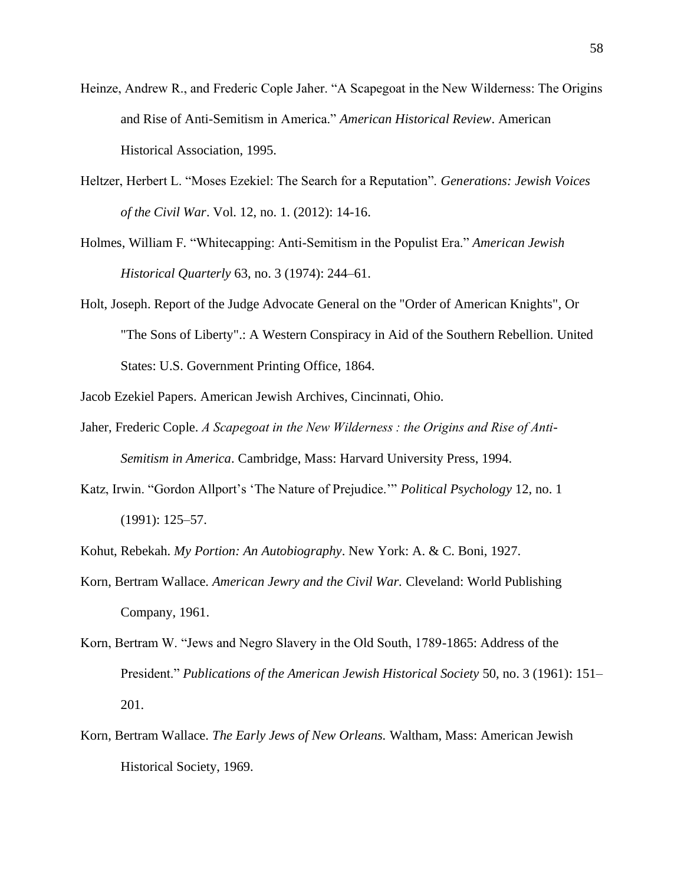- Heinze, Andrew R., and Frederic Cople Jaher. "A Scapegoat in the New Wilderness: The Origins and Rise of Anti-Semitism in America." *American Historical Review*. American Historical Association, 1995.
- Heltzer, Herbert L. "Moses Ezekiel: The Search for a Reputation". *Generations: Jewish Voices of the Civil War*. Vol. 12, no. 1. (2012): 14-16.
- Holmes, William F. "Whitecapping: Anti-Semitism in the Populist Era." *American Jewish Historical Quarterly* 63, no. 3 (1974): 244–61.
- Holt, Joseph. Report of the Judge Advocate General on the "Order of American Knights", Or "The Sons of Liberty".: A Western Conspiracy in Aid of the Southern Rebellion. United States: U.S. Government Printing Office, 1864.
- Jacob Ezekiel Papers. American Jewish Archives, Cincinnati, Ohio.
- Jaher, Frederic Cople. *A Scapegoat in the New Wilderness : the Origins and Rise of Anti-Semitism in America*. Cambridge, Mass: Harvard University Press, 1994.
- Katz, Irwin. "Gordon Allport's 'The Nature of Prejudice.'" *Political Psychology* 12, no. 1 (1991): 125–57.
- Kohut, Rebekah. *My Portion: An Autobiography*. New York: A. & C. Boni, 1927.
- Korn, Bertram Wallace. *American Jewry and the Civil War.* Cleveland: World Publishing Company, 1961.
- Korn, Bertram W. "Jews and Negro Slavery in the Old South, 1789-1865: Address of the President." *Publications of the American Jewish Historical Society* 50, no. 3 (1961): 151– 201.
- Korn, Bertram Wallace. *The Early Jews of New Orleans.* Waltham, Mass: American Jewish Historical Society, 1969.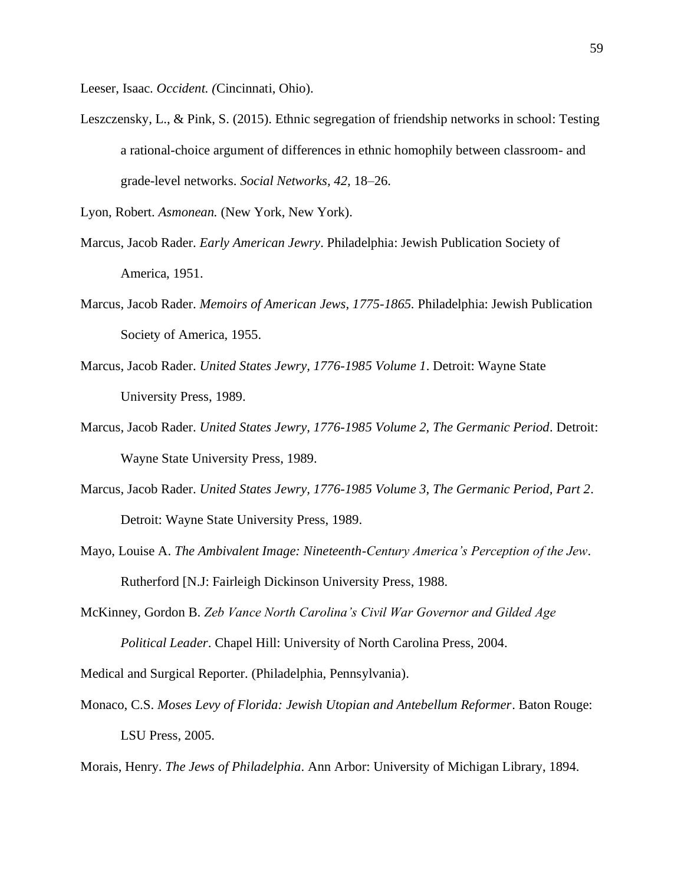Leeser, Isaac. *Occident. (*Cincinnati, Ohio).

Leszczensky, L., & Pink, S. (2015). Ethnic segregation of friendship networks in school: Testing a rational-choice argument of differences in ethnic homophily between classroom- and grade-level networks. *Social Networks, 42,* 18–26.

Lyon, Robert. *Asmonean.* (New York, New York).

- Marcus, Jacob Rader. *Early American Jewry*. Philadelphia: Jewish Publication Society of America, 1951.
- Marcus, Jacob Rader. *Memoirs of American Jews, 1775-1865.* Philadelphia: Jewish Publication Society of America, 1955.
- Marcus, Jacob Rader. *United States Jewry, 1776-1985 Volume 1*. Detroit: Wayne State University Press, 1989.
- Marcus, Jacob Rader. *United States Jewry, 1776-1985 Volume 2, The Germanic Period*. Detroit: Wayne State University Press, 1989.
- Marcus, Jacob Rader. *United States Jewry, 1776-1985 Volume 3, The Germanic Period, Part 2*. Detroit: Wayne State University Press, 1989.
- Mayo, Louise A. *The Ambivalent Image: Nineteenth-Century America's Perception of the Jew*. Rutherford [N.J: Fairleigh Dickinson University Press, 1988.
- McKinney, Gordon B. *Zeb Vance North Carolina's Civil War Governor and Gilded Age Political Leader*. Chapel Hill: University of North Carolina Press, 2004.

Medical and Surgical Reporter. (Philadelphia, Pennsylvania).

Monaco, C.S. *Moses Levy of Florida: Jewish Utopian and Antebellum Reformer*. Baton Rouge: LSU Press, 2005.

Morais, Henry. *The Jews of Philadelphia*. Ann Arbor: University of Michigan Library, 1894.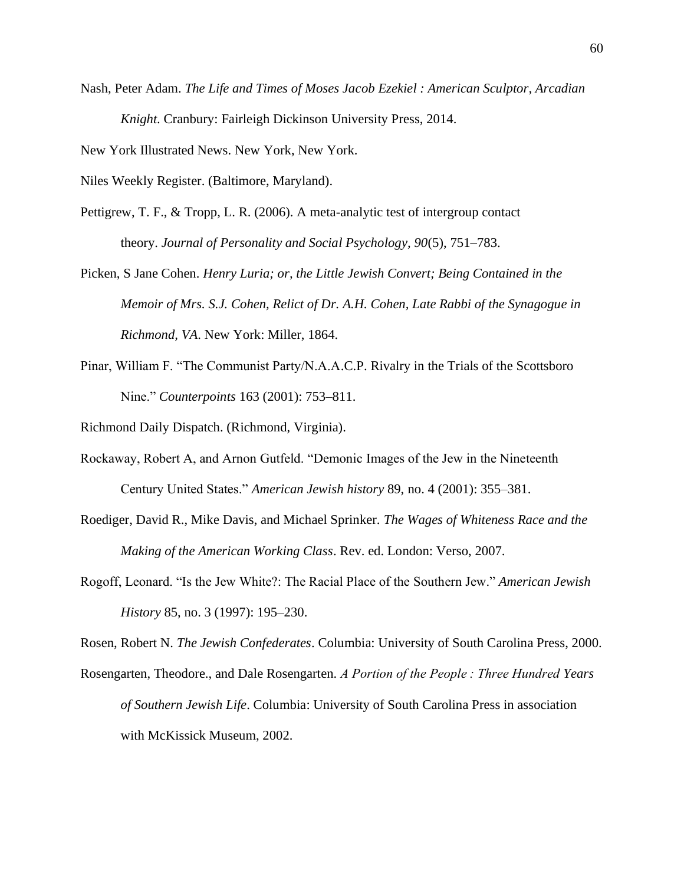Nash, Peter Adam. *The Life and Times of Moses Jacob Ezekiel : American Sculptor, Arcadian Knight*. Cranbury: Fairleigh Dickinson University Press, 2014.

New York Illustrated News. New York, New York.

Niles Weekly Register. (Baltimore, Maryland).

- Pettigrew, T. F., & Tropp, L. R. (2006). A meta-analytic test of intergroup contact theory. *Journal of Personality and Social Psychology, 90*(5), 751–783.
- Picken, S Jane Cohen. *Henry Luria; or, the Little Jewish Convert; Being Contained in the Memoir of Mrs. S.J. Cohen, Relict of Dr. A.H. Cohen, Late Rabbi of the Synagogue in Richmond, VA*. New York: Miller, 1864.
- Pinar, William F. "The Communist Party/N.A.A.C.P. Rivalry in the Trials of the Scottsboro Nine." *Counterpoints* 163 (2001): 753–811.

Richmond Daily Dispatch. (Richmond, Virginia).

- Rockaway, Robert A, and Arnon Gutfeld. "Demonic Images of the Jew in the Nineteenth Century United States." *American Jewish history* 89, no. 4 (2001): 355–381.
- Roediger, David R., Mike Davis, and Michael Sprinker. *The Wages of Whiteness Race and the Making of the American Working Class*. Rev. ed. London: Verso, 2007.
- Rogoff, Leonard. "Is the Jew White?: The Racial Place of the Southern Jew." *American Jewish History* 85, no. 3 (1997): 195–230.

Rosen, Robert N. *The Jewish Confederates*. Columbia: University of South Carolina Press, 2000.

Rosengarten, Theodore., and Dale Rosengarten. *A Portion of the People : Three Hundred Years of Southern Jewish Life*. Columbia: University of South Carolina Press in association with McKissick Museum, 2002.